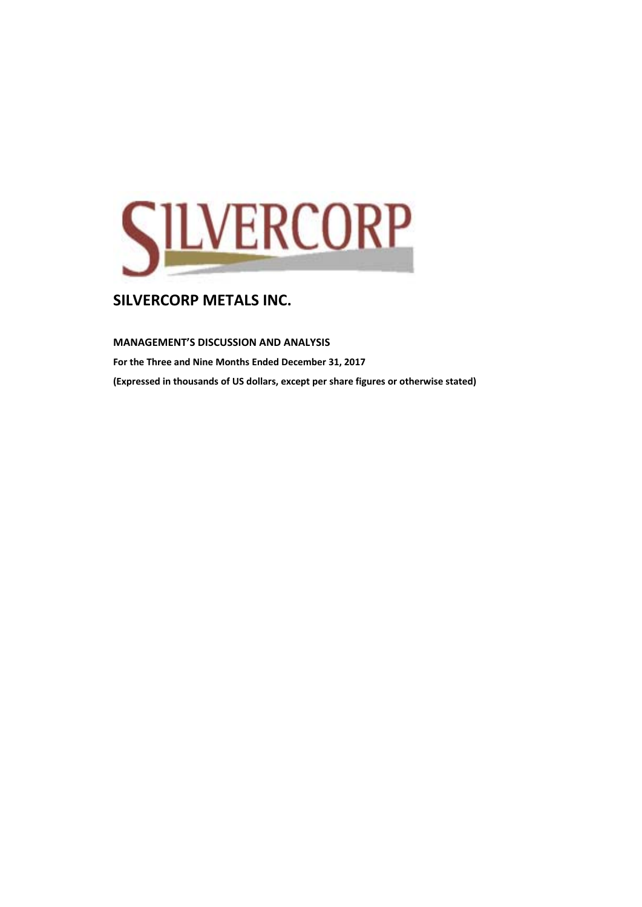

**MANAGEMENT'S DISCUSSION AND ANALYSIS** 

**For the Three and Nine Months Ended December 31, 2017 (Expressed in thousands of US dollars, except per share figures or otherwise stated)**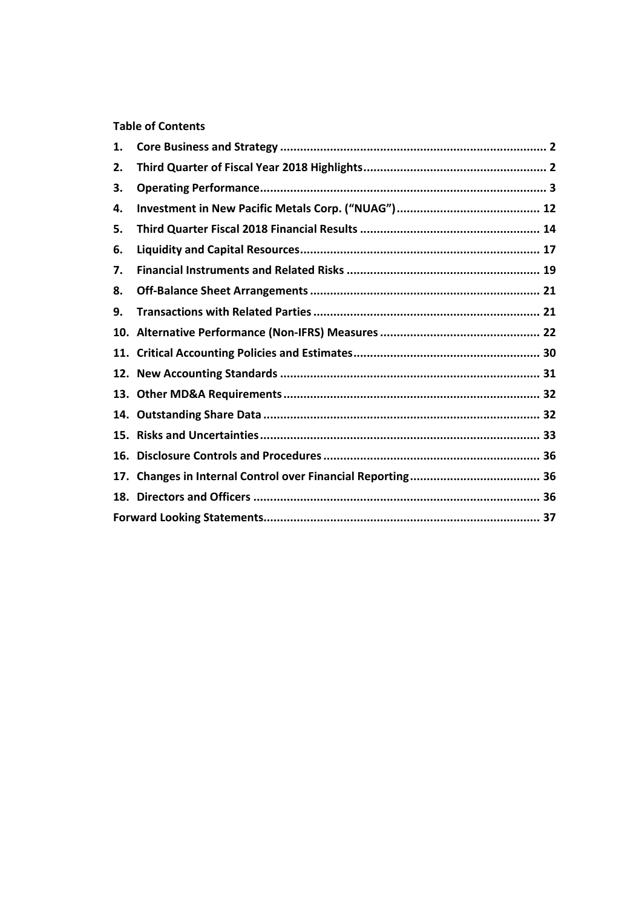## **Table of Contents**

| 1.  |  |
|-----|--|
| 2.  |  |
| З.  |  |
| 4.  |  |
| 5.  |  |
| 6.  |  |
| 7.  |  |
| 8.  |  |
| 9.  |  |
|     |  |
| 11. |  |
|     |  |
| 13. |  |
| 14. |  |
| 15. |  |
| 16. |  |
| 17. |  |
|     |  |
|     |  |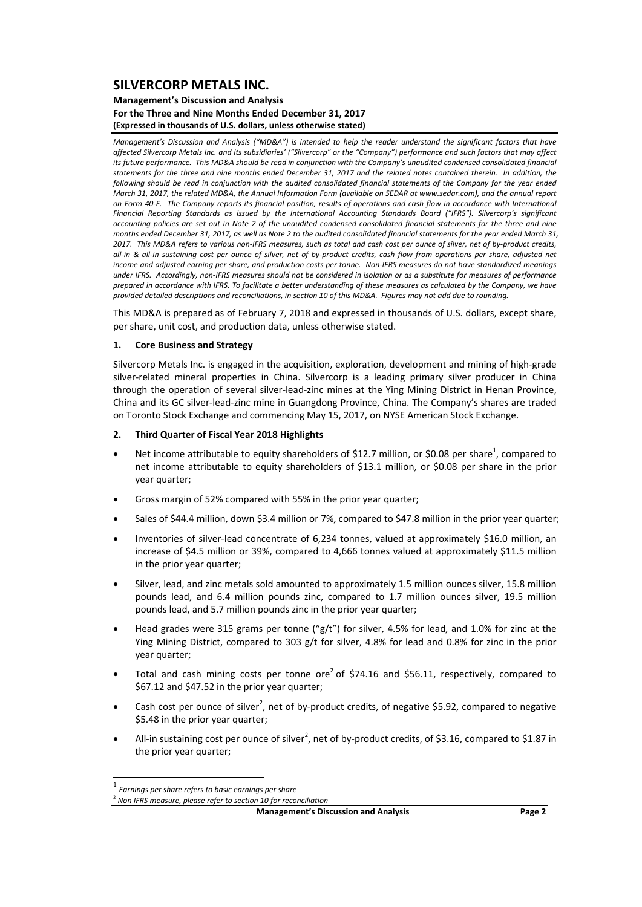#### **Management's Discussion and Analysis For the Three and Nine Months Ended December 31, 2017 (Expressed in thousands of U.S. dollars, unless otherwise stated)**

Management's Discussion and Analysis ("MD&A") is intended to help the reader understand the significant factors that have affected Silvercorp Metals Inc. and its subsidiaries' ("Silvercorp" or the "Company") performance and such factors that may affect its future performance. This MD&A should be read in conjunction with the Company's unaudited condensed consolidated financial statements for the three and nine months ended December 31, 2017 and the related notes contained therein. In addition, the following should be read in conjunction with the audited consolidated financial statements of the Company for the year ended March 31, 2017, the related MD&A, the Annual Information Form (available on SEDAR at www.sedar.com), and the annual report on Form 40-F. The Company reports its financial position, results of operations and cash flow in accordance with International *Financial Reporting Standards as issued by the International Accounting Standards Board ("IFRS"). Silvercorp's significant* accounting policies are set out in Note 2 of the unaudited condensed consolidated financial statements for the three and nine months ended December 31, 2017, as well as Note 2 to the audited consolidated financial statements for the year ended March 31. 2017. This MD&A refers to various non-IFRS measures, such as total and cash cost per ounce of silver, net of by-product credits, all-in & all-in sustaining cost per ounce of silver, net of by-product credits, cash flow from operations per share, adiusted net income and adjusted earning per share, and production costs per tonne. Non-IFRS measures do not have standardized meanings under IFRS. Accordingly, non-IFRS measures should not be considered in isolation or as a substitute for measures of performance prepared in accordance with IFRS. To facilitate a better understanding of these measures as calculated by the Company, we have provided detailed descriptions and reconciliations, in section 10 of this MD&A. Figures may not add due to rounding.

This MD&A is prepared as of February 7, 2018 and expressed in thousands of U.S. dollars, except share, per share, unit cost, and production data, unless otherwise stated.

### **1. Core Business and Strategy**

Silvercorp Metals Inc. is engaged in the acquisition, exploration, development and mining of high‐grade silver-related mineral properties in China. Silvercorp is a leading primary silver producer in China through the operation of several silver‐lead‐zinc mines at the Ying Mining District in Henan Province, China and its GC silver‐lead‐zinc mine in Guangdong Province, China. The Company's shares are traded on Toronto Stock Exchange and commencing May 15, 2017, on NYSE American Stock Exchange.

#### **2. Third Quarter of Fiscal Year 2018 Highlights**

- Net income attributable to equity shareholders of \$12.7 million, or \$0.08 per share<sup>1</sup>, compared to net income attributable to equity shareholders of \$13.1 million, or \$0.08 per share in the prior year quarter;
- Gross margin of 52% compared with 55% in the prior year quarter;
- Sales of \$44.4 million, down \$3.4 million or 7%, compared to \$47.8 million in the prior year quarter;
- Inventories of silver-lead concentrate of 6,234 tonnes, valued at approximately \$16.0 million, an increase of \$4.5 million or 39%, compared to 4,666 tonnes valued at approximately \$11.5 million in the prior year quarter;
- Silver, lead, and zinc metals sold amounted to approximately 1.5 million ounces silver, 15.8 million pounds lead, and 6.4 million pounds zinc, compared to 1.7 million ounces silver, 19.5 million pounds lead, and 5.7 million pounds zinc in the prior year quarter;
- Head grades were 315 grams per tonne (" $g/t$ ") for silver, 4.5% for lead, and 1.0% for zinc at the Ying Mining District, compared to 303 g/t for silver, 4.8% for lead and 0.8% for zinc in the prior year quarter;
- Total and cash mining costs per tonne ore<sup>2</sup> of \$74.16 and \$56.11, respectively, compared to \$67.12 and \$47.52 in the prior year quarter;
- Cash cost per ounce of silver<sup>2</sup>, net of by-product credits, of negative \$5.92, compared to negative \$5.48 in the prior year quarter;
- All-in sustaining cost per ounce of silver<sup>2</sup>, net of by-product credits, of \$3.16, compared to \$1.87 in the prior year quarter;

 <sup>1</sup> *Earnings per share refers to basic earnings per share*

<sup>2</sup> *Non IFRS measure, please refer to section 10 for reconciliation*

**Management's Discussion and Analysis Page 2**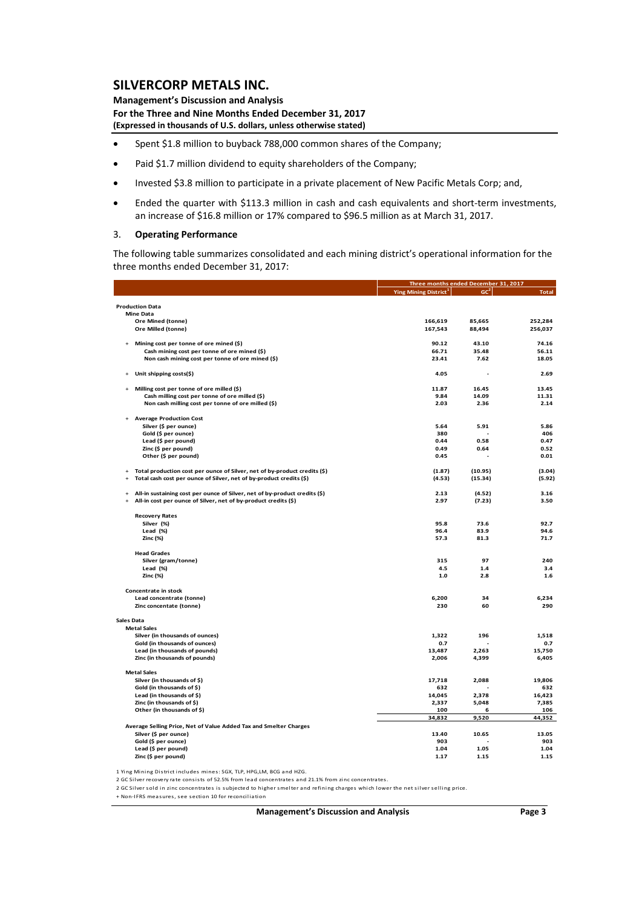**Management's Discussion and Analysis For the Three and Nine Months Ended December 31, 2017 (Expressed in thousands of U.S. dollars, unless otherwise stated)**

- Spent \$1.8 million to buyback 788,000 common shares of the Company;
- Paid \$1.7 million dividend to equity shareholders of the Company;
- Invested \$3.8 million to participate in a private placement of New Pacific Metals Corp; and,
- Ended the quarter with \$113.3 million in cash and cash equivalents and short‐term investments, an increase of \$16.8 million or 17% compared to \$96.5 million as at March 31, 2017.

#### 3. **Operating Performance**

The following table summarizes consolidated and each mining district's operational information for the three months ended December 31, 2017:

|                                                                                         |                                   | Three months ended December 31, 2017 |              |
|-----------------------------------------------------------------------------------------|-----------------------------------|--------------------------------------|--------------|
|                                                                                         | Ying Mining District <sup>1</sup> | GC <sup>2</sup>                      | <b>Total</b> |
| <b>Production Data</b>                                                                  |                                   |                                      |              |
| <b>Mine Data</b>                                                                        |                                   |                                      |              |
| Ore Mined (tonne)                                                                       | 166,619                           | 85,665                               | 252,284      |
| Ore Milled (tonne)                                                                      | 167,543                           | 88,494                               | 256,037      |
| Mining cost per tonne of ore mined (\$)<br>$\overline{1}$                               | 90.12                             | 43.10                                | 74.16        |
| Cash mining cost per tonne of ore mined (\$)                                            | 66.71                             | 35.48                                | 56.11        |
| Non cash mining cost per tonne of ore mined (\$)                                        | 23.41                             | 7.62                                 | 18.05        |
|                                                                                         |                                   |                                      |              |
| Unit shipping costs(\$)                                                                 | 4.05                              |                                      | 2.69         |
| Milling cost per tonne of ore milled (\$)<br>$\ddot{}$                                  | 11.87                             | 16.45                                | 13.45        |
| Cash milling cost per tonne of ore milled (\$)                                          | 9.84                              | 14.09                                | 11.31        |
| Non cash milling cost per tonne of ore milled (\$)                                      | 2.03                              | 2.36                                 | 2.14         |
| <b>Average Production Cost</b><br>$\ddot{}$                                             |                                   |                                      |              |
| Silver (\$ per ounce)                                                                   | 5.64                              | 5.91                                 | 5.86         |
| Gold (\$ per ounce)                                                                     | 380                               |                                      | 406          |
| Lead (\$ per pound)                                                                     | 0.44                              | 0.58                                 | 0.47         |
| Zinc (\$ per pound)                                                                     | 0.49                              | 0.64                                 | 0.52         |
| Other (\$ per pound)                                                                    | 0.45                              |                                      | 0.01         |
| Total production cost per ounce of Silver, net of by-product credits (\$)<br>$\ddot{}$  | (1.87)                            | (10.95)                              | (3.04)       |
| Total cash cost per ounce of Silver, net of by-product credits (\$)<br>$\overline{1}$   | (4.53)                            | (15.34)                              | (5.92)       |
| All-in sustaining cost per ounce of Silver, net of by-product credits (\$)<br>$\ddot{}$ | 2.13                              | (4.52)                               | 3.16         |
| All-in cost per ounce of Silver, net of by-product credits (\$)<br>$\ddot{}$            | 2.97                              | (7.23)                               | 3.50         |
| <b>Recovery Rates</b>                                                                   |                                   |                                      |              |
| Silver (%)                                                                              | 95.8                              | 73.6                                 | 92.7         |
| Lead (%)                                                                                | 96.4                              | 83.9                                 | 94.6         |
| Zinc (%)                                                                                | 57.3                              | 81.3                                 | 71.7         |
| <b>Head Grades</b>                                                                      |                                   |                                      |              |
| Silver (gram/tonne)                                                                     | 315                               | 97                                   | 240          |
| Lead (%)                                                                                | 4.5                               | $1.4$                                | 3.4          |
| Zinc (%)                                                                                | $1.0\,$                           | 2.8                                  | 1.6          |
| Concentrate in stock                                                                    |                                   |                                      |              |
| Lead concentrate (tonne)                                                                | 6,200                             | 34                                   | 6,234        |
| Zinc concentate (tonne)                                                                 | 230                               | 60                                   | 290          |
| Sales Data                                                                              |                                   |                                      |              |
| <b>Metal Sales</b>                                                                      |                                   |                                      |              |
| Silver (in thousands of ounces)                                                         | 1,322                             | 196                                  | 1,518        |
| Gold (in thousands of ounces)                                                           | 0.7                               |                                      | 0.7          |
| Lead (in thousands of pounds)                                                           | 13,487                            | 2,263                                | 15,750       |
| Zinc (in thousands of pounds)                                                           | 2,006                             | 4,399                                | 6,405        |
| <b>Metal Sales</b>                                                                      |                                   |                                      |              |
| Silver (in thousands of \$)                                                             | 17,718                            | 2,088                                | 19,806       |
| Gold (in thousands of \$)                                                               | 632                               |                                      | 632          |
| Lead (in thousands of \$)                                                               | 14,045                            | 2,378                                | 16,423       |
| Zinc (in thousands of \$)                                                               | 2,337                             | 5,048                                | 7,385        |
| Other (in thousands of \$)                                                              | 100                               | 6                                    | 106          |
|                                                                                         | 34,832                            | 9,520                                | 44,352       |
| Average Selling Price, Net of Value Added Tax and Smelter Charges                       |                                   |                                      |              |
| Silver (\$ per ounce)                                                                   | 13.40                             | 10.65                                | 13.05        |
| Gold (\$ per ounce)                                                                     | 903                               |                                      | 903          |
| Lead (\$ per pound)                                                                     | 1.04                              | 1.05                                 | 1.04         |
| Zinc (\$ per pound)                                                                     | 1.17                              | 1.15                                 | 1.15         |
|                                                                                         |                                   |                                      |              |

1 Ying Mining District includes mines: SGX, TLP, HPG,LM, BCG and HZG.

2 GC Silver recovery rate consists of 52.5% from lead concentrates and 21.1% from zinc concentrates.

2 GC Silver sold in zinc concentrates is subjected to higher smelter and refining charges which lower the net silver selling price.

+ Non-IFRS measures, see section 10 for reconciliation

**Management's Discussion and Analysis Page 3**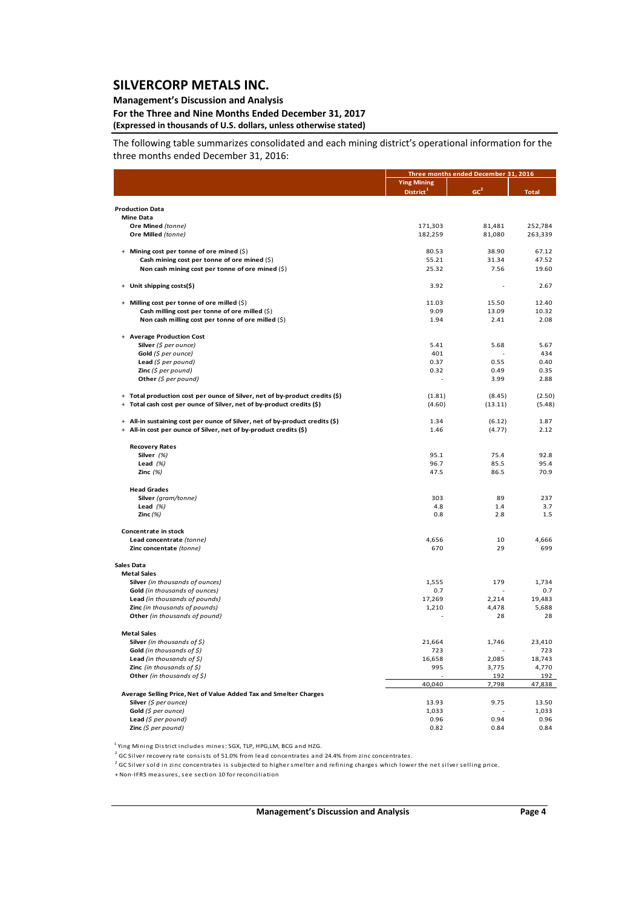### **Management's Discussion and Analysis**

#### **For the Three and Nine Months Ended December 31, 2017 (Expressed in thousands of U.S. dollars, unless otherwise stated)**

The following table summarizes consolidated and each mining district's operational information for the three months ended December 31, 2016:

|                                                                                   |                       | Three months ended December 31, 2016 |              |  |  |
|-----------------------------------------------------------------------------------|-----------------------|--------------------------------------|--------------|--|--|
|                                                                                   | <b>Ying Mining</b>    |                                      |              |  |  |
|                                                                                   | District <sup>1</sup> | GC                                   | <b>Total</b> |  |  |
|                                                                                   |                       |                                      |              |  |  |
| <b>Production Data</b><br><b>Mine Data</b>                                        |                       |                                      |              |  |  |
| Ore Mined (tonne)                                                                 | 171,303               | 81,481                               | 252,784      |  |  |
| Ore Milled (tonne)                                                                | 182,259               | 81,080                               | 263,339      |  |  |
|                                                                                   |                       |                                      |              |  |  |
| + Mining cost per tonne of ore mined (\$)                                         | 80.53                 | 38.90                                | 67.12        |  |  |
| Cash mining cost per tonne of ore mined (\$)                                      | 55.21                 | 31.34                                | 47.52        |  |  |
| Non cash mining cost per tonne of ore mined (\$)                                  | 25.32                 | 7.56                                 | 19.60        |  |  |
|                                                                                   |                       |                                      |              |  |  |
| + Unit shipping costs(\$)                                                         | 3.92                  |                                      | 2.67         |  |  |
| Milling cost per tonne of ore milled (\$)<br>$+$                                  | 11.03                 | 15.50                                | 12.40        |  |  |
| Cash milling cost per tonne of ore milled (\$)                                    | 9.09                  | 13.09                                | 10.32        |  |  |
| Non cash milling cost per tonne of ore milled (\$)                                | 1.94                  | 2.41                                 | 2.08         |  |  |
|                                                                                   |                       |                                      |              |  |  |
| + Average Production Cost                                                         |                       |                                      |              |  |  |
| Silver (\$ per ounce)                                                             | 5.41                  | 5.68                                 | 5.67         |  |  |
| Gold (\$ per ounce)                                                               | 401                   | J.                                   | 434          |  |  |
| Lead (\$ per pound)                                                               | 0.37                  | 0.55                                 | 0.40         |  |  |
| <b>Zinc</b> (\$ per pound)                                                        | 0.32                  | 0.49                                 | 0.35         |  |  |
| Other (\$ per pound)                                                              |                       | 3.99                                 | 2.88         |  |  |
| + Total production cost per ounce of Silver, net of by-product credits (\$)       | (1.81)                | (8.45)                               | (2.50)       |  |  |
| Total cash cost per ounce of Silver, net of by-product credits (\$)<br>$\ddot{}$  | (4.60)                | (13.11)                              | (5.48)       |  |  |
|                                                                                   |                       |                                      |              |  |  |
| All-in sustaining cost per ounce of Silver, net of by-product credits (\$)<br>$+$ | 1.34                  | (6.12)                               | 1.87         |  |  |
| All-in cost per ounce of Silver, net of by-product credits (\$)<br>$+$            | 1.46                  | (4.77)                               | 2.12         |  |  |
|                                                                                   |                       |                                      |              |  |  |
| <b>Recovery Rates</b>                                                             |                       |                                      |              |  |  |
| Silver (%)                                                                        | 95.1                  | 75.4                                 | 92.8         |  |  |
| Lead $(%)$                                                                        | 96.7                  | 85.5                                 | 95.4         |  |  |
| Zinc $(%)$                                                                        | 47.5                  | 86.5                                 | 70.9         |  |  |
| <b>Head Grades</b>                                                                |                       |                                      |              |  |  |
| Silver (gram/tonne)                                                               | 303                   | 89                                   | 237          |  |  |
| Lead $(%)$                                                                        | 4.8                   | 1.4                                  | 3.7          |  |  |
| Zinc $(%)$                                                                        | 0.8                   | 2.8                                  | 1.5          |  |  |
|                                                                                   |                       |                                      |              |  |  |
| Concentrate in stock                                                              |                       |                                      |              |  |  |
| Lead concentrate (tonne)<br>Zinc concentate (tonne)                               | 4,656<br>670          | 10<br>29                             | 4,666<br>699 |  |  |
|                                                                                   |                       |                                      |              |  |  |
| <b>Sales Data</b>                                                                 |                       |                                      |              |  |  |
| <b>Metal Sales</b>                                                                |                       |                                      |              |  |  |
| Silver (in thousands of ounces)                                                   | 1,555                 | 179                                  | 1.734        |  |  |
| Gold (in thousands of ounces)                                                     | 0.7                   |                                      | 0.7          |  |  |
| Lead (in thousands of pounds)                                                     | 17,269                | 2,214                                | 19,483       |  |  |
| Zinc (in thousands of pounds)                                                     | 1,210                 | 4,478                                | 5,688        |  |  |
| Other (in thousands of pound)                                                     |                       | 28                                   | 28           |  |  |
| <b>Metal Sales</b>                                                                |                       |                                      |              |  |  |
| <b>Silver</b> (in thousands of $\zeta$ )                                          | 21,664                | 1,746                                | 23,410       |  |  |
| Gold (in thousands of $\zeta$ )                                                   | 723                   |                                      | 723          |  |  |
| <b>Lead</b> (in thousands of $\zeta$ )                                            | 16,658                | 2,085                                | 18,743       |  |  |
| <b>Zinc</b> (in thousands of $\zeta$ )                                            | 995                   | 3,775                                | 4,770        |  |  |
| Other (in thousands of $\zeta$ )                                                  |                       | 192                                  | 192          |  |  |
|                                                                                   | 40,040                | 7,798                                | 47,838       |  |  |
| Average Selling Price, Net of Value Added Tax and Smelter Charges                 |                       |                                      |              |  |  |
| Silver (\$ per ounce)                                                             | 13.93                 | 9.75                                 | 13.50        |  |  |
| Gold (\$ per ounce)                                                               | 1,033                 |                                      | 1,033        |  |  |
| Lead (\$ per pound)                                                               | 0.96<br>0.82          | 0.94<br>0.84                         | 0.96<br>0.84 |  |  |
| <b>Zinc</b> ( $\$$ per pound)                                                     |                       |                                      |              |  |  |

<sup>1</sup> Ying Mining District includes mines: SGX, TLP, HPG,LM, BCG and HZG.<br><sup>2</sup> GC Silver recovery rate consists of 51.0% from lead concentrates and 24.4% from zinc concentrates.

2 GC Silver sold in zinc concentrates is subjected to higher smelter and refining charges which lower the net silver selling price.

+ Non-IFRS measures, see section 10 for reconciliation

**Management's Discussion and Analysis Page 4**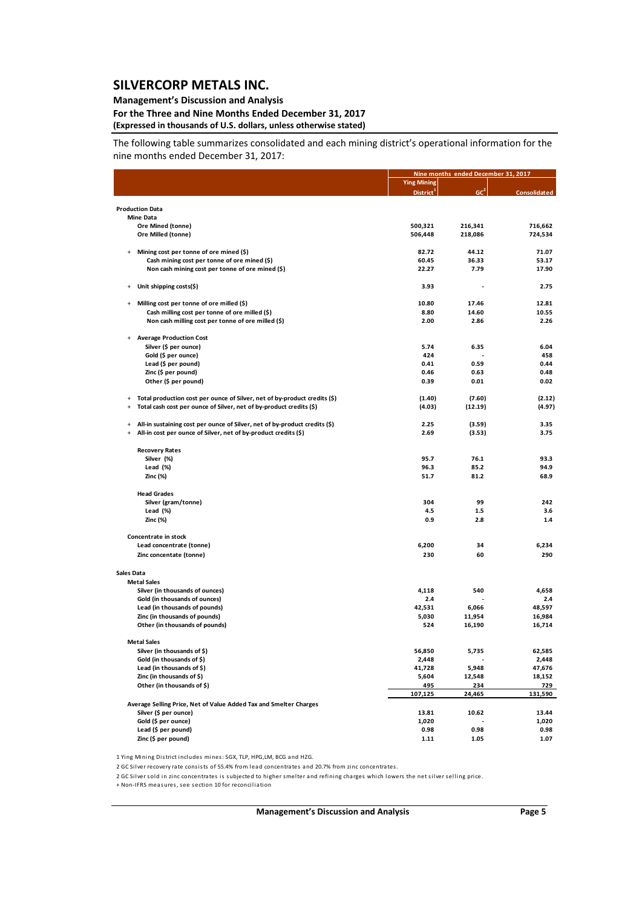### **Management's Discussion and Analysis**

#### **For the Three and Nine Months Ended December 31, 2017 (Expressed in thousands of U.S. dollars, unless otherwise stated)**

The following table summarizes consolidated and each mining district's operational information for the nine months ended December 31, 2017:

|                        |                                                                                                                                                  |                       | Nine months ended December 31, 2017 |                     |  |
|------------------------|--------------------------------------------------------------------------------------------------------------------------------------------------|-----------------------|-------------------------------------|---------------------|--|
|                        |                                                                                                                                                  | <b>Ying Mining</b>    |                                     |                     |  |
|                        |                                                                                                                                                  | District <sup>1</sup> | GC <sup>2</sup>                     | <b>Consolidated</b> |  |
|                        |                                                                                                                                                  |                       |                                     |                     |  |
|                        | <b>Production Data</b><br><b>Mine Data</b>                                                                                                       |                       |                                     |                     |  |
|                        | Ore Mined (tonne)                                                                                                                                | 500,321               | 216,341                             | 716,662             |  |
|                        | Ore Milled (tonne)                                                                                                                               | 506,448               | 218,086                             | 724,534             |  |
|                        |                                                                                                                                                  |                       |                                     |                     |  |
| $\ddot{}$              | Mining cost per tonne of ore mined (\$)                                                                                                          | 82.72                 | 44.12                               | 71.07               |  |
|                        | Cash mining cost per tonne of ore mined (\$)                                                                                                     | 60.45                 | 36.33                               | 53.17               |  |
|                        | Non cash mining cost per tonne of ore mined (\$)                                                                                                 | 22.27                 | 7.79                                | 17.90               |  |
| $\ddot{}$              | Unit shipping costs(\$)                                                                                                                          | 3.93                  |                                     | 2.75                |  |
|                        |                                                                                                                                                  |                       |                                     |                     |  |
| $\ddot{}$              | Milling cost per tonne of ore milled (\$)                                                                                                        | 10.80<br>8.80         | 17.46                               | 12.81<br>10.55      |  |
|                        | Cash milling cost per tonne of ore milled (\$)                                                                                                   | 2.00                  | 14.60                               | 2.26                |  |
|                        | Non cash milling cost per tonne of ore milled (\$)                                                                                               |                       | 2.86                                |                     |  |
| +                      | <b>Average Production Cost</b>                                                                                                                   |                       |                                     |                     |  |
|                        | Silver (\$ per ounce)                                                                                                                            | 5.74                  | 6.35                                | 6.04                |  |
|                        | Gold (\$ per ounce)                                                                                                                              | 424                   |                                     | 458                 |  |
|                        | Lead (\$ per pound)                                                                                                                              | 0.41                  | 0.59                                | 0.44                |  |
|                        | Zinc (\$ per pound)                                                                                                                              | 0.46                  | 0.63                                | 0.48                |  |
|                        | Other (\$ per pound)                                                                                                                             | 0.39                  | 0.01                                | 0.02                |  |
|                        |                                                                                                                                                  |                       |                                     |                     |  |
| $\ddot{}$<br>$\ddot{}$ | Total production cost per ounce of Silver, net of by-product credits (\$)<br>Total cash cost per ounce of Silver, net of by-product credits (\$) | (1.40)<br>(4.03)      | (7.60)<br>(12.19)                   | (2.12)<br>(4.97)    |  |
|                        |                                                                                                                                                  |                       |                                     |                     |  |
| $\ddot{}$              | All-in sustaining cost per ounce of Silver, net of by-product credits (\$)                                                                       | 2.25                  | (3.59)                              | 3.35                |  |
| $\ddot{}$              | All-in cost per ounce of Silver, net of by-product credits (\$)                                                                                  | 2.69                  | (3.53)                              | 3.75                |  |
|                        |                                                                                                                                                  |                       |                                     |                     |  |
|                        | <b>Recovery Rates</b>                                                                                                                            |                       |                                     |                     |  |
|                        | Silver (%)                                                                                                                                       | 95.7                  | 76.1                                | 93.3                |  |
|                        | Lead (%)                                                                                                                                         | 96.3                  | 85.2                                | 94.9                |  |
|                        | Zinc (%)                                                                                                                                         | 51.7                  | 81.2                                | 68.9                |  |
|                        | <b>Head Grades</b>                                                                                                                               |                       |                                     |                     |  |
|                        | Silver (gram/tonne)                                                                                                                              | 304                   | 99                                  | 242                 |  |
|                        | Lead $(\%)$                                                                                                                                      | 4.5                   | 1.5                                 | 3.6                 |  |
|                        | Zinc (%)                                                                                                                                         | 0.9                   | 2.8                                 | 1.4                 |  |
|                        |                                                                                                                                                  |                       |                                     |                     |  |
|                        | Concentrate in stock                                                                                                                             |                       |                                     |                     |  |
|                        | Lead concentrate (tonne)                                                                                                                         | 6,200                 | 34                                  | 6,234               |  |
|                        | Zinc concentate (tonne)                                                                                                                          | 230                   | 60                                  | 290                 |  |
| Sales Data             |                                                                                                                                                  |                       |                                     |                     |  |
|                        | <b>Metal Sales</b>                                                                                                                               |                       |                                     |                     |  |
|                        | Silver (in thousands of ounces)                                                                                                                  | 4,118                 | 540                                 | 4,658               |  |
|                        | Gold (in thousands of ounces)                                                                                                                    | 2.4                   |                                     | 2.4                 |  |
|                        | Lead (in thousands of pounds)                                                                                                                    | 42,531                | 6,066                               | 48,597              |  |
|                        | Zinc (in thousands of pounds)                                                                                                                    | 5,030                 | 11,954                              | 16,984              |  |
|                        | Other (in thousands of pounds)                                                                                                                   | 524                   | 16,190                              | 16,714              |  |
|                        |                                                                                                                                                  |                       |                                     |                     |  |
|                        | <b>Metal Sales</b><br>Silver (in thousands of \$)                                                                                                | 56,850                | 5,735                               | 62,585              |  |
|                        | Gold (in thousands of \$)                                                                                                                        | 2,448                 |                                     | 2,448               |  |
|                        | Lead (in thousands of \$)                                                                                                                        | 41,728                | 5,948                               | 47,676              |  |
|                        | Zinc (in thousands of \$)                                                                                                                        | 5,604                 | 12,548                              | 18,152              |  |
|                        | Other (in thousands of \$)                                                                                                                       | 495                   | 234                                 | 729                 |  |
|                        |                                                                                                                                                  | 107,125               | 24,465                              | 131,590             |  |
|                        | Average Selling Price, Net of Value Added Tax and Smelter Charges                                                                                |                       |                                     |                     |  |
|                        | Silver (\$ per ounce)                                                                                                                            | 13.81                 | 10.62                               | 13.44               |  |
|                        | Gold (\$ per ounce)                                                                                                                              | 1,020                 |                                     | 1,020               |  |
|                        | Lead (\$ per pound)                                                                                                                              | 0.98                  | 0.98                                | 0.98                |  |
|                        | Zinc (\$ per pound)                                                                                                                              | 1.11                  | 1.05                                | 1.07                |  |

1 Ying Mining District includes mines: SGX, TLP, HPG,LM, BCG and HZG.

2 GC Silver recovery rate consists of 55.4% from lead concentrates and 20.7% from zinc concentrates.

2 GC Silver sold in zinc concentrates is subjected to higher smelter and refining charges which lowers the net silver selling price.

+ Non-IFRS measures, see section 10 for reconciliation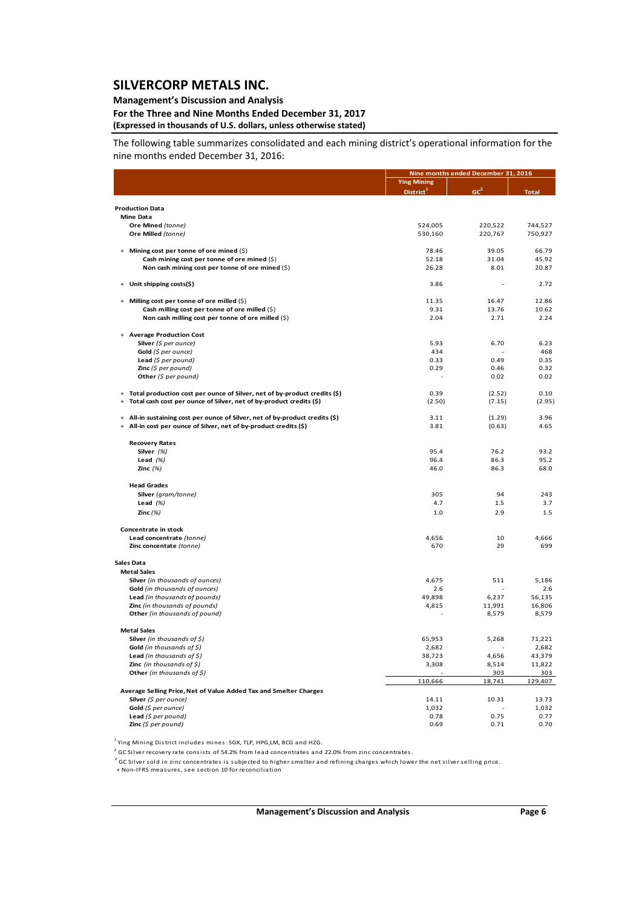### **Management's Discussion and Analysis**

#### **For the Three and Nine Months Ended December 31, 2017 (Expressed in thousands of U.S. dollars, unless otherwise stated)**

The following table summarizes consolidated and each mining district's operational information for the nine months ended December 31, 2016:

|                                                                                        |                       | Nine months ended December 31, 2016 |              |  |  |
|----------------------------------------------------------------------------------------|-----------------------|-------------------------------------|--------------|--|--|
|                                                                                        | <b>Ying Mining</b>    |                                     |              |  |  |
|                                                                                        | District <sup>1</sup> | GC <sup>2</sup>                     | <b>Total</b> |  |  |
|                                                                                        |                       |                                     |              |  |  |
| <b>Production Data</b>                                                                 |                       |                                     |              |  |  |
| <b>Mine Data</b>                                                                       | 524,005               | 220,522                             | 744,527      |  |  |
| Ore Mined (tonne)<br>Ore Milled (tonne)                                                | 530,160               | 220,767                             | 750,927      |  |  |
|                                                                                        |                       |                                     |              |  |  |
| Mining cost per tonne of ore mined (\$)                                                | 78.46                 | 39.05                               | 66.79        |  |  |
| Cash mining cost per tonne of ore mined (\$)                                           | 52.18                 | 31.04                               | 45.92        |  |  |
| Non cash mining cost per tonne of ore mined (\$)                                       | 26.28                 | 8.01                                | 20.87        |  |  |
|                                                                                        |                       |                                     |              |  |  |
| Unit shipping costs(\$)                                                                | 3.86                  |                                     | 2.72         |  |  |
| Milling cost per tonne of ore milled (\$)<br>$+$                                       | 11.35                 | 16.47                               | 12.86        |  |  |
| Cash milling cost per tonne of ore milled (\$)                                         | 9.31                  | 13.76                               | 10.62        |  |  |
| Non cash milling cost per tonne of ore milled (\$)                                     | 2.04                  | 2.71                                | 2.24         |  |  |
|                                                                                        |                       |                                     |              |  |  |
| + Average Production Cost                                                              |                       |                                     |              |  |  |
| Silver (\$ per ounce)                                                                  | 5.93                  | 6.70                                | 6.23         |  |  |
| Gold (\$ per ounce)                                                                    | 434                   |                                     | 468          |  |  |
| Lead $(5$ per pound)                                                                   | 0.33                  | 0.49                                | 0.35         |  |  |
| <b>Zinc</b> (\$ per pound)                                                             | 0.29                  | 0.46                                | 0.32         |  |  |
| Other $(5$ per pound)                                                                  |                       | 0.02                                | 0.02         |  |  |
| Total production cost per ounce of Silver, net of by-product credits (\$)<br>$\ddot{}$ | 0.39                  | (2.52)                              | 0.10         |  |  |
| Total cash cost per ounce of Silver, net of by-product credits (\$)                    | (2.50)                | (7.15)                              | (2.95)       |  |  |
|                                                                                        |                       |                                     |              |  |  |
| All-in sustaining cost per ounce of Silver, net of by-product credits (\$)<br>$+$      | 3.11                  | (1.29)                              | 3.96         |  |  |
| All-in cost per ounce of Silver, net of by-product credits (\$)                        | 3.81                  | (0.63)                              | 4.65         |  |  |
|                                                                                        |                       |                                     |              |  |  |
| <b>Recovery Rates</b>                                                                  |                       | 76.2                                |              |  |  |
| Silver (%)                                                                             | 95.4<br>96.4          | 86.3                                | 93.2<br>95.2 |  |  |
| Lead $(%)$<br>Zinc $(%)$                                                               | 46.0                  | 86.3                                | 68.0         |  |  |
|                                                                                        |                       |                                     |              |  |  |
| <b>Head Grades</b>                                                                     |                       |                                     |              |  |  |
| Silver (gram/tonne)                                                                    | 305                   | 94                                  | 243          |  |  |
| Lead $(%)$                                                                             | 4.7                   | 1.5                                 | 3.7          |  |  |
| Zinc $(%)$                                                                             | 1.0                   | 2.9                                 | 1.5          |  |  |
|                                                                                        |                       |                                     |              |  |  |
| Concentrate in stock                                                                   |                       |                                     |              |  |  |
| Lead concentrate (tonne)                                                               | 4,656<br>670          | 10<br>29                            | 4,666<br>699 |  |  |
| Zinc concentate (tonne)                                                                |                       |                                     |              |  |  |
| <b>Sales Data</b>                                                                      |                       |                                     |              |  |  |
| <b>Metal Sales</b>                                                                     |                       |                                     |              |  |  |
| Silver (in thousands of ounces)                                                        | 4,675                 | 511                                 | 5,186        |  |  |
| Gold (in thousands of ounces)                                                          | 2.6                   |                                     | 2.6          |  |  |
| Lead (in thousands of pounds)                                                          | 49,898                | 6,237                               | 56,135       |  |  |
| Zinc (in thousands of pounds)                                                          | 4,815                 | 11,991                              | 16,806       |  |  |
| Other (in thousands of pound)                                                          |                       | 8,579                               | 8,579        |  |  |
| <b>Metal Sales</b>                                                                     |                       |                                     |              |  |  |
| Silver (in thousands of \$)                                                            | 65,953                | 5,268                               | 71,221       |  |  |
| Gold (in thousands of $\zeta$ )                                                        | 2,682                 |                                     | 2,682        |  |  |
| Lead (in thousands of $\zeta$ )                                                        | 38,723                | 4,656                               | 43,379       |  |  |
| <b>Zinc</b> (in thousands of \$)                                                       | 3,308                 | 8,514                               | 11,822       |  |  |
| Other (in thousands of \$)                                                             |                       | 303                                 | 303          |  |  |
|                                                                                        | 110,666               | 18,741                              | 129,407      |  |  |
| Average Selling Price, Net of Value Added Tax and Smelter Charges                      |                       |                                     |              |  |  |
| Silver $(\xi$ per ounce)                                                               | 14.11                 | 10.31                               | 13.73        |  |  |
| Gold (\$ per ounce)                                                                    | 1,032                 |                                     | 1,032        |  |  |
| Lead $(5$ per pound)                                                                   | 0.78                  | 0.75                                | 0.77         |  |  |
| <b>Zinc</b> (\$ per pound)                                                             | 0.69                  | 0.71                                | 0.70         |  |  |

<sup>1</sup> Ying Mining District includes mines: SGX, TLP, HPG,LM, BCG and HZG.

<sup>2</sup> GC Silver recovery rate consists of 54.2% from lead concentrates and 22.0% from zinc concentrates.

 $2$  GC Silver sold in zinc concentrates is subjected to higher smelter and refining charges which lower the net silver selling price.

+ Non‐IFRS mea s ures, see section 10 for reconcilia tion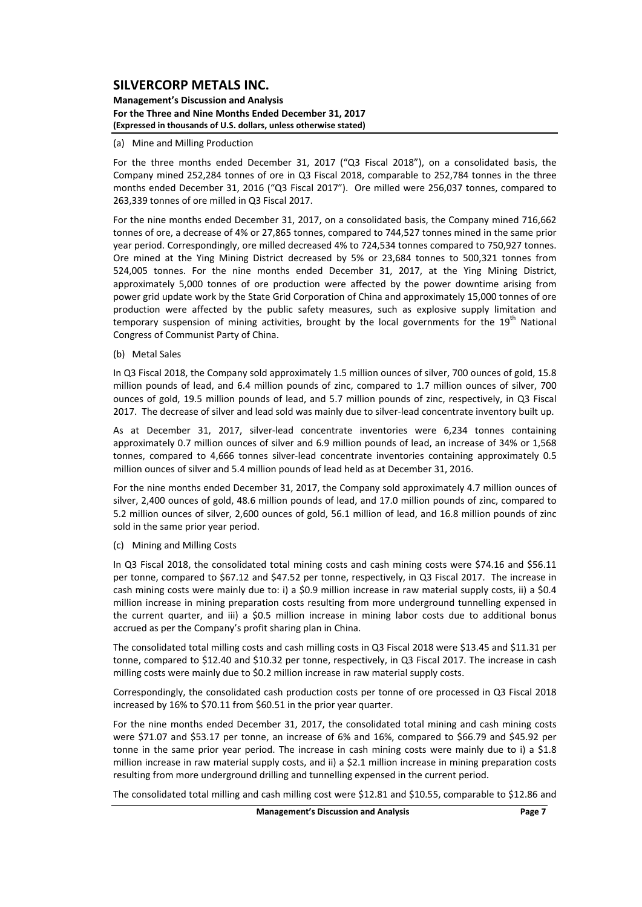**Management's Discussion and Analysis For the Three and Nine Months Ended December 31, 2017 (Expressed in thousands of U.S. dollars, unless otherwise stated)**

#### (a) Mine and Milling Production

For the three months ended December 31, 2017 ("Q3 Fiscal 2018"), on a consolidated basis, the Company mined 252,284 tonnes of ore in Q3 Fiscal 2018, comparable to 252,784 tonnes in the three months ended December 31, 2016 ("Q3 Fiscal 2017"). Ore milled were 256,037 tonnes, compared to 263,339 tonnes of ore milled in Q3 Fiscal 2017.

For the nine months ended December 31, 2017, on a consolidated basis, the Company mined 716,662 tonnes of ore, a decrease of 4% or 27,865 tonnes, compared to 744,527 tonnes mined in the same prior year period. Correspondingly, ore milled decreased 4% to 724,534 tonnes compared to 750,927 tonnes. Ore mined at the Ying Mining District decreased by 5% or 23,684 tonnes to 500,321 tonnes from 524,005 tonnes. For the nine months ended December 31, 2017, at the Ying Mining District, approximately 5,000 tonnes of ore production were affected by the power downtime arising from power grid update work by the State Grid Corporation of China and approximately 15,000 tonnes of ore production were affected by the public safety measures, such as explosive supply limitation and temporary suspension of mining activities, brought by the local governments for the  $19<sup>th</sup>$  National Congress of Communist Party of China.

#### (b) Metal Sales

In Q3 Fiscal 2018, the Company sold approximately 1.5 million ounces of silver, 700 ounces of gold, 15.8 million pounds of lead, and 6.4 million pounds of zinc, compared to 1.7 million ounces of silver, 700 ounces of gold, 19.5 million pounds of lead, and 5.7 million pounds of zinc, respectively, in Q3 Fiscal 2017. The decrease of silver and lead sold was mainly due to silver-lead concentrate inventory built up.

As at December 31, 2017, silver-lead concentrate inventories were 6,234 tonnes containing approximately 0.7 million ounces of silver and 6.9 million pounds of lead, an increase of 34% or 1,568 tonnes, compared to 4,666 tonnes silver‐lead concentrate inventories containing approximately 0.5 million ounces of silver and 5.4 million pounds of lead held as at December 31, 2016.

For the nine months ended December 31, 2017, the Company sold approximately 4.7 million ounces of silver, 2,400 ounces of gold, 48.6 million pounds of lead, and 17.0 million pounds of zinc, compared to 5.2 million ounces of silver, 2,600 ounces of gold, 56.1 million of lead, and 16.8 million pounds of zinc sold in the same prior year period.

#### (c) Mining and Milling Costs

In Q3 Fiscal 2018, the consolidated total mining costs and cash mining costs were \$74.16 and \$56.11 per tonne, compared to \$67.12 and \$47.52 per tonne, respectively, in Q3 Fiscal 2017. The increase in cash mining costs were mainly due to: i) a \$0.9 million increase in raw material supply costs, ii) a \$0.4 million increase in mining preparation costs resulting from more underground tunnelling expensed in the current quarter, and iii) a \$0.5 million increase in mining labor costs due to additional bonus accrued as per the Company's profit sharing plan in China.

The consolidated total milling costs and cash milling costs in Q3 Fiscal 2018 were \$13.45 and \$11.31 per tonne, compared to \$12.40 and \$10.32 per tonne, respectively, in Q3 Fiscal 2017. The increase in cash milling costs were mainly due to \$0.2 million increase in raw material supply costs.

Correspondingly, the consolidated cash production costs per tonne of ore processed in Q3 Fiscal 2018 increased by 16% to \$70.11 from \$60.51 in the prior year quarter.

For the nine months ended December 31, 2017, the consolidated total mining and cash mining costs were \$71.07 and \$53.17 per tonne, an increase of 6% and 16%, compared to \$66.79 and \$45.92 per tonne in the same prior year period. The increase in cash mining costs were mainly due to i) a \$1.8 million increase in raw material supply costs, and ii) a \$2.1 million increase in mining preparation costs resulting from more underground drilling and tunnelling expensed in the current period.

The consolidated total milling and cash milling cost were \$12.81 and \$10.55, comparable to \$12.86 and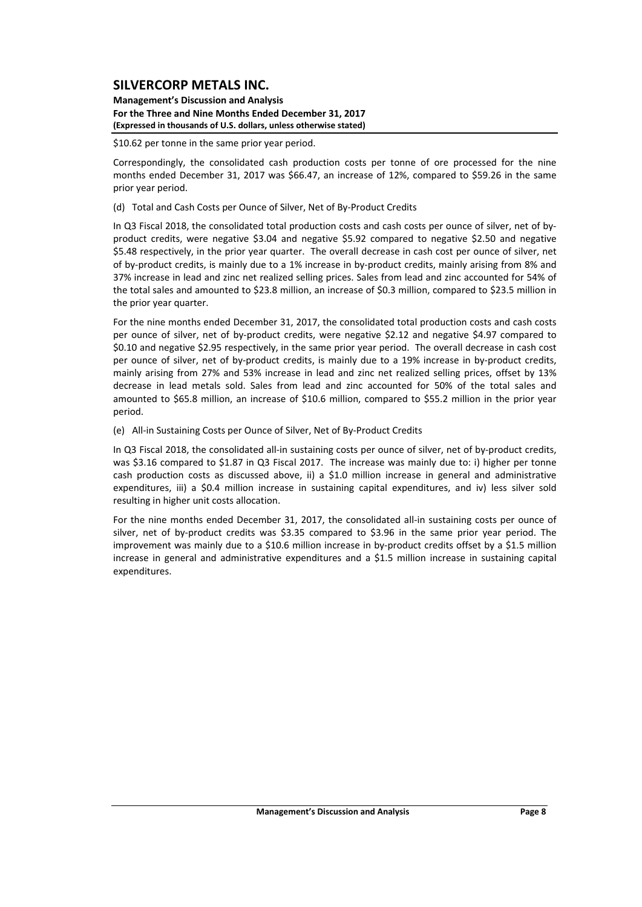**Management's Discussion and Analysis For the Three and Nine Months Ended December 31, 2017 (Expressed in thousands of U.S. dollars, unless otherwise stated)**

\$10.62 per tonne in the same prior year period.

Correspondingly, the consolidated cash production costs per tonne of ore processed for the nine months ended December 31, 2017 was \$66.47, an increase of 12%, compared to \$59.26 in the same prior year period.

(d) Total and Cash Costs per Ounce of Silver, Net of By‐Product Credits

In Q3 Fiscal 2018, the consolidated total production costs and cash costs per ounce of silver, net of by‐ product credits, were negative \$3.04 and negative \$5.92 compared to negative \$2.50 and negative \$5.48 respectively, in the prior year quarter. The overall decrease in cash cost per ounce of silver, net of by‐product credits, is mainly due to a 1% increase in by‐product credits, mainly arising from 8% and 37% increase in lead and zinc net realized selling prices. Sales from lead and zinc accounted for 54% of the total sales and amounted to \$23.8 million, an increase of \$0.3 million, compared to \$23.5 million in the prior year quarter.

For the nine months ended December 31, 2017, the consolidated total production costs and cash costs per ounce of silver, net of by-product credits, were negative \$2.12 and negative \$4.97 compared to \$0.10 and negative \$2.95 respectively, in the same prior year period. The overall decrease in cash cost per ounce of silver, net of by‐product credits, is mainly due to a 19% increase in by‐product credits, mainly arising from 27% and 53% increase in lead and zinc net realized selling prices, offset by 13% decrease in lead metals sold. Sales from lead and zinc accounted for 50% of the total sales and amounted to \$65.8 million, an increase of \$10.6 million, compared to \$55.2 million in the prior year period.

(e) All‐in Sustaining Costs per Ounce of Silver, Net of By‐Product Credits

In Q3 Fiscal 2018, the consolidated all-in sustaining costs per ounce of silver, net of by-product credits, was \$3.16 compared to \$1.87 in Q3 Fiscal 2017. The increase was mainly due to: i) higher per tonne cash production costs as discussed above, ii) a \$1.0 million increase in general and administrative expenditures, iii) a \$0.4 million increase in sustaining capital expenditures, and iv) less silver sold resulting in higher unit costs allocation.

For the nine months ended December 31, 2017, the consolidated all-in sustaining costs per ounce of silver, net of by-product credits was \$3.35 compared to \$3.96 in the same prior year period. The improvement was mainly due to a \$10.6 million increase in by-product credits offset by a \$1.5 million increase in general and administrative expenditures and a \$1.5 million increase in sustaining capital expenditures.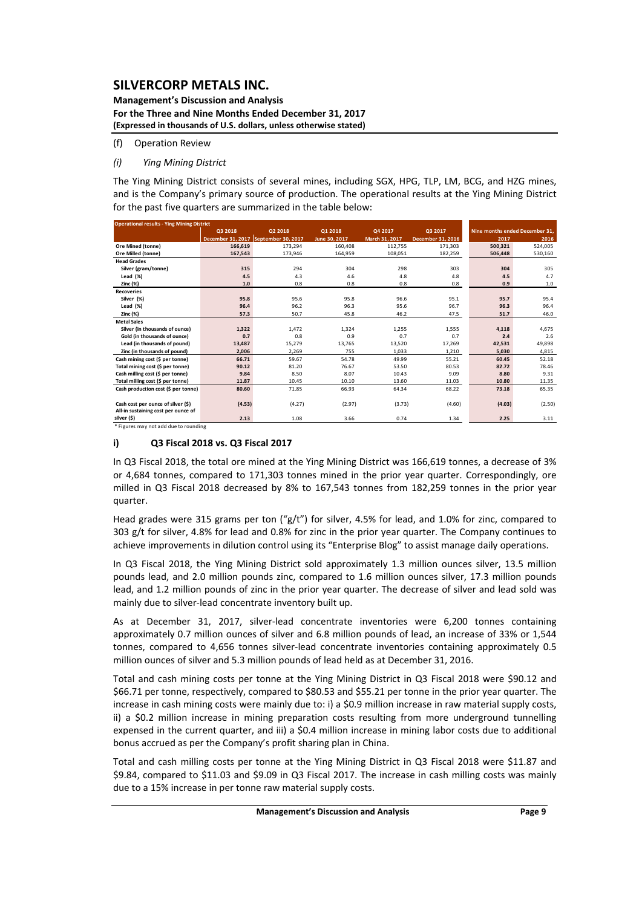**Management's Discussion and Analysis For the Three and Nine Months Ended December 31, 2017 (Expressed in thousands of U.S. dollars, unless otherwise stated)**

(f) Operation Review

### *(i) Ying Mining District*

The Ying Mining District consists of several mines, including SGX, HPG, TLP, LM, BCG, and HZG mines, and is the Company's primary source of production. The operational results at the Ying Mining District for the past five quarters are summarized in the table below:

| <b>Operational results - Ying Mining District</b> |                                      |         |               |                |                   |                                |         |
|---------------------------------------------------|--------------------------------------|---------|---------------|----------------|-------------------|--------------------------------|---------|
|                                                   | Q3 2018                              | 02 2018 | 01 2018       | Q4 2017        | Q3 2017           | Nine months ended December 31. |         |
|                                                   | December 31, 2017 September 30, 2017 |         | June 30, 2017 | March 31, 2017 | December 31, 2016 | 2017                           | 2016    |
| Ore Mined (tonne)                                 | 166.619                              | 173.294 | 160,408       | 112.755        | 171.303           | 500.321                        | 524,005 |
| Ore Milled (tonne)                                | 167,543                              | 173,946 | 164,959       | 108,051        | 182,259           | 506,448                        | 530,160 |
| <b>Head Grades</b>                                |                                      |         |               |                |                   |                                |         |
| Silver (gram/tonne)                               | 315                                  | 294     | 304           | 298            | 303               | 304                            | 305     |
| Lead (%)                                          | 4.5                                  | 4.3     | 4.6           | 4.8            | 4.8               | 4.5                            | 4.7     |
| Zinc (%)                                          | $1.0$                                | 0.8     | 0.8           | 0.8            | 0.8               | 0.9                            | 1.0     |
| <b>Recoveries</b>                                 |                                      |         |               |                |                   |                                |         |
| Silver (%)                                        | 95.8                                 | 95.6    | 95.8          | 96.6           | 95.1              | 95.7                           | 95.4    |
| Lead (%)                                          | 96.4                                 | 96.2    | 96.3          | 95.6           | 96.7              | 96.3                           | 96.4    |
| Zinc (%)                                          | 57.3                                 | 50.7    | 45.8          | 46.2           | 47.5              | 51.7                           | 46.0    |
| <b>Metal Sales</b>                                |                                      |         |               |                |                   |                                |         |
| Silver (in thousands of ounce)                    | 1,322                                | 1,472   | 1.324         | 1,255          | 1,555             | 4,118                          | 4,675   |
| Gold (in thousands of ounce)                      | 0.7                                  | 0.8     | 0.9           | 0.7            | 0.7               | 2.4                            | 2.6     |
| Lead (in thousands of pound)                      | 13.487                               | 15,279  | 13.765        | 13.520         | 17.269            | 42,531                         | 49,898  |
| Zinc (in thousands of pound)                      | 2,006                                | 2,269   | 755           | 1,033          | 1,210             | 5,030                          | 4,815   |
| Cash mining cost (\$ per tonne)                   | 66.71                                | 59.67   | 54.78         | 49.99          | 55.21             | 60.45                          | 52.18   |
| Total mining cost (\$ per tonne)                  | 90.12                                | 81.20   | 76.67         | 53.50          | 80.53             | 82.72                          | 78.46   |
| Cash milling cost (\$ per tonne)                  | 9.84                                 | 8.50    | 8.07          | 10.43          | 9.09              | 8.80                           | 9.31    |
| Total milling cost (\$ per tonne)                 | 11.87                                | 10.45   | 10.10         | 13.60          | 11.03             | 10.80                          | 11.35   |
| Cash production cost (\$ per tonne)               | 80.60                                | 71.85   | 66.93         | 64.34          | 68.22             | 73.18                          | 65.35   |
|                                                   |                                      |         |               |                |                   |                                |         |
| Cash cost per ounce of silver (\$)                | (4.53)                               | (4.27)  | (2.97)        | (3.73)         | (4.60)            | (4.03)                         | (2.50)  |
| All-in sustaining cost per ounce of               |                                      |         |               |                |                   |                                |         |
| silver (\$)                                       | 2.13                                 | 1.08    | 3.66          | 0.74           | 1.34              | 2.25                           | 3.11    |

\* Figures may not add due to rounding

### **i) Q3 Fiscal 2018 vs. Q3 Fiscal 2017**

In Q3 Fiscal 2018, the total ore mined at the Ying Mining District was 166,619 tonnes, a decrease of 3% or 4,684 tonnes, compared to 171,303 tonnes mined in the prior year quarter. Correspondingly, ore milled in Q3 Fiscal 2018 decreased by 8% to 167,543 tonnes from 182,259 tonnes in the prior year quarter.

Head grades were 315 grams per ton (" $g/t$ ") for silver, 4.5% for lead, and 1.0% for zinc, compared to 303 g/t for silver, 4.8% for lead and 0.8% for zinc in the prior year quarter. The Company continues to achieve improvements in dilution control using its "Enterprise Blog" to assist manage daily operations.

In Q3 Fiscal 2018, the Ying Mining District sold approximately 1.3 million ounces silver, 13.5 million pounds lead, and 2.0 million pounds zinc, compared to 1.6 million ounces silver, 17.3 million pounds lead, and 1.2 million pounds of zinc in the prior year quarter. The decrease of silver and lead sold was mainly due to silver‐lead concentrate inventory built up.

As at December 31, 2017, silver-lead concentrate inventories were 6,200 tonnes containing approximately 0.7 million ounces of silver and 6.8 million pounds of lead, an increase of 33% or 1,544 tonnes, compared to 4,656 tonnes silver-lead concentrate inventories containing approximately 0.5 million ounces of silver and 5.3 million pounds of lead held as at December 31, 2016.

Total and cash mining costs per tonne at the Ying Mining District in Q3 Fiscal 2018 were \$90.12 and \$66.71 per tonne, respectively, compared to \$80.53 and \$55.21 per tonne in the prior year quarter. The increase in cash mining costs were mainly due to: i) a \$0.9 million increase in raw material supply costs, ii) a \$0.2 million increase in mining preparation costs resulting from more underground tunnelling expensed in the current quarter, and iii) a \$0.4 million increase in mining labor costs due to additional bonus accrued as per the Company's profit sharing plan in China.

Total and cash milling costs per tonne at the Ying Mining District in Q3 Fiscal 2018 were \$11.87 and \$9.84, compared to \$11.03 and \$9.09 in Q3 Fiscal 2017. The increase in cash milling costs was mainly due to a 15% increase in per tonne raw material supply costs.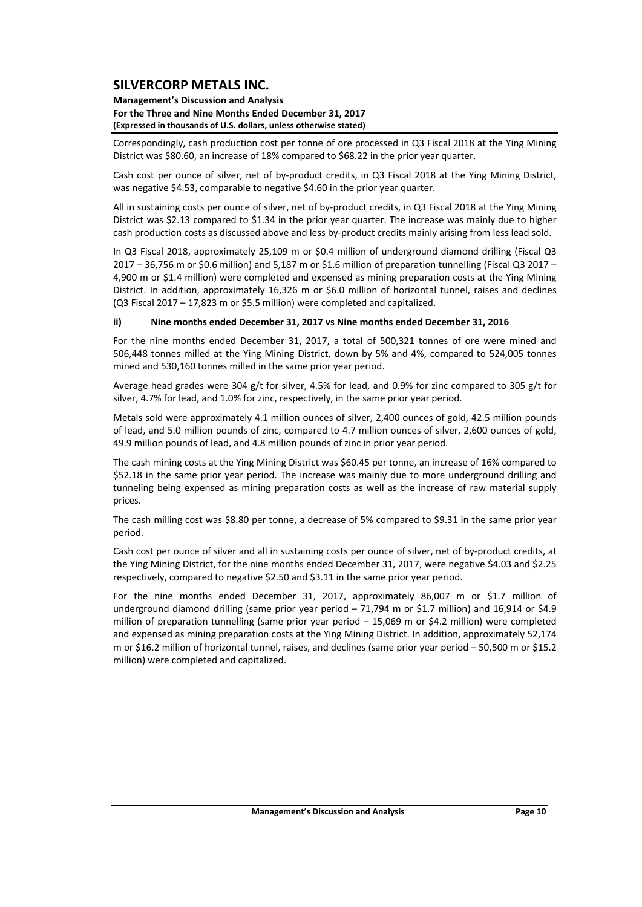#### **Management's Discussion and Analysis For the Three and Nine Months Ended December 31, 2017 (Expressed in thousands of U.S. dollars, unless otherwise stated)**

Correspondingly, cash production cost per tonne of ore processed in Q3 Fiscal 2018 at the Ying Mining District was \$80.60, an increase of 18% compared to \$68.22 in the prior year quarter.

Cash cost per ounce of silver, net of by-product credits, in Q3 Fiscal 2018 at the Ying Mining District, was negative \$4.53, comparable to negative \$4.60 in the prior year quarter.

All in sustaining costs per ounce of silver, net of by‐product credits, in Q3 Fiscal 2018 at the Ying Mining District was \$2.13 compared to \$1.34 in the prior year quarter. The increase was mainly due to higher cash production costs as discussed above and less by‐product credits mainly arising from less lead sold.

In Q3 Fiscal 2018, approximately 25,109 m or \$0.4 million of underground diamond drilling (Fiscal Q3 2017 – 36,756 m or \$0.6 million) and 5,187 m or \$1.6 million of preparation tunnelling (Fiscal Q3 2017 – 4,900 m or \$1.4 million) were completed and expensed as mining preparation costs at the Ying Mining District. In addition, approximately 16,326 m or \$6.0 million of horizontal tunnel, raises and declines (Q3 Fiscal 2017 – 17,823 m or \$5.5 million) were completed and capitalized.

### **ii) Nine months ended December 31, 2017 vs Nine months ended December 31, 2016**

For the nine months ended December 31, 2017, a total of 500,321 tonnes of ore were mined and 506,448 tonnes milled at the Ying Mining District, down by 5% and 4%, compared to 524,005 tonnes mined and 530,160 tonnes milled in the same prior year period.

Average head grades were 304 g/t for silver, 4.5% for lead, and 0.9% for zinc compared to 305 g/t for silver, 4.7% for lead, and 1.0% for zinc, respectively, in the same prior year period.

Metals sold were approximately 4.1 million ounces of silver, 2,400 ounces of gold, 42.5 million pounds of lead, and 5.0 million pounds of zinc, compared to 4.7 million ounces of silver, 2,600 ounces of gold, 49.9 million pounds of lead, and 4.8 million pounds of zinc in prior year period.

The cash mining costs at the Ying Mining District was \$60.45 per tonne, an increase of 16% compared to \$52.18 in the same prior year period. The increase was mainly due to more underground drilling and tunneling being expensed as mining preparation costs as well as the increase of raw material supply prices.

The cash milling cost was \$8.80 per tonne, a decrease of 5% compared to \$9.31 in the same prior year period.

Cash cost per ounce of silver and all in sustaining costs per ounce of silver, net of by‐product credits, at the Ying Mining District, for the nine months ended December 31, 2017, were negative \$4.03 and \$2.25 respectively, compared to negative \$2.50 and \$3.11 in the same prior year period.

For the nine months ended December 31, 2017, approximately 86,007 m or \$1.7 million of underground diamond drilling (same prior year period - 71,794 m or \$1.7 million) and 16,914 or \$4.9 million of preparation tunnelling (same prior year period – 15,069 m or \$4.2 million) were completed and expensed as mining preparation costs at the Ying Mining District. In addition, approximately 52,174 m or \$16.2 million of horizontal tunnel, raises, and declines (same prior year period – 50,500 m or \$15.2 million) were completed and capitalized.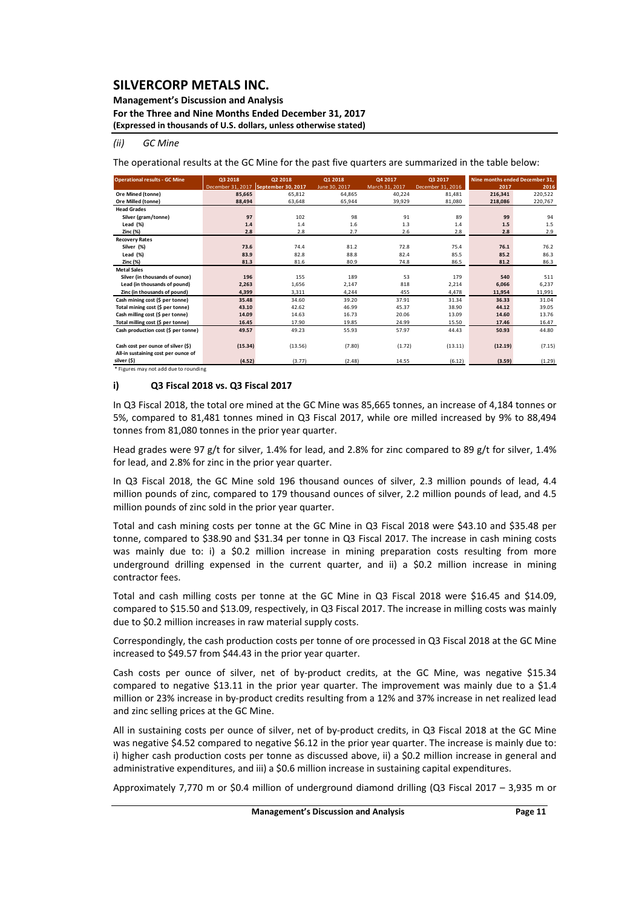### **Management's Discussion and Analysis**

**For the Three and Nine Months Ended December 31, 2017**

**(Expressed in thousands of U.S. dollars, unless otherwise stated)**

#### *(ii) GC Mine*

The operational results at the GC Mine for the past five quarters are summarized in the table below:

| <b>Operational results - GC Mine</b> | Q3 2018 | Q2 2018                              | 01 2018       | Q4 2017        | Q3 2017           | Nine months ended December 31. |         |
|--------------------------------------|---------|--------------------------------------|---------------|----------------|-------------------|--------------------------------|---------|
|                                      |         | December 31, 2017 September 30, 2017 | June 30, 2017 | March 31, 2017 | December 31, 2016 | 2017                           | 2016    |
| Ore Mined (tonne)                    | 85.665  | 65.812                               | 64.865        | 40,224         | 81.481            | 216.341                        | 220,522 |
| Ore Milled (tonne)                   | 88,494  | 63,648                               | 65,944        | 39,929         | 81,080            | 218,086                        | 220,767 |
| <b>Head Grades</b>                   |         |                                      |               |                |                   |                                |         |
| Silver (gram/tonne)                  | 97      | 102                                  | 98            | 91             | 89                | 99                             | 94      |
| Lead $(\%)$                          | 1.4     | 1.4                                  | 1.6           | 1.3            | 1.4               | 1.5                            | 1.5     |
| Zinc (%)                             | 2.8     | 2.8                                  | 2.7           | 2.6            | 2.8               | 2.8                            | 2.9     |
| <b>Recovery Rates</b>                |         |                                      |               |                |                   |                                |         |
| Silver (%)                           | 73.6    | 74.4                                 | 81.2          | 72.8           | 75.4              | 76.1                           | 76.2    |
| Lead (%)                             | 83.9    | 82.8                                 | 88.8          | 82.4           | 85.5              | 85.2                           | 86.3    |
| Zinc (%)                             | 81.3    | 81.6                                 | 80.9          | 74.8           | 86.5              | 81.2                           | 86.3    |
| <b>Metal Sales</b>                   |         |                                      |               |                |                   |                                |         |
| Silver (in thousands of ounce)       | 196     | 155                                  | 189           | 53             | 179               | 540                            | 511     |
| Lead (in thousands of pound)         | 2,263   | 1,656                                | 2.147         | 818            | 2,214             | 6,066                          | 6,237   |
| Zinc (in thousands of pound)         | 4,399   | 3,311                                | 4.244         | 455            | 4,478             | 11,954                         | 11,991  |
| Cash mining cost (\$ per tonne)      | 35.48   | 34.60                                | 39.20         | 37.91          | 31.34             | 36.33                          | 31.04   |
| Total mining cost (\$ per tonne)     | 43.10   | 42.62                                | 46.99         | 45.37          | 38.90             | 44.12                          | 39.05   |
| Cash milling cost (\$ per tonne)     | 14.09   | 14.63                                | 16.73         | 20.06          | 13.09             | 14.60                          | 13.76   |
| Total milling cost (\$ per tonne)    | 16.45   | 17.90                                | 19.85         | 24.99          | 15.50             | 17.46                          | 16.47   |
| Cash production cost (\$ per tonne)  | 49.57   | 49.23                                | 55.93         | 57.97          | 44.43             | 50.93                          | 44.80   |
|                                      |         |                                      |               |                |                   |                                |         |
| Cash cost per ounce of silver (\$)   | (15.34) | (13.56)                              | (7.80)        | (1.72)         | (13.11)           | (12.19)                        | (7.15)  |
| All-in sustaining cost per ounce of  |         |                                      |               |                |                   |                                |         |
| silver (\$)                          | (4.52)  | (3.77)                               | (2.48)        | 14.55          | (6.12)            | (3.59)                         | (1.29)  |

\* Figures may not add due to rounding

#### **i) Q3 Fiscal 2018 vs. Q3 Fiscal 2017**

In Q3 Fiscal 2018, the total ore mined at the GC Mine was 85,665 tonnes, an increase of 4,184 tonnes or 5%, compared to 81,481 tonnes mined in Q3 Fiscal 2017, while ore milled increased by 9% to 88,494 tonnes from 81,080 tonnes in the prior year quarter.

Head grades were 97 g/t for silver, 1.4% for lead, and 2.8% for zinc compared to 89 g/t for silver, 1.4% for lead, and 2.8% for zinc in the prior year quarter.

In Q3 Fiscal 2018, the GC Mine sold 196 thousand ounces of silver, 2.3 million pounds of lead, 4.4 million pounds of zinc, compared to 179 thousand ounces of silver, 2.2 million pounds of lead, and 4.5 million pounds of zinc sold in the prior year quarter.

Total and cash mining costs per tonne at the GC Mine in Q3 Fiscal 2018 were \$43.10 and \$35.48 per tonne, compared to \$38.90 and \$31.34 per tonne in Q3 Fiscal 2017. The increase in cash mining costs was mainly due to: i) a \$0.2 million increase in mining preparation costs resulting from more underground drilling expensed in the current quarter, and ii) a \$0.2 million increase in mining contractor fees.

Total and cash milling costs per tonne at the GC Mine in Q3 Fiscal 2018 were \$16.45 and \$14.09, compared to \$15.50 and \$13.09, respectively, in Q3 Fiscal 2017. The increase in milling costs was mainly due to \$0.2 million increases in raw material supply costs.

Correspondingly, the cash production costs per tonne of ore processed in Q3 Fiscal 2018 at the GC Mine increased to \$49.57 from \$44.43 in the prior year quarter.

Cash costs per ounce of silver, net of by-product credits, at the GC Mine, was negative \$15.34 compared to negative \$13.11 in the prior year quarter. The improvement was mainly due to a \$1.4 million or 23% increase in by-product credits resulting from a 12% and 37% increase in net realized lead and zinc selling prices at the GC Mine.

All in sustaining costs per ounce of silver, net of by‐product credits, in Q3 Fiscal 2018 at the GC Mine was negative \$4.52 compared to negative \$6.12 in the prior year quarter. The increase is mainly due to: i) higher cash production costs per tonne as discussed above, ii) a \$0.2 million increase in general and administrative expenditures, and iii) a \$0.6 million increase in sustaining capital expenditures.

Approximately 7,770 m or \$0.4 million of underground diamond drilling (Q3 Fiscal 2017 – 3,935 m or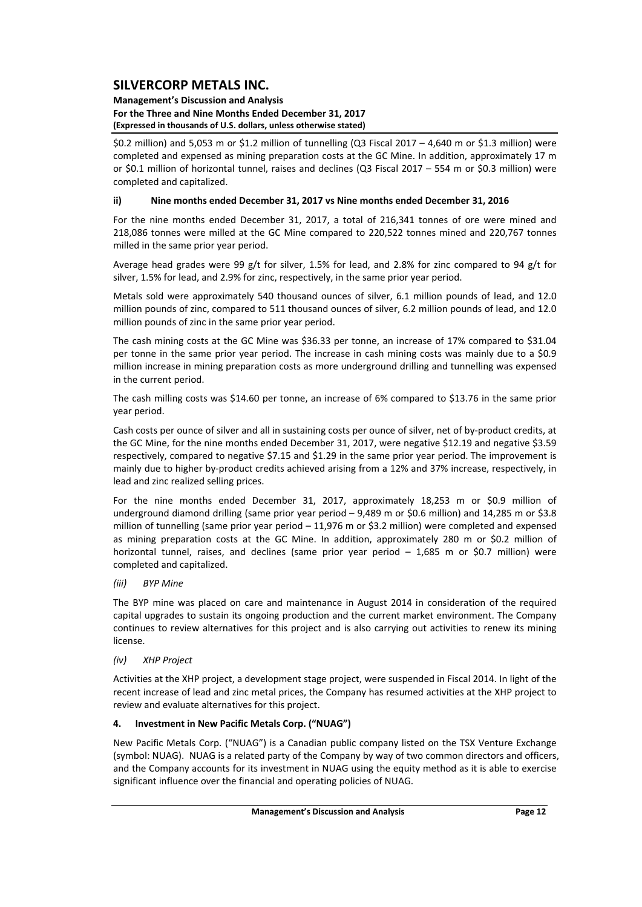#### **Management's Discussion and Analysis For the Three and Nine Months Ended December 31, 2017 (Expressed in thousands of U.S. dollars, unless otherwise stated)**

\$0.2 million) and 5,053 m or \$1.2 million of tunnelling (Q3 Fiscal 2017 – 4,640 m or \$1.3 million) were completed and expensed as mining preparation costs at the GC Mine. In addition, approximately 17 m or \$0.1 million of horizontal tunnel, raises and declines (Q3 Fiscal 2017 – 554 m or \$0.3 million) were completed and capitalized.

### **ii) Nine months ended December 31, 2017 vs Nine months ended December 31, 2016**

For the nine months ended December 31, 2017, a total of 216,341 tonnes of ore were mined and 218,086 tonnes were milled at the GC Mine compared to 220,522 tonnes mined and 220,767 tonnes milled in the same prior year period.

Average head grades were 99 g/t for silver, 1.5% for lead, and 2.8% for zinc compared to 94 g/t for silver, 1.5% for lead, and 2.9% for zinc, respectively, in the same prior year period.

Metals sold were approximately 540 thousand ounces of silver, 6.1 million pounds of lead, and 12.0 million pounds of zinc, compared to 511 thousand ounces of silver, 6.2 million pounds of lead, and 12.0 million pounds of zinc in the same prior year period.

The cash mining costs at the GC Mine was \$36.33 per tonne, an increase of 17% compared to \$31.04 per tonne in the same prior year period. The increase in cash mining costs was mainly due to a \$0.9 million increase in mining preparation costs as more underground drilling and tunnelling was expensed in the current period.

The cash milling costs was \$14.60 per tonne, an increase of 6% compared to \$13.76 in the same prior year period.

Cash costs per ounce of silver and all in sustaining costs per ounce of silver, net of by‐product credits, at the GC Mine, for the nine months ended December 31, 2017, were negative \$12.19 and negative \$3.59 respectively, compared to negative \$7.15 and \$1.29 in the same prior year period. The improvement is mainly due to higher by‐product credits achieved arising from a 12% and 37% increase, respectively, in lead and zinc realized selling prices.

For the nine months ended December 31, 2017, approximately 18,253 m or \$0.9 million of underground diamond drilling (same prior year period – 9,489 m or \$0.6 million) and 14,285 m or \$3.8 million of tunnelling (same prior year period  $-11,976$  m or \$3.2 million) were completed and expensed as mining preparation costs at the GC Mine. In addition, approximately 280 m or \$0.2 million of horizontal tunnel, raises, and declines (same prior year period - 1,685 m or \$0.7 million) were completed and capitalized.

### *(iii) BYP Mine*

The BYP mine was placed on care and maintenance in August 2014 in consideration of the required capital upgrades to sustain its ongoing production and the current market environment. The Company continues to review alternatives for this project and is also carrying out activities to renew its mining license.

### *(iv) XHP Project*

Activities at the XHP project, a development stage project, were suspended in Fiscal 2014. In light of the recent increase of lead and zinc metal prices, the Company has resumed activities at the XHP project to review and evaluate alternatives for this project.

### **4. Investment in New Pacific Metals Corp. ("NUAG")**

New Pacific Metals Corp. ("NUAG") is a Canadian public company listed on the TSX Venture Exchange (symbol: NUAG). NUAG is a related party of the Company by way of two common directors and officers, and the Company accounts for its investment in NUAG using the equity method as it is able to exercise significant influence over the financial and operating policies of NUAG.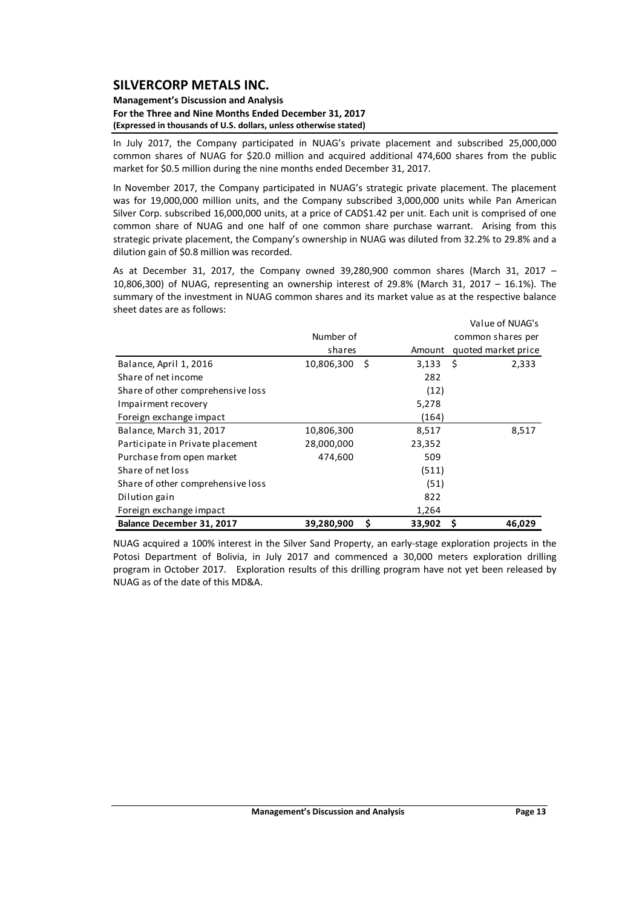#### **Management's Discussion and Analysis For the Three and Nine Months Ended December 31, 2017 (Expressed in thousands of U.S. dollars, unless otherwise stated)**

In July 2017, the Company participated in NUAG's private placement and subscribed 25,000,000 common shares of NUAG for \$20.0 million and acquired additional 474,600 shares from the public market for \$0.5 million during the nine months ended December 31, 2017.

In November 2017, the Company participated in NUAG's strategic private placement. The placement was for 19,000,000 million units, and the Company subscribed 3,000,000 units while Pan American Silver Corp. subscribed 16,000,000 units, at a price of CAD\$1.42 per unit. Each unit is comprised of one common share of NUAG and one half of one common share purchase warrant. Arising from this strategic private placement, the Company's ownership in NUAG was diluted from 32.2% to 29.8% and a dilution gain of \$0.8 million was recorded.

As at December 31, 2017, the Company owned 39,280,900 common shares (March 31, 2017 – 10,806,300) of NUAG, representing an ownership interest of 29.8% (March 31, 2017 – 16.1%). The summary of the investment in NUAG common shares and its market value as at the respective balance sheet dates are as follows:

|                                   |                   |              | Value of NUAG's     |
|-----------------------------------|-------------------|--------------|---------------------|
|                                   | Number of         |              | common shares per   |
|                                   | shares            | Amount       | quoted market price |
| Balance, April 1, 2016            | 10,806,300<br>-\$ | 3,133        | - \$<br>2,333       |
| Share of net income               |                   | 282          |                     |
| Share of other comprehensive loss |                   | (12)         |                     |
| Impairment recovery               |                   | 5,278        |                     |
| Foreign exchange impact           |                   | (164)        |                     |
| Balance, March 31, 2017           | 10,806,300        | 8,517        | 8,517               |
| Participate in Private placement  | 28,000,000        | 23,352       |                     |
| Purchase from open market         | 474,600           | 509          |                     |
| Share of net loss                 |                   | (511)        |                     |
| Share of other comprehensive loss |                   | (51)         |                     |
| Dilution gain                     |                   | 822          |                     |
| Foreign exchange impact           |                   | 1,264        |                     |
| Balance December 31, 2017         | 39,280,900        | \$<br>33,902 | \$<br>46,029        |

NUAG acquired a 100% interest in the Silver Sand Property, an early‐stage exploration projects in the Potosi Department of Bolivia, in July 2017 and commenced a 30,000 meters exploration drilling program in October 2017. Exploration results of this drilling program have not yet been released by NUAG as of the date of this MD&A.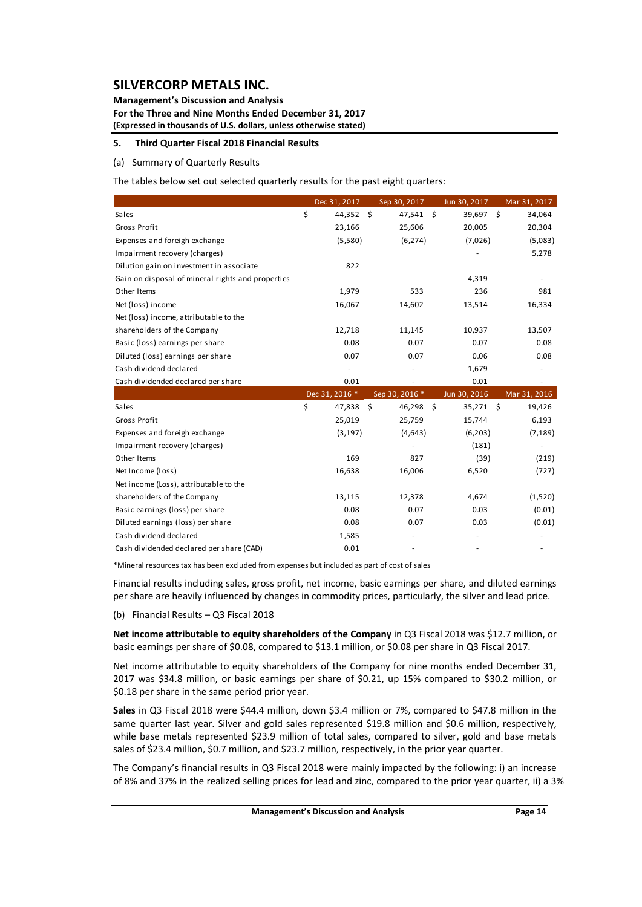**Management's Discussion and Analysis For the Three and Nine Months Ended December 31, 2017 (Expressed in thousands of U.S. dollars, unless otherwise stated)**

### **5. Third Quarter Fiscal 2018 Financial Results**

#### (a) Summary of Quarterly Results

The tables below set out selected quarterly results for the past eight quarters:

|                                                   | Dec 31, 2017   | Sep 30, 2017    | Jun 30, 2017      | Mar 31, 2017 |
|---------------------------------------------------|----------------|-----------------|-------------------|--------------|
| Sales                                             | \$<br>44,352   | \$<br>47,541 \$ | 39,697 \$         | 34,064       |
| Gross Profit                                      | 23,166         | 25,606          | 20,005            | 20,304       |
| Expenses and foreigh exchange                     | (5,580)        | (6, 274)        | (7,026)           | (5,083)      |
| Impairment recovery (charges)                     |                |                 |                   | 5,278        |
| Dilution gain on investment in associate          | 822            |                 |                   |              |
| Gain on disposal of mineral rights and properties |                |                 | 4,319             |              |
| Other Items                                       | 1,979          | 533             | 236               | 981          |
| Net (loss) income                                 | 16,067         | 14,602          | 13,514            | 16,334       |
| Net (loss) income, attributable to the            |                |                 |                   |              |
| shareholders of the Company                       | 12,718         | 11,145          | 10,937            | 13,507       |
| Basic (loss) earnings per share                   | 0.08           | 0.07            | 0.07              | 0.08         |
| Diluted (loss) earnings per share                 | 0.07           | 0.07            | 0.06              | 0.08         |
| Cash dividend declared                            |                |                 | 1,679             |              |
| Cash dividended declared per share                | 0.01           |                 | 0.01              |              |
|                                                   | Dec 31, 2016 * | Sep 30, 2016 *  | Jun 30, 2016      | Mar 31, 2016 |
| Sales                                             | \$<br>47,838   | \$<br>46,298    | - \$<br>35,271 \$ | 19,426       |
| Gross Profit                                      | 25,019         | 25,759          | 15,744            | 6,193        |
| Expenses and foreigh exchange                     | (3, 197)       | (4,643)         | (6,203)           | (7, 189)     |
| Impairment recovery (charges)                     |                |                 | (181)             |              |
| Other Items                                       | 169            | 827             | (39)              | (219)        |
| Net Income (Loss)                                 | 16,638         | 16,006          | 6,520             | (727)        |
| Net income (Loss), attributable to the            |                |                 |                   |              |
|                                                   |                |                 |                   |              |
| shareholders of the Company                       | 13,115         | 12,378          | 4,674             | (1,520)      |
| Basic earnings (loss) per share                   | 0.08           | 0.07            | 0.03              | (0.01)       |
| Diluted earnings (loss) per share                 | 0.08           | 0.07            | 0.03              | (0.01)       |
| Cash dividend declared                            | 1,585          |                 |                   |              |

\*Mineral resources tax has been excluded from expenses but included as part of cost of sales

Financial results including sales, gross profit, net income, basic earnings per share, and diluted earnings per share are heavily influenced by changes in commodity prices, particularly, the silver and lead price.

(b) Financial Results – Q3 Fiscal 2018

**Net income attributable to equity shareholders of the Company** in Q3 Fiscal 2018 was \$12.7 million, or basic earnings per share of \$0.08, compared to \$13.1 million, or \$0.08 per share in Q3 Fiscal 2017.

Net income attributable to equity shareholders of the Company for nine months ended December 31, 2017 was \$34.8 million, or basic earnings per share of \$0.21, up 15% compared to \$30.2 million, or \$0.18 per share in the same period prior year.

**Sales** in Q3 Fiscal 2018 were \$44.4 million, down \$3.4 million or 7%, compared to \$47.8 million in the same quarter last year. Silver and gold sales represented \$19.8 million and \$0.6 million, respectively, while base metals represented \$23.9 million of total sales, compared to silver, gold and base metals sales of \$23.4 million, \$0.7 million, and \$23.7 million, respectively, in the prior year quarter.

The Company's financial results in Q3 Fiscal 2018 were mainly impacted by the following: i) an increase of 8% and 37% in the realized selling prices for lead and zinc, compared to the prior year quarter, ii) a 3%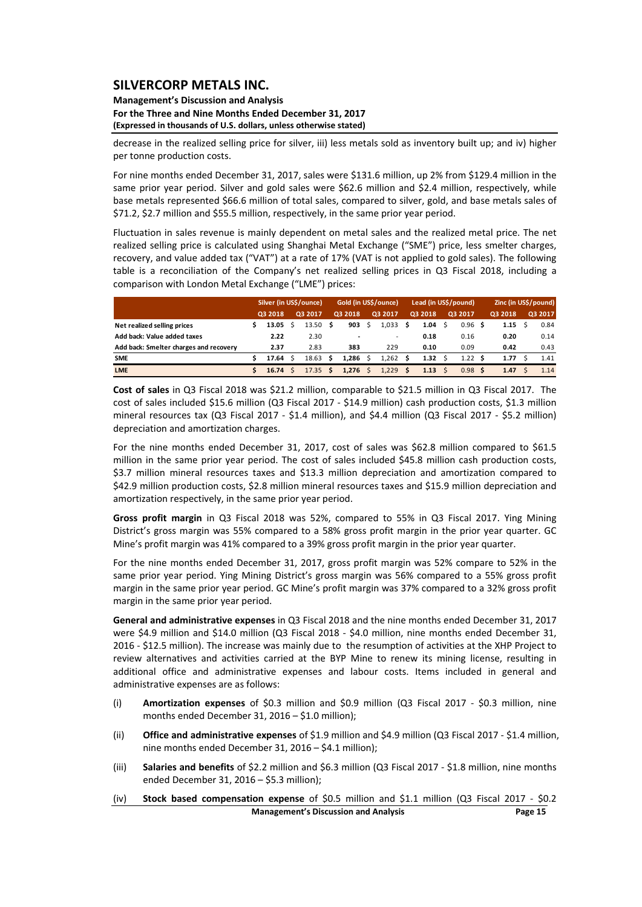**Management's Discussion and Analysis For the Three and Nine Months Ended December 31, 2017 (Expressed in thousands of U.S. dollars, unless otherwise stated)**

decrease in the realized selling price for silver, iii) less metals sold as inventory built up; and iv) higher per tonne production costs.

For nine months ended December 31, 2017, sales were \$131.6 million, up 2% from \$129.4 million in the same prior year period. Silver and gold sales were \$62.6 million and \$2.4 million, respectively, while base metals represented \$66.6 million of total sales, compared to silver, gold, and base metals sales of \$71.2, \$2.7 million and \$55.5 million, respectively, in the same prior year period.

Fluctuation in sales revenue is mainly dependent on metal sales and the realized metal price. The net realized selling price is calculated using Shanghai Metal Exchange ("SME") price, less smelter charges, recovery, and value added tax ("VAT") at a rate of 17% (VAT is not applied to gold sales). The following table is a reconciliation of the Company's net realized selling prices in Q3 Fiscal 2018, including a comparison with London Metal Exchange ("LME") prices:

|                                        | Silver (in US\$/ounce) |       |         |                    | Gold (in US\$/ounce) |       |         | Lead (in US\$/pound)     |          |              |         | Zinc (in US\$/pound) |         |      |         |      |
|----------------------------------------|------------------------|-------|---------|--------------------|----------------------|-------|---------|--------------------------|----------|--------------|---------|----------------------|---------|------|---------|------|
|                                        | Q3 2018                |       | Q3 2017 |                    | Q3 2018              |       | Q3 2017 |                          | Q3 2018  |              | Q3 2017 |                      | Q3 2018 |      | Q3 2017 |      |
| Net realized selling prices            |                        | 13.05 |         | 13.50 <sub>5</sub> |                      | 903   |         | 1.033                    | s        | 1.04         | - S     | 0.96                 |         | 1.15 |         | 0.84 |
| Add back: Value added taxes            |                        | 2.22  |         | 2.30               |                      |       |         | $\overline{\phantom{a}}$ |          | 0.18         |         | 0.16                 |         | 0.20 |         | 0.14 |
| Add back: Smelter charges and recovery |                        | 2.37  |         | 2.83               |                      | 383   |         | 229                      |          | 0.10         |         | 0.09                 |         | 0.42 |         | 0.43 |
| <b>SME</b>                             |                        | 17.64 |         | 18.63              | - S                  | 1.286 |         | 1.262                    | S        | 1.32         |         | 1.22 $\frac{1}{5}$   |         | 1.77 |         | 1.41 |
| <b>LME</b>                             |                        | 16.74 |         | $17.35 \tS$        |                      | 1.276 | Ś.      | 1.229                    | <b>S</b> | $1.13 \quad$ |         | 0.98                 | S       | 1.47 |         | 1.14 |

**Cost of sales** in Q3 Fiscal 2018 was \$21.2 million, comparable to \$21.5 million in Q3 Fiscal 2017. The cost of sales included \$15.6 million (Q3 Fiscal 2017 ‐ \$14.9 million) cash production costs, \$1.3 million mineral resources tax (Q3 Fiscal 2017 - \$1.4 million), and \$4.4 million (Q3 Fiscal 2017 - \$5.2 million) depreciation and amortization charges.

For the nine months ended December 31, 2017, cost of sales was \$62.8 million compared to \$61.5 million in the same prior year period. The cost of sales included \$45.8 million cash production costs, \$3.7 million mineral resources taxes and \$13.3 million depreciation and amortization compared to \$42.9 million production costs, \$2.8 million mineral resources taxes and \$15.9 million depreciation and amortization respectively, in the same prior year period.

**Gross profit margin** in Q3 Fiscal 2018 was 52%, compared to 55% in Q3 Fiscal 2017. Ying Mining District's gross margin was 55% compared to a 58% gross profit margin in the prior year quarter. GC Mine's profit margin was 41% compared to a 39% gross profit margin in the prior year quarter.

For the nine months ended December 31, 2017, gross profit margin was 52% compare to 52% in the same prior year period. Ying Mining District's gross margin was 56% compared to a 55% gross profit margin in the same prior year period. GC Mine's profit margin was 37% compared to a 32% gross profit margin in the same prior year period.

**General and administrative expenses** in Q3 Fiscal 2018 and the nine months ended December 31, 2017 were \$4.9 million and \$14.0 million (Q3 Fiscal 2018 - \$4.0 million, nine months ended December 31, 2016 ‐ \$12.5 million). The increase was mainly due to the resumption of activities at the XHP Project to review alternatives and activities carried at the BYP Mine to renew its mining license, resulting in additional office and administrative expenses and labour costs. Items included in general and administrative expenses are as follows:

- (i) **Amortization expenses** of \$0.3 million and \$0.9 million (Q3 Fiscal 2017 ‐ \$0.3 million, nine months ended December 31, 2016 – \$1.0 million);
- (ii) **Office and administrative expenses** of \$1.9 million and \$4.9 million (Q3 Fiscal 2017 ‐ \$1.4 million, nine months ended December 31, 2016 – \$4.1 million);
- (iii) **Salaries and benefits** of \$2.2 million and \$6.3 million (Q3 Fiscal 2017 ‐ \$1.8 million, nine months ended December 31, 2016 – \$5.3 million);
- **Management's Discussion and Analysis Page 15** (iv) **Stock based compensation expense** of \$0.5 million and \$1.1 million (Q3 Fiscal 2017 ‐ \$0.2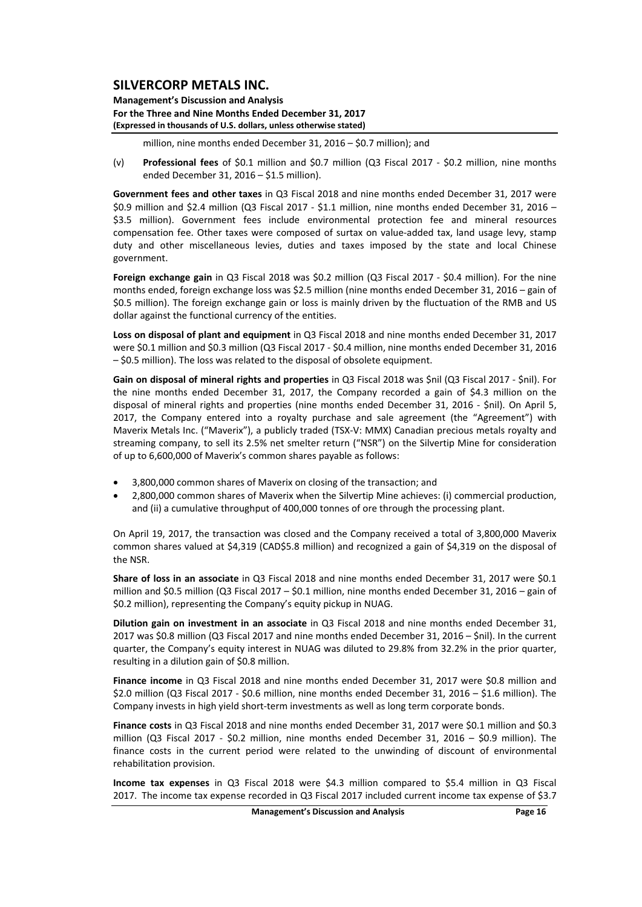**Management's Discussion and Analysis For the Three and Nine Months Ended December 31, 2017 (Expressed in thousands of U.S. dollars, unless otherwise stated)**

million, nine months ended December 31, 2016 – \$0.7 million); and

(v) **Professional fees** of \$0.1 million and \$0.7 million (Q3 Fiscal 2017 ‐ \$0.2 million, nine months ended December 31, 2016 – \$1.5 million).

**Government fees and other taxes** in Q3 Fiscal 2018 and nine months ended December 31, 2017 were \$0.9 million and \$2.4 million (Q3 Fiscal 2017 ‐ \$1.1 million, nine months ended December 31, 2016 – \$3.5 million). Government fees include environmental protection fee and mineral resources compensation fee. Other taxes were composed of surtax on value‐added tax, land usage levy, stamp duty and other miscellaneous levies, duties and taxes imposed by the state and local Chinese government.

**Foreign exchange gain** in Q3 Fiscal 2018 was \$0.2 million (Q3 Fiscal 2017 ‐ \$0.4 million). For the nine months ended, foreign exchange loss was \$2.5 million (nine months ended December 31, 2016 – gain of \$0.5 million). The foreign exchange gain or loss is mainly driven by the fluctuation of the RMB and US dollar against the functional currency of the entities.

**Loss on disposal of plant and equipment** in Q3 Fiscal 2018 and nine months ended December 31, 2017 were \$0.1 million and \$0.3 million (Q3 Fiscal 2017 ‐ \$0.4 million, nine months ended December 31, 2016 – \$0.5 million). The loss was related to the disposal of obsolete equipment.

**Gain on disposal of mineral rights and properties** in Q3 Fiscal 2018 was \$nil (Q3 Fiscal 2017 ‐ \$nil). For the nine months ended December 31, 2017, the Company recorded a gain of \$4.3 million on the disposal of mineral rights and properties (nine months ended December 31, 2016 - \$nil). On April 5, 2017, the Company entered into a royalty purchase and sale agreement (the "Agreement") with Maverix Metals Inc. ("Maverix"), a publicly traded (TSX‐V: MMX) Canadian precious metals royalty and streaming company, to sell its 2.5% net smelter return ("NSR") on the Silvertip Mine for consideration of up to 6,600,000 of Maverix's common shares payable as follows:

- 3,800,000 common shares of Maverix on closing of the transaction; and
- 2,800,000 common shares of Maverix when the Silvertip Mine achieves: (i) commercial production, and (ii) a cumulative throughput of 400,000 tonnes of ore through the processing plant.

On April 19, 2017, the transaction was closed and the Company received a total of 3,800,000 Maverix common shares valued at \$4,319 (CAD\$5.8 million) and recognized a gain of \$4,319 on the disposal of the NSR.

**Share of loss in an associate** in Q3 Fiscal 2018 and nine months ended December 31, 2017 were \$0.1 million and \$0.5 million (Q3 Fiscal 2017 – \$0.1 million, nine months ended December 31, 2016 – gain of \$0.2 million), representing the Company's equity pickup in NUAG.

**Dilution gain on investment in an associate** in Q3 Fiscal 2018 and nine months ended December 31, 2017 was \$0.8 million (Q3 Fiscal 2017 and nine months ended December 31, 2016 – \$nil). In the current quarter, the Company's equity interest in NUAG was diluted to 29.8% from 32.2% in the prior quarter, resulting in a dilution gain of \$0.8 million.

**Finance income** in Q3 Fiscal 2018 and nine months ended December 31, 2017 were \$0.8 million and \$2.0 million (Q3 Fiscal 2017 ‐ \$0.6 million, nine months ended December 31, 2016 – \$1.6 million). The Company invests in high yield short‐term investments as well as long term corporate bonds.

**Finance costs** in Q3 Fiscal 2018 and nine months ended December 31, 2017 were \$0.1 million and \$0.3 million (Q3 Fiscal 2017 - \$0.2 million, nine months ended December 31, 2016 - \$0.9 million). The finance costs in the current period were related to the unwinding of discount of environmental rehabilitation provision.

**Income tax expenses** in Q3 Fiscal 2018 were \$4.3 million compared to \$5.4 million in Q3 Fiscal 2017. The income tax expense recorded in Q3 Fiscal 2017 included current income tax expense of \$3.7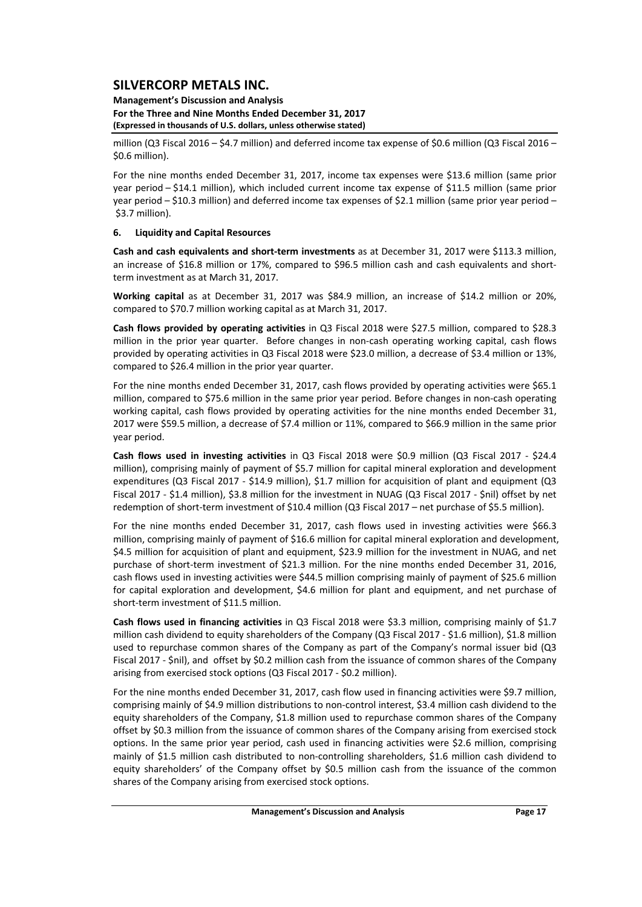### **Management's Discussion and Analysis For the Three and Nine Months Ended December 31, 2017 (Expressed in thousands of U.S. dollars, unless otherwise stated)**

million (Q3 Fiscal 2016 – \$4.7 million) and deferred income tax expense of \$0.6 million (Q3 Fiscal 2016 – \$0.6 million).

For the nine months ended December 31, 2017, income tax expenses were \$13.6 million (same prior year period – \$14.1 million), which included current income tax expense of \$11.5 million (same prior year period – \$10.3 million) and deferred income tax expenses of \$2.1 million (same prior year period – \$3.7 million).

### **6. Liquidity and Capital Resources**

**Cash and cash equivalents and short‐term investments** as at December 31, 2017 were \$113.3 million, an increase of \$16.8 million or 17%, compared to \$96.5 million cash and cash equivalents and shortterm investment as at March 31, 2017.

**Working capital** as at December 31, 2017 was \$84.9 million, an increase of \$14.2 million or 20%, compared to \$70.7 million working capital as at March 31, 2017.

**Cash flows provided by operating activities** in Q3 Fiscal 2018 were \$27.5 million, compared to \$28.3 million in the prior year quarter. Before changes in non-cash operating working capital, cash flows provided by operating activities in Q3 Fiscal 2018 were \$23.0 million, a decrease of \$3.4 million or 13%, compared to \$26.4 million in the prior year quarter.

For the nine months ended December 31, 2017, cash flows provided by operating activities were \$65.1 million, compared to \$75.6 million in the same prior year period. Before changes in non‐cash operating working capital, cash flows provided by operating activities for the nine months ended December 31, 2017 were \$59.5 million, a decrease of \$7.4 million or 11%, compared to \$66.9 million in the same prior year period.

**Cash flows used in investing activities** in Q3 Fiscal 2018 were \$0.9 million (Q3 Fiscal 2017 ‐ \$24.4 million), comprising mainly of payment of \$5.7 million for capital mineral exploration and development expenditures (Q3 Fiscal 2017 - \$14.9 million), \$1.7 million for acquisition of plant and equipment (Q3 Fiscal 2017 ‐ \$1.4 million), \$3.8 million for the investment in NUAG (Q3 Fiscal 2017 ‐ \$nil) offset by net redemption of short-term investment of \$10.4 million (Q3 Fiscal 2017 – net purchase of \$5.5 million).

For the nine months ended December 31, 2017, cash flows used in investing activities were \$66.3 million, comprising mainly of payment of \$16.6 million for capital mineral exploration and development, \$4.5 million for acquisition of plant and equipment, \$23.9 million for the investment in NUAG, and net purchase of short-term investment of \$21.3 million. For the nine months ended December 31, 2016, cash flows used in investing activities were \$44.5 million comprising mainly of payment of \$25.6 million for capital exploration and development, \$4.6 million for plant and equipment, and net purchase of short-term investment of \$11.5 million.

**Cash flows used in financing activities** in Q3 Fiscal 2018 were \$3.3 million, comprising mainly of \$1.7 million cash dividend to equity shareholders of the Company (Q3 Fiscal 2017 - \$1.6 million), \$1.8 million used to repurchase common shares of the Company as part of the Company's normal issuer bid (Q3 Fiscal 2017 ‐ \$nil), and offset by \$0.2 million cash from the issuance of common shares of the Company arising from exercised stock options (Q3 Fiscal 2017 ‐ \$0.2 million).

For the nine months ended December 31, 2017, cash flow used in financing activities were \$9.7 million, comprising mainly of \$4.9 million distributions to non-control interest, \$3.4 million cash dividend to the equity shareholders of the Company, \$1.8 million used to repurchase common shares of the Company offset by \$0.3 million from the issuance of common shares of the Company arising from exercised stock options. In the same prior year period, cash used in financing activities were \$2.6 million, comprising mainly of \$1.5 million cash distributed to non-controlling shareholders, \$1.6 million cash dividend to equity shareholders' of the Company offset by \$0.5 million cash from the issuance of the common shares of the Company arising from exercised stock options.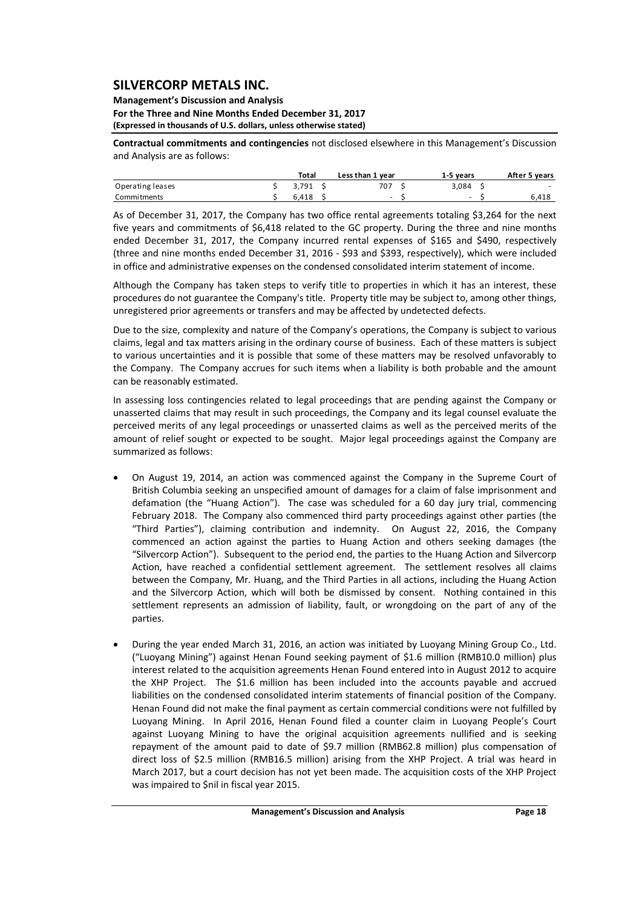#### **Management's Discussion and Analysis For the Three and Nine Months Ended December 31, 2017 (Expressed in thousands of U.S. dollars, unless otherwise stated)**

**Contractual commitments and contingencies** not disclosed elsewhere in this Management's Discussion and Analysis are as follows:

|                  | Total | Less than 1 year | 1-5 vears | After 5 years |
|------------------|-------|------------------|-----------|---------------|
| Operating leases | 3.791 | 707              | 3.084     | -             |
| Commitments      | 6.418 | -                | -         | 6,418         |

As of December 31, 2017, the Company has two office rental agreements totaling \$3,264 for the next five years and commitments of \$6,418 related to the GC property. During the three and nine months ended December 31, 2017, the Company incurred rental expenses of \$165 and \$490, respectively (three and nine months ended December 31, 2016 ‐ \$93 and \$393, respectively), which were included in office and administrative expenses on the condensed consolidated interim statement of income.

Although the Company has taken steps to verify title to properties in which it has an interest, these procedures do not guarantee the Company's title. Property title may be subject to, among other things, unregistered prior agreements or transfers and may be affected by undetected defects.

Due to the size, complexity and nature of the Company's operations, the Company is subject to various claims, legal and tax matters arising in the ordinary course of business. Each of these matters is subject to various uncertainties and it is possible that some of these matters may be resolved unfavorably to the Company. The Company accrues for such items when a liability is both probable and the amount can be reasonably estimated.

In assessing loss contingencies related to legal proceedings that are pending against the Company or unasserted claims that may result in such proceedings, the Company and its legal counsel evaluate the perceived merits of any legal proceedings or unasserted claims as well as the perceived merits of the amount of relief sought or expected to be sought. Major legal proceedings against the Company are summarized as follows:

- On August 19, 2014, an action was commenced against the Company in the Supreme Court of British Columbia seeking an unspecified amount of damages for a claim of false imprisonment and defamation (the "Huang Action"). The case was scheduled for a 60 day jury trial, commencing February 2018. The Company also commenced third party proceedings against other parties (the "Third Parties"), claiming contribution and indemnity. On August 22, 2016, the Company commenced an action against the parties to Huang Action and others seeking damages (the "Silvercorp Action"). Subsequent to the period end, the parties to the Huang Action and Silvercorp Action, have reached a confidential settlement agreement. The settlement resolves all claims between the Company, Mr. Huang, and the Third Parties in all actions, including the Huang Action and the Silvercorp Action, which will both be dismissed by consent. Nothing contained in this settlement represents an admission of liability, fault, or wrongdoing on the part of any of the parties.
- During the year ended March 31, 2016, an action was initiated by Luoyang Mining Group Co., Ltd. ("Luoyang Mining") against Henan Found seeking payment of \$1.6 million (RMB10.0 million) plus interest related to the acquisition agreements Henan Found entered into in August 2012 to acquire the XHP Project. The \$1.6 million has been included into the accounts payable and accrued liabilities on the condensed consolidated interim statements of financial position of the Company. Henan Found did not make the final payment as certain commercial conditions were not fulfilled by Luoyang Mining. In April 2016, Henan Found filed a counter claim in Luoyang People's Court against Luoyang Mining to have the original acquisition agreements nullified and is seeking repayment of the amount paid to date of \$9.7 million (RMB62.8 million) plus compensation of direct loss of \$2.5 million (RMB16.5 million) arising from the XHP Project. A trial was heard in March 2017, but a court decision has not yet been made. The acquisition costs of the XHP Project was impaired to \$nil in fiscal year 2015.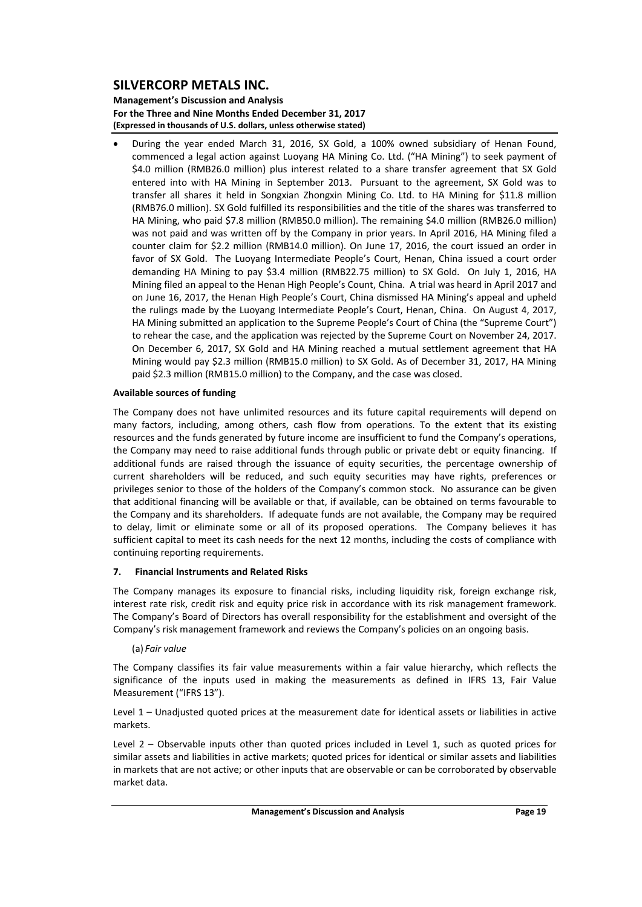**Management's Discussion and Analysis For the Three and Nine Months Ended December 31, 2017 (Expressed in thousands of U.S. dollars, unless otherwise stated)**

 During the year ended March 31, 2016, SX Gold, a 100% owned subsidiary of Henan Found, commenced a legal action against Luoyang HA Mining Co. Ltd. ("HA Mining") to seek payment of \$4.0 million (RMB26.0 million) plus interest related to a share transfer agreement that SX Gold entered into with HA Mining in September 2013. Pursuant to the agreement, SX Gold was to transfer all shares it held in Songxian Zhongxin Mining Co. Ltd. to HA Mining for \$11.8 million (RMB76.0 million). SX Gold fulfilled its responsibilities and the title of the shares was transferred to HA Mining, who paid \$7.8 million (RMB50.0 million). The remaining \$4.0 million (RMB26.0 million) was not paid and was written off by the Company in prior years. In April 2016, HA Mining filed a counter claim for \$2.2 million (RMB14.0 million). On June 17, 2016, the court issued an order in favor of SX Gold. The Luoyang Intermediate People's Court, Henan, China issued a court order demanding HA Mining to pay \$3.4 million (RMB22.75 million) to SX Gold. On July 1, 2016, HA Mining filed an appeal to the Henan High People's Count, China. A trial was heard in April 2017 and on June 16, 2017, the Henan High People's Court, China dismissed HA Mining's appeal and upheld the rulings made by the Luoyang Intermediate People's Court, Henan, China. On August 4, 2017, HA Mining submitted an application to the Supreme People's Court of China (the "Supreme Court") to rehear the case, and the application was rejected by the Supreme Court on November 24, 2017. On December 6, 2017, SX Gold and HA Mining reached a mutual settlement agreement that HA Mining would pay \$2.3 million (RMB15.0 million) to SX Gold. As of December 31, 2017, HA Mining paid \$2.3 million (RMB15.0 million) to the Company, and the case was closed.

### **Available sources of funding**

The Company does not have unlimited resources and its future capital requirements will depend on many factors, including, among others, cash flow from operations. To the extent that its existing resources and the funds generated by future income are insufficient to fund the Company's operations, the Company may need to raise additional funds through public or private debt or equity financing. If additional funds are raised through the issuance of equity securities, the percentage ownership of current shareholders will be reduced, and such equity securities may have rights, preferences or privileges senior to those of the holders of the Company's common stock. No assurance can be given that additional financing will be available or that, if available, can be obtained on terms favourable to the Company and its shareholders. If adequate funds are not available, the Company may be required to delay, limit or eliminate some or all of its proposed operations. The Company believes it has sufficient capital to meet its cash needs for the next 12 months, including the costs of compliance with continuing reporting requirements.

### **7. Financial Instruments and Related Risks**

The Company manages its exposure to financial risks, including liquidity risk, foreign exchange risk, interest rate risk, credit risk and equity price risk in accordance with its risk management framework. The Company's Board of Directors has overall responsibility for the establishment and oversight of the Company's risk management framework and reviews the Company's policies on an ongoing basis.

### (a) *Fair value*

The Company classifies its fair value measurements within a fair value hierarchy, which reflects the significance of the inputs used in making the measurements as defined in IFRS 13, Fair Value Measurement ("IFRS 13").

Level 1 – Unadjusted quoted prices at the measurement date for identical assets or liabilities in active markets.

Level 2 – Observable inputs other than quoted prices included in Level 1, such as quoted prices for similar assets and liabilities in active markets; quoted prices for identical or similar assets and liabilities in markets that are not active; or other inputs that are observable or can be corroborated by observable market data.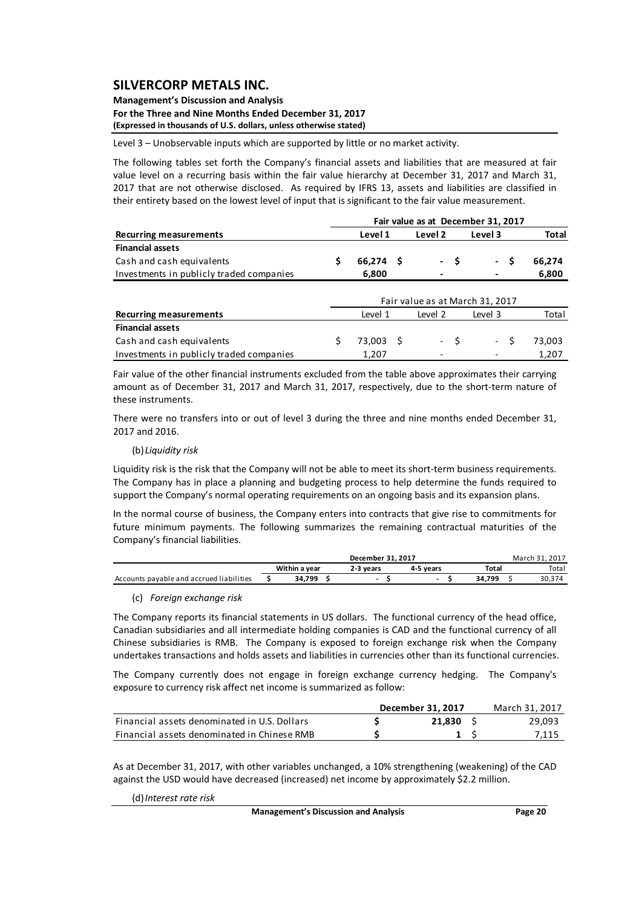#### **Management's Discussion and Analysis For the Three and Nine Months Ended December 31, 2017 (Expressed in thousands of U.S. dollars, unless otherwise stated)**

Level 3 – Unobservable inputs which are supported by little or no market activity.

The following tables set forth the Company's financial assets and liabilities that are measured at fair value level on a recurring basis within the fair value hierarchy at December 31, 2017 and March 31, 2017 that are not otherwise disclosed. As required by IFRS 13, assets and liabilities are classified in their entirety based on the lowest level of input that is significant to the fair value measurement.

|                                          |             |  |         |    | Fair value as at December 31, 2017 |              |  |
|------------------------------------------|-------------|--|---------|----|------------------------------------|--------------|--|
| <b>Recurring measurements</b>            | Level 1     |  | Level 2 |    | Level 3                            | <b>Total</b> |  |
| <b>Financial assets</b>                  |             |  |         |    |                                    |              |  |
| Cash and cash equivalents                | $66,274$ \$ |  | $\sim$  | -S | - \$                               | 66,274       |  |
| Investments in publicly traded companies | 6,800       |  |         |    |                                    | 6,800        |  |
|                                          |             |  |         |    | Fair value as at March 31, 2017    |              |  |
| <b>Recurring measurements</b>            | Level 1     |  | Level 2 |    | Level 3                            | Total        |  |
| <b>Financial assets</b>                  |             |  |         |    |                                    |              |  |
| Cash and cash equivalents                | 73.003      |  | - \$    |    | $\sim$                             | 73.003       |  |

Fair value of the other financial instruments excluded from the table above approximates their carrying amount as of December 31, 2017 and March 31, 2017, respectively, due to the short‐term nature of these instruments.

Investments in publicly traded companies 1,207 ‐ ‐ 1,207

There were no transfers into or out of level 3 during the three and nine months ended December 31, 2017 and 2016.

#### (b)*Liquidity risk*

Liquidity risk is the risk that the Company will not be able to meet its short-term business requirements. The Company has in place a planning and budgeting process to help determine the funds required to support the Company's normal operating requirements on an ongoing basis and its expansion plans.

In the normal course of business, the Company enters into contracts that give rise to commitments for future minimum payments. The following summarizes the remaining contractual maturities of the Company's financial liabilities.

|                                          |               | December 31, 2017 |           |        | March 31, 2017 |
|------------------------------------------|---------------|-------------------|-----------|--------|----------------|
|                                          | Within a vear | 2-3 vears         | 4-5 vears | Total  | Total          |
| Accounts payable and accrued liabilities | 34.799        |                   |           | 34 799 |                |

### (c) *Foreign exchange risk*

The Company reports its financial statements in US dollars. The functional currency of the head office, Canadian subsidiaries and all intermediate holding companies is CAD and the functional currency of all Chinese subsidiaries is RMB. The Company is exposed to foreign exchange risk when the Company undertakes transactions and holds assets and liabilities in currencies other than its functional currencies.

The Company currently does not engage in foreign exchange currency hedging. The Company's exposure to currency risk affect net income is summarized as follow:

|                                              | December 31, 2017 | March 31, 2017 |        |
|----------------------------------------------|-------------------|----------------|--------|
| Financial assets denominated in U.S. Dollars | 21.830            |                | 29,093 |
| Financial assets denominated in Chinese RMB  |                   |                | 7,115  |

As at December 31, 2017, with other variables unchanged, a 10% strengthening (weakening) of the CAD against the USD would have decreased (increased) net income by approximately \$2.2 million.

(d)*Interest rate risk*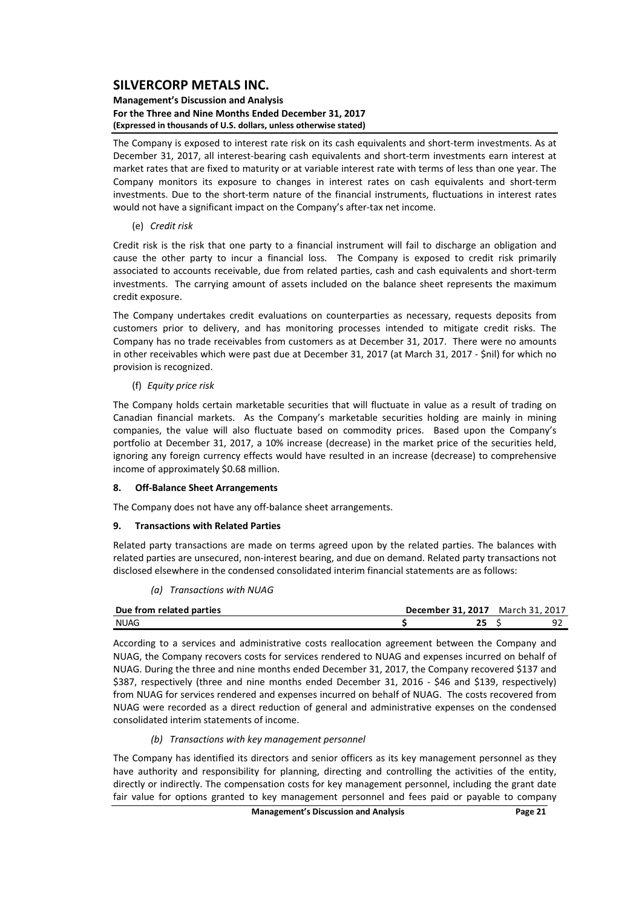#### **Management's Discussion and Analysis For the Three and Nine Months Ended December 31, 2017 (Expressed in thousands of U.S. dollars, unless otherwise stated)**

The Company is exposed to interest rate risk on its cash equivalents and short‐term investments. As at December 31, 2017, all interest-bearing cash equivalents and short-term investments earn interest at market rates that are fixed to maturity or at variable interest rate with terms of less than one year. The Company monitors its exposure to changes in interest rates on cash equivalents and short‐term investments. Due to the short-term nature of the financial instruments, fluctuations in interest rates would not have a significant impact on the Company's after-tax net income.

### (e) *Credit risk*

Credit risk is the risk that one party to a financial instrument will fail to discharge an obligation and cause the other party to incur a financial loss. The Company is exposed to credit risk primarily associated to accounts receivable, due from related parties, cash and cash equivalents and short‐term investments. The carrying amount of assets included on the balance sheet represents the maximum credit exposure.

The Company undertakes credit evaluations on counterparties as necessary, requests deposits from customers prior to delivery, and has monitoring processes intended to mitigate credit risks. The Company has no trade receivables from customers as at December 31, 2017. There were no amounts in other receivables which were past due at December 31, 2017 (at March 31, 2017 ‐ \$nil) for which no provision is recognized.

### (f) *Equity price risk*

The Company holds certain marketable securities that will fluctuate in value as a result of trading on Canadian financial markets. As the Company's marketable securities holding are mainly in mining companies, the value will also fluctuate based on commodity prices. Based upon the Company's portfolio at December 31, 2017, a 10% increase (decrease) in the market price of the securities held, ignoring any foreign currency effects would have resulted in an increase (decrease) to comprehensive income of approximately \$0.68 million.

### **8. Off‐Balance Sheet Arrangements**

The Company does not have any off-balance sheet arrangements.

### **9. Transactions with Related Parties**

Related party transactions are made on terms agreed upon by the related parties. The balances with related parties are unsecured, non‐interest bearing, and due on demand. Related party transactions not disclosed elsewhere in the condensed consolidated interim financial statements are as follows:

*(a) Transactions with NUAG*

| Due from related parties | December 31, 2017 | March 31, 2017 |   |
|--------------------------|-------------------|----------------|---|
| <b>NUAG</b>              |                   |                | Ω |

According to a services and administrative costs reallocation agreement between the Company and NUAG, the Company recovers costs for services rendered to NUAG and expenses incurred on behalf of NUAG. During the three and nine months ended December 31, 2017, the Company recovered \$137 and \$387, respectively (three and nine months ended December 31, 2016 - \$46 and \$139, respectively) from NUAG for services rendered and expenses incurred on behalf of NUAG. The costs recovered from NUAG were recorded as a direct reduction of general and administrative expenses on the condensed consolidated interim statements of income.

### *(b) Transactions with key management personnel*

The Company has identified its directors and senior officers as its key management personnel as they have authority and responsibility for planning, directing and controlling the activities of the entity, directly or indirectly. The compensation costs for key management personnel, including the grant date fair value for options granted to key management personnel and fees paid or payable to company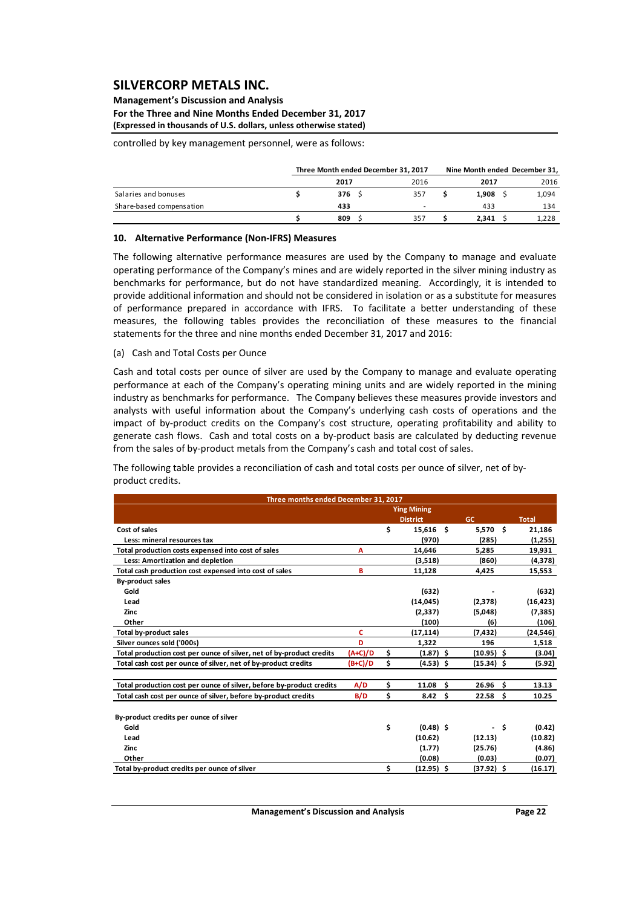#### **Management's Discussion and Analysis For the Three and Nine Months Ended December 31, 2017 (Expressed in thousands of U.S. dollars, unless otherwise stated)**

controlled by key management personnel, were as follows:

|                          | Three Month ended December 31, 2017 |      | Nine Month ended December 31, |       |
|--------------------------|-------------------------------------|------|-------------------------------|-------|
|                          | 2017                                | 2016 | 2017                          | 2016  |
| Salaries and bonuses     | 376S                                | 357  | 1.908                         | 1,094 |
| Share-based compensation | 433                                 |      | 433                           | 134   |
|                          | 809                                 | 357  | 2.341                         | 1,228 |

#### **10. Alternative Performance (Non‐IFRS) Measures**

The following alternative performance measures are used by the Company to manage and evaluate operating performance of the Company's mines and are widely reported in the silver mining industry as benchmarks for performance, but do not have standardized meaning. Accordingly, it is intended to provide additional information and should not be considered in isolation or as a substitute for measures of performance prepared in accordance with IFRS. To facilitate a better understanding of these measures, the following tables provides the reconciliation of these measures to the financial statements for the three and nine months ended December 31, 2017 and 2016:

(a) Cash and Total Costs per Ounce

Cash and total costs per ounce of silver are used by the Company to manage and evaluate operating performance at each of the Company's operating mining units and are widely reported in the mining industry as benchmarks for performance. The Company believes these measures provide investors and analysts with useful information about the Company's underlying cash costs of operations and the impact of by‐product credits on the Company's cost structure, operating profitability and ability to generate cash flows. Cash and total costs on a by-product basis are calculated by deducting revenue from the sales of by‐product metals from the Company's cash and total cost of sales.

The following table provides a reconciliation of cash and total costs per ounce of silver, net of by‐ product credits.

| Three months ended December 31, 2017                                 |           |                       |    |                    |    |              |
|----------------------------------------------------------------------|-----------|-----------------------|----|--------------------|----|--------------|
|                                                                      |           | <b>Ying Mining</b>    |    |                    |    |              |
|                                                                      |           | <b>District</b>       |    | GC                 |    | <b>Total</b> |
| Cost of sales                                                        |           | \$<br>15.616          | Ŝ. | 5.570 \$           |    | 21,186       |
| Less: mineral resources tax                                          |           | (970)                 |    | (285)              |    | (1,255)      |
| Total production costs expensed into cost of sales                   | А         | 14,646                |    | 5,285              |    | 19,931       |
| Less: Amortization and depletion                                     |           | (3,518)               |    | (860)              |    | (4,378)      |
| Total cash production cost expensed into cost of sales               | в         | 11,128                |    | 4,425              |    | 15,553       |
| <b>By-product sales</b>                                              |           |                       |    |                    |    |              |
| Gold                                                                 |           | (632)                 |    |                    |    | (632)        |
| Lead                                                                 |           | (14, 045)             |    | (2,378)            |    | (16, 423)    |
| Zinc                                                                 |           | (2, 337)              |    | (5,048)            |    | (7, 385)     |
| Other                                                                |           | (100)                 |    | (6)                |    | (106)        |
| <b>Total by-product sales</b>                                        | c         | (17, 114)             |    | (7,432)            |    | (24,546)     |
| Silver ounces sold ('000s)                                           | D         | 1,322                 |    | 196                |    | 1,518        |
| Total production cost per ounce of silver, net of by-product credits | $(A+C)/D$ | \$<br>$(1.87)$ \$     |    | $(10.95)$ \$       |    | (3.04)       |
| Total cash cost per ounce of silver, net of by-product credits       | (B+C)/D   | \$<br>$(4.53)$ \$     |    | $(15.34)$ \$       |    | (5.92)       |
| Total production cost per ounce of silver, before by-product credits | A/D       | \$<br>11.08           | Ŝ. | 26.96 <sub>5</sub> |    | 13.13        |
| Total cash cost per ounce of silver, before by-product credits       | B/D       | \$<br>$8.42 \quad$ \$ |    | $22.58$ \$         |    | 10.25        |
| By-product credits per ounce of silver                               |           |                       |    |                    |    |              |
| Gold                                                                 |           | \$<br>$(0.48)$ \$     |    |                    | Ŝ. | (0.42)       |
| Lead                                                                 |           | (10.62)               |    | (12.13)            |    | (10.82)      |
| Zinc                                                                 |           | (1.77)                |    | (25.76)            |    | (4.86)       |
| Other                                                                |           | (0.08)                |    | (0.03)             |    | (0.07)       |
| Total by-product credits per ounce of silver                         |           | \$<br>$(12.95)$ \$    |    | (37.92) \$         |    | (16.17)      |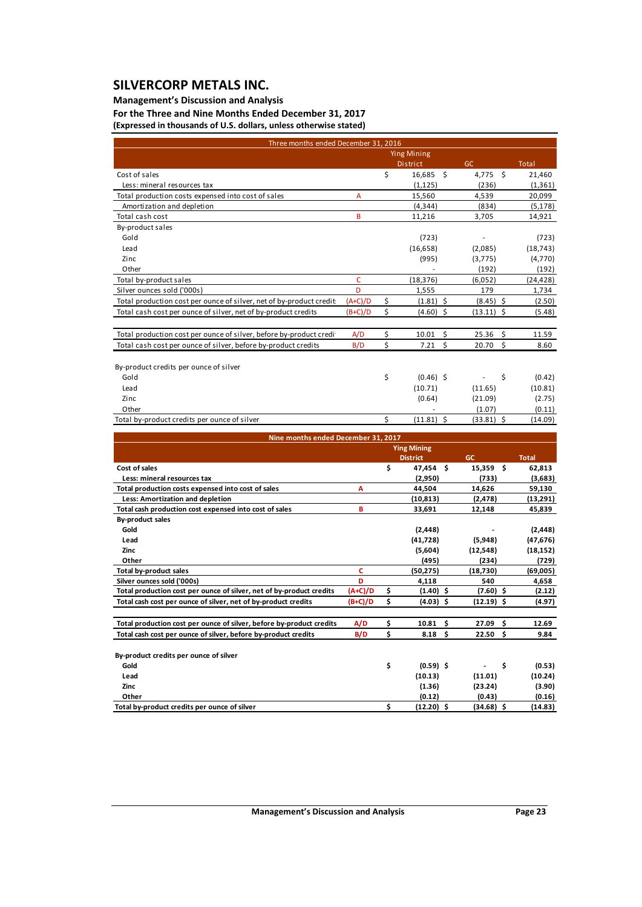### **Management's Discussion and Analysis**

**For the Three and Nine Months Ended December 31, 2017 (Expressed in thousands of U.S. dollars, unless otherwise stated)**

| Three months ended December 31, 2016                                 |           |    |                    |    |              |                    |              |
|----------------------------------------------------------------------|-----------|----|--------------------|----|--------------|--------------------|--------------|
|                                                                      |           |    | <b>Ying Mining</b> |    |              |                    |              |
|                                                                      |           |    | District           |    | GC           |                    | <b>Total</b> |
| Cost of sales                                                        |           | \$ | 16,685             | Ŝ. | 4.775        | $\zeta$            | 21,460       |
| Less: mineral resources tax                                          |           |    | (1, 125)           |    | (236)        |                    | (1, 361)     |
| Total production costs expensed into cost of sales                   | A         |    | 15,560             |    | 4,539        |                    | 20,099       |
| Amortization and depletion                                           |           |    | (4, 344)           |    | (834)        |                    | (5, 178)     |
| Total cash cost                                                      | B         |    | 11,216             |    | 3,705        |                    | 14,921       |
| By-product sales                                                     |           |    |                    |    |              |                    |              |
| Gold                                                                 |           |    | (723)              |    |              |                    | (723)        |
| Lead                                                                 |           |    | (16, 658)          |    | (2,085)      |                    | (18, 743)    |
| Zinc                                                                 |           |    | (995)              |    | (3,775)      |                    | (4,770)      |
| Other                                                                |           |    |                    |    | (192)        |                    | (192)        |
| Total by-product sales                                               | C         |    | (18, 376)          |    | (6,052)      |                    | (24, 428)    |
| Silver ounces sold ('000s)                                           | D         |    | 1,555              |    | 179          |                    | 1,734        |
| Total production cost per ounce of silver, net of by-product credit. | $(A+C)/D$ | \$ | $(1.81)$ \$        |    | (8.45)       | \$.                | (2.50)       |
| Total cash cost per ounce of silver, net of by-product credits       | $(B+C)/D$ | \$ | $(4.60)$ \$        |    | $(13.11)$ \$ |                    | (5.48)       |
|                                                                      |           |    |                    |    |              |                    |              |
| Total production cost per ounce of silver, before by-product credit  | A/D       | \$ | 10.01              | \$ | 25.36        | Ś.                 | 11.59        |
| Total cash cost per ounce of silver, before by-product credits       | B/D       | \$ | 7.21               | \$ | 20.70        | $\mathsf{\dot{S}}$ | 8.60         |
|                                                                      |           |    |                    |    |              |                    |              |
| By-product credits per ounce of silver                               |           |    |                    |    |              |                    |              |
| Gold                                                                 |           | \$ | $(0.46)$ \$        |    |              | \$                 | (0.42)       |
| Lead                                                                 |           |    | (10.71)            |    | (11.65)      |                    | (10.81)      |
| Zinc                                                                 |           |    | (0.64)             |    | (21.09)      |                    | (2.75)       |
| Other                                                                |           |    |                    |    | (1.07)       |                    | (0.11)       |
| Total by-product credits per ounce of silver                         |           | Ś  | $(11.81)$ \$       |    | $(33.81)$ \$ |                    | (14.09)      |
| Nine months ended December 31, 2017                                  |           |    |                    |    |              |                    |              |
|                                                                      |           |    | <b>Ying Mining</b> |    |              |                    |              |
|                                                                      |           |    | <b>District</b>    |    | <b>GC</b>    |                    | <b>Total</b> |
| Cost of sales                                                        |           | \$ | 47,454 \$          |    | 15,359 \$    |                    | 62,813       |
| Less: mineral resources tax                                          |           |    | (2,950)            |    | (733)        |                    | (3,683)      |
| Total production costs expensed into cost of sales                   | Α         |    | 44,504             |    | 14,626       |                    | 59,130       |
| Less: Amortization and depletion                                     |           |    | (10, 813)          |    | (2, 478)     |                    | (13, 291)    |
| Total cash production cost expensed into cost of sales               | B         |    | 33,691             |    | 12,148       |                    | 45,839       |
| <b>By-product sales</b>                                              |           |    |                    |    |              |                    |              |
| Gold                                                                 |           |    | (2, 448)           |    |              |                    | (2, 448)     |
| Lead                                                                 |           |    | (41, 728)          |    | (5,948)      |                    | (47, 676)    |
| Zinc                                                                 |           |    | (5,604)            |    | (12, 548)    |                    | (18, 152)    |
| Other                                                                |           |    | (495)              |    | (234)        |                    | (729)        |
| <b>Total by-product sales</b>                                        | Ċ         |    | (50, 275)          |    | (18,730)     |                    | (69,005)     |
| Silver ounces sold ('000s)                                           | D         |    | 4,118              |    | 540          |                    | 4,658        |
| Total production cost per ounce of silver, net of by-product credits | $(A+C)/D$ | \$ | $(1.40)$ \$        |    | $(7.60)$ \$  |                    | (2.12)       |
| Total cash cost per ounce of silver, net of by-product credits       | (B+C)/D   | \$ | $(4.03)$ \$        |    | $(12.19)$ \$ |                    | (4.97)       |
| Total production cost per ounce of silver, before by-product credits | A/D       | \$ | 10.81              | \$ | 27.09        | \$                 | 12.69        |
| Total cash cost per ounce of silver, before by-product credits       | B/D       | \$ | 8.18               | \$ | 22.50        | \$                 | 9.84         |
|                                                                      |           |    |                    |    |              |                    |              |

| By-product credits per ounce of silver |             |         |         |
|----------------------------------------|-------------|---------|---------|
| Gold                                   | $(0.59)$ \$ | $-5$    | (0.53)  |
| Lead                                   | (10.13)     | (11.01) | (10.24) |
| Zinc                                   | (1.36)      | (23.24) | (3.90)  |

**Other** (0.12) (0.43) (0.16) Total by-product credits per ounce of silver  $(12.20)$  \$  $(2.20)$  \$  $(34.68)$  \$  $(14.83)$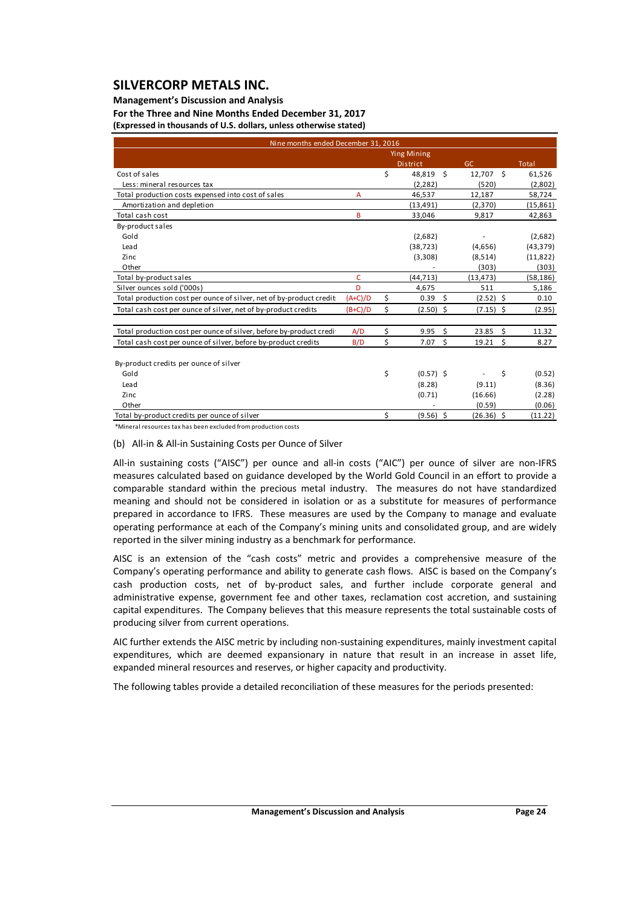### **Management's Discussion and Analysis**

**For the Three and Nine Months Ended December 31, 2017 (Expressed in thousands of U.S. dollars, unless otherwise stated)**

| Nine months ended December 31, 2016                                  |           |                    |                     |    |              |
|----------------------------------------------------------------------|-----------|--------------------|---------------------|----|--------------|
|                                                                      |           | <b>Ying Mining</b> |                     |    |              |
|                                                                      |           | <b>District</b>    | GC                  |    | <b>Total</b> |
| Cost of sales                                                        |           | \$<br>48,819 \$    | 12,707              | s. | 61,526       |
| Less: mineral resources tax                                          |           | (2, 282)           | (520)               |    | (2,802)      |
| Total production costs expensed into cost of sales                   | A         | 46,537             | 12,187              |    | 58,724       |
| Amortization and depletion                                           |           | (13, 491)          | (2,370)             |    | (15, 861)    |
| Total cash cost                                                      | B         | 33,046             | 9,817               |    | 42,863       |
| By-product sales                                                     |           |                    |                     |    |              |
| Gold                                                                 |           | (2,682)            |                     |    | (2,682)      |
| Lead                                                                 |           | (38, 723)          | (4,656)             |    | (43, 379)    |
| Zinc.                                                                |           | (3,308)            | (8,514)             |    | (11, 822)    |
| Other                                                                |           |                    | (303)               |    | (303)        |
| Total by-product sales                                               | C         | (44, 713)          | (13, 473)           |    | (58, 186)    |
| Silver ounces sold ('000s)                                           | D         | 4,675              | 511                 |    | 5,186        |
| Total production cost per ounce of silver, net of by-product credit: | $(A+C)/D$ | \$<br>0.39         | - \$<br>$(2.52)$ \$ |    | 0.10         |
| Total cash cost per ounce of silver, net of by-product credits       | $(B+C)/D$ | \$<br>$(2.50)$ \$  | $(7.15)$ \$         |    | (2.95)       |
|                                                                      |           |                    |                     |    |              |
| Total production cost per ounce of silver, before by-product credit  | A/D       | \$<br>9.95         | Ŝ.<br>23.85         | Ŝ. | 11.32        |
| Total cash cost per ounce of silver, before by-product credits       | B/D       | \$<br>7.07         | \$<br>19.21         | \$ | 8.27         |
|                                                                      |           |                    |                     |    |              |
| By-product credits per ounce of silver                               |           |                    |                     |    |              |
| Gold                                                                 |           | \$<br>$(0.57)$ \$  |                     | \$ | (0.52)       |
| Lead                                                                 |           | (8.28)             | (9.11)              |    | (8.36)       |
| Zinc                                                                 |           | (0.71)             | (16.66)             |    | (2.28)       |
| Other                                                                |           |                    | (0.59)              |    | (0.06)       |
| Total by-product credits per ounce of silver                         |           | \$<br>$(9.56)$ \$  | $(26.36)$ \$        |    | (11.22)      |

\*Mineral resources tax has been excluded from production costs

#### (b) All‐in & All‐in Sustaining Costs per Ounce of Silver

All-in sustaining costs ("AISC") per ounce and all-in costs ("AIC") per ounce of silver are non-IFRS measures calculated based on guidance developed by the World Gold Council in an effort to provide a comparable standard within the precious metal industry. The measures do not have standardized meaning and should not be considered in isolation or as a substitute for measures of performance prepared in accordance to IFRS. These measures are used by the Company to manage and evaluate operating performance at each of the Company's mining units and consolidated group, and are widely reported in the silver mining industry as a benchmark for performance.

AISC is an extension of the "cash costs" metric and provides a comprehensive measure of the Company's operating performance and ability to generate cash flows. AISC is based on the Company's cash production costs, net of by-product sales, and further include corporate general and administrative expense, government fee and other taxes, reclamation cost accretion, and sustaining capital expenditures. The Company believes that this measure represents the total sustainable costs of producing silver from current operations.

AIC further extends the AISC metric by including non‐sustaining expenditures, mainly investment capital expenditures, which are deemed expansionary in nature that result in an increase in asset life, expanded mineral resources and reserves, or higher capacity and productivity.

The following tables provide a detailed reconciliation of these measures for the periods presented: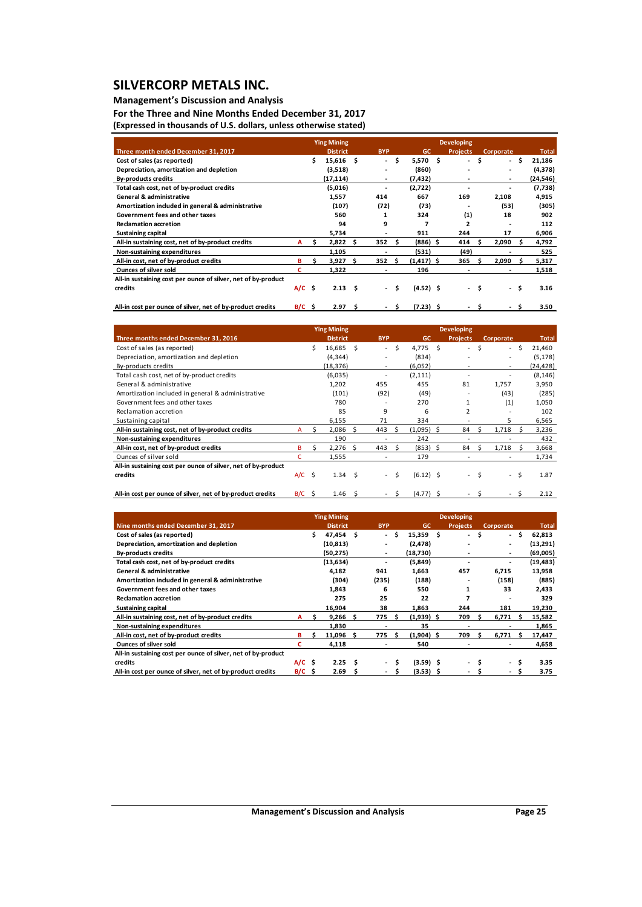### **Management's Discussion and Analysis**

**For the Three and Nine Months Ended December 31, 2017 (Expressed in thousands of U.S. dollars, unless otherwise stated)**

|                                                               |          |    | <b>Ying Mining</b> |     |                          | <b>Developing</b> |               |  |                 |     |           |     |              |  |
|---------------------------------------------------------------|----------|----|--------------------|-----|--------------------------|-------------------|---------------|--|-----------------|-----|-----------|-----|--------------|--|
| Three month ended December 31, 2017                           |          |    | <b>District</b>    |     | <b>BYP</b>               |                   | <b>GC</b>     |  | <b>Projects</b> |     | Corporate |     | <b>Total</b> |  |
| Cost of sales (as reported)                                   |          | \$ | 15,616             | - S | $\overline{\phantom{0}}$ | s                 | $5,570$ \$    |  | ۰.              | \$. | $\sim$    | \$. | 21,186       |  |
| Depreciation, amortization and depletion                      |          |    | (3,518)            |     | ۰                        |                   | (860)         |  |                 |     |           |     | (4,378)      |  |
| <b>By-products credits</b>                                    |          |    | (17, 114)          |     | ٠                        |                   | (7, 432)      |  |                 |     | ۰         |     | (24, 546)    |  |
| Total cash cost, net of by-product credits                    |          |    | (5,016)            |     | ۰                        |                   | (2,722)       |  |                 |     |           |     | (7, 738)     |  |
| <b>General &amp; administrative</b>                           |          |    | 1,557              |     | 414                      |                   | 667           |  | 169             |     | 2,108     |     | 4,915        |  |
| Amortization included in general & administrative             |          |    | (107)              |     | (72)                     |                   | (73)          |  |                 |     | (53)      |     | (305)        |  |
| Government fees and other taxes                               |          |    | 560                |     |                          |                   | 324           |  | (1)             |     | 18        |     | 902          |  |
| <b>Reclamation accretion</b>                                  |          |    | 94                 |     | 9                        |                   | 7             |  | ,               |     |           |     | 112          |  |
| <b>Sustaining capital</b>                                     |          |    | 5,734              |     | ۰                        |                   | 911           |  | 244             |     | 17        |     | 6,906        |  |
| All-in sustaining cost, net of by-product credits             | A        | s  | 2,822              | Ŝ.  | 352                      | Ŝ.                | $(886)$ \$    |  | 414             |     | 2,090     |     | 4,792        |  |
| Non-sustaining expenditures                                   |          |    | 1.105              |     |                          |                   | (531)         |  | (49)            |     |           |     | 525          |  |
| All-in cost, net of by-product credits                        | в        | s. | 3,927              | S   | 352                      | - S               | $(1, 417)$ \$ |  | 365             | s   | 2,090     |     | 5,317        |  |
| <b>Ounces of silver sold</b>                                  | с        |    | 1,322              |     | ۰                        |                   | 196           |  |                 |     |           |     | 1,518        |  |
| All-in sustaining cost per ounce of silver, net of by-product |          |    |                    |     |                          |                   |               |  |                 |     |           |     |              |  |
| credits                                                       | $A/C$ \$ |    | 2.13 <sub>5</sub>  |     |                          | \$                | $(4.52)$ \$   |  | $\sim$          | \$  | $\sim$    | \$. | 3.16         |  |
|                                                               |          |    |                    |     |                          |                   |               |  |                 |     |           |     |              |  |

| All-in cost per ounce of silver, net of by-product credits | -'-<br>-671 | <b>207</b> |  |  | 3.50 |
|------------------------------------------------------------|-------------|------------|--|--|------|
|                                                            |             |            |  |  |      |

|                                                               |     |     | <b>Ying Mining</b> |    |                          |    |             | <b>Developing</b>        |   |                          |    |              |
|---------------------------------------------------------------|-----|-----|--------------------|----|--------------------------|----|-------------|--------------------------|---|--------------------------|----|--------------|
| Three months ended December 31, 2016                          |     |     | <b>District</b>    |    | <b>BYP</b>               |    | <b>GC</b>   | <b>Projects</b>          |   | <b>Corporate</b>         |    | <b>Total</b> |
| Cost of sales (as reported)                                   |     | Ś.  | 16.685             | Ŝ. | $\sim$                   | Ś. | $4.775$ \$  | $\overline{\phantom{0}}$ | Ŝ | $\sim$                   | -Ŝ | 21,460       |
| Depreciation, amortization and depletion                      |     |     | (4, 344)           |    |                          |    | (834)       |                          |   |                          |    | (5, 178)     |
| By-products credits                                           |     |     | (18, 376)          |    | $\overline{\phantom{a}}$ |    | (6,052)     | ۰                        |   | $\overline{\phantom{a}}$ |    | (24,428)     |
| Total cash cost, net of by-product credits                    |     |     | (6,035)            |    |                          |    | (2, 111)    | ٠                        |   |                          |    | (8, 146)     |
| General & administrative                                      |     |     | 1,202              |    | 455                      |    | 455         | 81                       |   | 1,757                    |    | 3,950        |
| Amortization included in general & administrative             |     |     | (101)              |    | (92)                     |    | (49)        | ۰                        |   | (43)                     |    | (285)        |
| Government fees and other taxes                               |     |     | 780                |    |                          |    | 270         | 1                        |   | (1)                      |    | 1,050        |
| Reclamation accretion                                         |     |     | 85                 |    | 9                        |    | 6           | $\overline{2}$           |   |                          |    | 102          |
| Sustaining capital                                            |     |     | 6,155              |    | 71                       |    | 334         |                          |   | 5                        |    | 6,565        |
| All-in sustaining cost, net of by-product credits             | А   |     | 2,086              | Ŝ. | 443                      | S. | (1,095) \$  | 84                       |   | 1,718                    |    | 3,236        |
| Non-sustaining expenditures                                   |     |     | 190                |    |                          |    | 242         |                          |   |                          |    | 432          |
| All-in cost, net of by-product credits                        | B   |     | 2,276              | Ŝ. | 443                      |    | $(853)$ \$  | 84                       |   | 1,718                    |    | 3,668        |
| Ounces of silver sold                                         | c   |     | 1,555              |    |                          |    | 179         |                          |   |                          |    | 1,734        |
| All-in sustaining cost per ounce of silver, net of by-product |     |     |                    |    |                          |    |             |                          |   |                          |    |              |
| credits                                                       | A/C | - Ś | 1.34               | Ŝ. | $\sim$                   | Ś. | $(6.12)$ \$ | $\overline{\phantom{0}}$ | Ŝ | $\sim$                   | Ŝ. | 1.87         |
|                                                               |     |     |                    |    |                          |    |             |                          |   |                          |    |              |
| All-in cost per ounce of silver, net of by-product credits    | B/C | -Ŝ  | 1.46               | Ś  |                          | Ś  | $(4.77)$ \$ |                          |   |                          | S  | 2.12         |

|                                                               |          |     | <b>Ying Mining</b> |    |                          |     |              |     | <b>Developing</b> |   |                          |   |              |
|---------------------------------------------------------------|----------|-----|--------------------|----|--------------------------|-----|--------------|-----|-------------------|---|--------------------------|---|--------------|
| Nine months ended December 31, 2017                           |          |     | <b>District</b>    |    | <b>BYP</b>               |     | <b>GC</b>    |     | <b>Projects</b>   |   | Corporate                |   | <b>Total</b> |
| Cost of sales (as reported)                                   |          |     | 47,454 \$          |    | $\overline{\phantom{a}}$ | Ŝ   | 15,359       | - S |                   | Ś | . .                      | Ŝ | 62,813       |
| Depreciation, amortization and depletion                      |          |     | (10, 813)          |    |                          |     | (2, 478)     |     |                   |   | $\overline{\phantom{a}}$ |   | (13,291)     |
| <b>By-products credits</b>                                    |          |     | (50, 275)          |    | ٠                        |     | (18,730)     |     |                   |   | ٠                        |   | (69,005)     |
| Total cash cost, net of by-product credits                    |          |     | (13, 634)          |    |                          |     | (5,849)      |     |                   |   | $\overline{\phantom{a}}$ |   | (19, 483)    |
| <b>General &amp; administrative</b>                           |          |     | 4,182              |    | 941                      |     | 1,663        |     | 457               |   | 6.715                    |   | 13,958       |
| Amortization included in general & administrative             |          |     | (304)              |    | (235)                    |     | (188)        |     |                   |   | (158)                    |   | (885)        |
| Government fees and other taxes                               |          |     | 1,843              |    | 6                        |     | 550          |     | 1                 |   | 33                       |   | 2,433        |
| <b>Reclamation accretion</b>                                  |          |     | 275                |    | 25                       |     | 22           |     |                   |   |                          |   | 329          |
| <b>Sustaining capital</b>                                     |          |     | 16,904             |    | 38                       |     | 1,863        |     | 244               |   | 181                      |   | 19,230       |
| All-in sustaining cost, net of by-product credits             | A        | \$. | $9,266$ \$         |    | 775                      | - S | $(1,939)$ \$ |     | 709               | Ŝ | 6,771                    | s | 15,582       |
| Non-sustaining expenditures                                   |          |     | 1,830              |    |                          |     | 35           |     |                   |   |                          |   | 1,865        |
| All-in cost, net of by-product credits                        | в        |     | 11,096             | s. | 775                      | .s  | $(1,904)$ \$ |     | 709               | s | 6.771                    | s | 17,447       |
| <b>Ounces of silver sold</b>                                  | с        |     | 4,118              |    |                          |     | 540          |     |                   |   |                          |   | 4,658        |
| All-in sustaining cost per ounce of silver, net of by-product |          |     |                    |    |                          |     |              |     |                   |   |                          |   |              |
| credits                                                       | $A/C$ \$ |     | 2.25               | Ŝ  | . .                      | Ŝ   | $(3.59)$ \$  |     |                   | S | $\sim$                   | S | 3.35         |
| All-in cost per ounce of silver, net of by-product credits    | B/C      | - S | 2.69               |    |                          |     | (3.53) \$    |     |                   |   | ۰                        | S | 3.75         |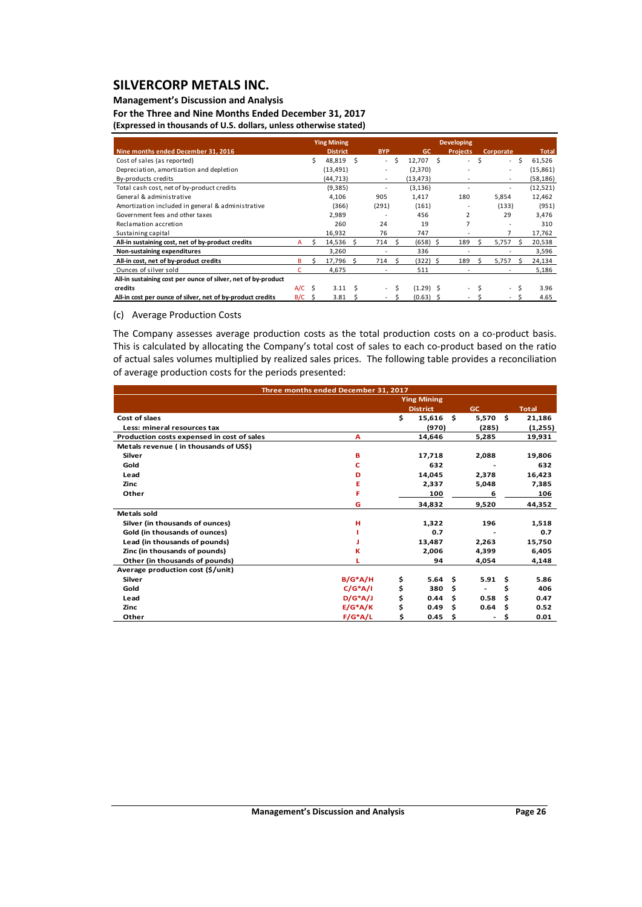## **Management's Discussion and Analysis**

**For the Three and Nine Months Ended December 31, 2017 (Expressed in thousands of U.S. dollars, unless otherwise stated)**

|                                                               |          | <b>Ying Mining</b> |    |                          |   |                | <b>Developing</b>        |   |                          |              |  |
|---------------------------------------------------------------|----------|--------------------|----|--------------------------|---|----------------|--------------------------|---|--------------------------|--------------|--|
| Nine months ended December 31, 2016                           |          | <b>District</b>    |    | <b>BYP</b>               |   | <b>GC</b>      | <b>Projects</b>          |   | Corporate                | <b>Total</b> |  |
| Cost of sales (as reported)                                   |          | 48,819             | Ś  | ÷.                       | S | 12,707<br>- \$ | ٠                        | Ś | $\sim$                   | Ŝ.<br>61,526 |  |
| Depreciation, amortization and depletion                      |          | (13, 491)          |    |                          |   | (2,370)        |                          |   | $\overline{\phantom{a}}$ | (15, 861)    |  |
| By-products credits                                           |          | (44, 713)          |    |                          |   | (13, 473)      |                          |   |                          | (58, 186)    |  |
| Total cash cost, net of by-product credits                    |          | (9, 385)           |    |                          |   | (3, 136)       |                          |   |                          | (12, 521)    |  |
| General & administrative                                      |          | 4.106              |    | 905                      |   | 1,417          | 180                      |   | 5,854                    | 12,462       |  |
| Amortization included in general & administrative             |          | (366)              |    | (291)                    |   | (161)          |                          |   | (133)                    | (951)        |  |
| Government fees and other taxes                               |          | 2,989              |    |                          |   | 456            | 2                        |   | 29                       | 3,476        |  |
| Reclamation accretion                                         |          | 260                |    | 24                       |   | 19             |                          |   |                          | 310          |  |
| Sustaining capital                                            |          | 16,932             |    | 76                       |   | 747            |                          |   |                          | 17,762       |  |
| All-in sustaining cost, net of by-product credits             | A        | 14,536             | Ŝ. | 714                      |   | $(658)$ \$     | 189                      |   | 5.757                    | 20,538       |  |
| Non-sustaining expenditures                                   |          | 3.260              |    |                          |   | 336            |                          |   |                          | 3,596        |  |
| All-in cost, net of by-product credits                        | в        | 17,796             | Ŝ. | 714                      | Ś | (322) \$       | 189                      |   | 5,757                    | 24,134       |  |
| Ounces of silver sold                                         |          | 4,675              |    |                          |   | 511            |                          |   |                          | 5,186        |  |
| All-in sustaining cost per ounce of silver, net of by-product |          |                    |    |                          |   |                |                          |   |                          |              |  |
| credits                                                       | $A/C$ \$ | 3.11               | Ś  | $\overline{\phantom{a}}$ |   | $(1.29)$ \$    | $\overline{\phantom{0}}$ |   | Ś.<br>$\sim$             | 3.96         |  |
| All-in cost per ounce of silver, net of by-product credits    | $B/C$ \$ | 3.81               | -S |                          |   | $(0.63)$ \$    |                          |   |                          | 4.65         |  |

#### (c) Average Production Costs

The Company assesses average production costs as the total production costs on a co-product basis. This is calculated by allocating the Company's total cost of sales to each co-product based on the ratio of actual sales volumes multiplied by realized sales prices. The following table provides a reconciliation of average production costs for the periods presented:

|                                            | Three months ended December 31, 2017 |    |                    |      |           |      |              |
|--------------------------------------------|--------------------------------------|----|--------------------|------|-----------|------|--------------|
|                                            |                                      |    | <b>Ying Mining</b> |      |           |      |              |
|                                            |                                      |    | <b>District</b>    |      | <b>GC</b> |      | <b>Total</b> |
| Cost of slaes                              |                                      | \$ | 15,616             | - \$ | 5,570     | - \$ | 21,186       |
| Less: mineral resources tax                |                                      |    | (970)              |      | (285)     |      | (1,255)      |
| Production costs expensed in cost of sales | A                                    |    | 14,646             |      | 5,285     |      | 19,931       |
| Metals revenue (in thousands of US\$)      |                                      |    |                    |      |           |      |              |
| Silver                                     | в                                    |    | 17,718             |      | 2,088     |      | 19,806       |
| Gold                                       | c                                    |    | 632                |      |           |      | 632          |
| Lead                                       | D                                    |    | 14,045             |      | 2,378     |      | 16,423       |
| <b>Zinc</b>                                | Е                                    |    | 2.337              |      | 5,048     |      | 7,385        |
| Other                                      | F                                    |    | 100                |      | 6         |      | 106          |
|                                            | G                                    |    | 34,832             |      | 9,520     |      | 44,352       |
| <b>Metals sold</b>                         |                                      |    |                    |      |           |      |              |
| Silver (in thousands of ounces)            | н                                    |    | 1,322              |      | 196       |      | 1,518        |
| Gold (in thousands of ounces)              |                                      |    | 0.7                |      |           |      | 0.7          |
| Lead (in thousands of pounds)              |                                      |    | 13,487             |      | 2,263     |      | 15,750       |
| Zinc (in thousands of pounds)              | к                                    |    | 2,006              |      | 4,399     |      | 6,405        |
| Other (in thousands of pounds)             |                                      |    | 94                 |      | 4,054     |      | 4,148        |
| Average production cost (\$/unit)          |                                      |    |                    |      |           |      |              |
| Silver                                     | $B/G^*A/H$                           | \$ | 5.64               | Ŝ.   | 5.91      | - \$ | 5.86         |
| Gold                                       | $C/G^*A/I$                           | \$ | 380                | Ŝ.   |           | \$   | 406          |
| Lead                                       | $D/G^*A/J$                           | \$ | 0.44               | \$.  | 0.58      | Ś    | 0.47         |
| Zinc                                       | $E/G^*A/K$                           | \$ | 0.49               | \$.  | 0.64      | - S  | 0.52         |
| Other                                      | $F/G^*A/L$                           | Ś  | 0.45               | Ś    |           | \$   | 0.01         |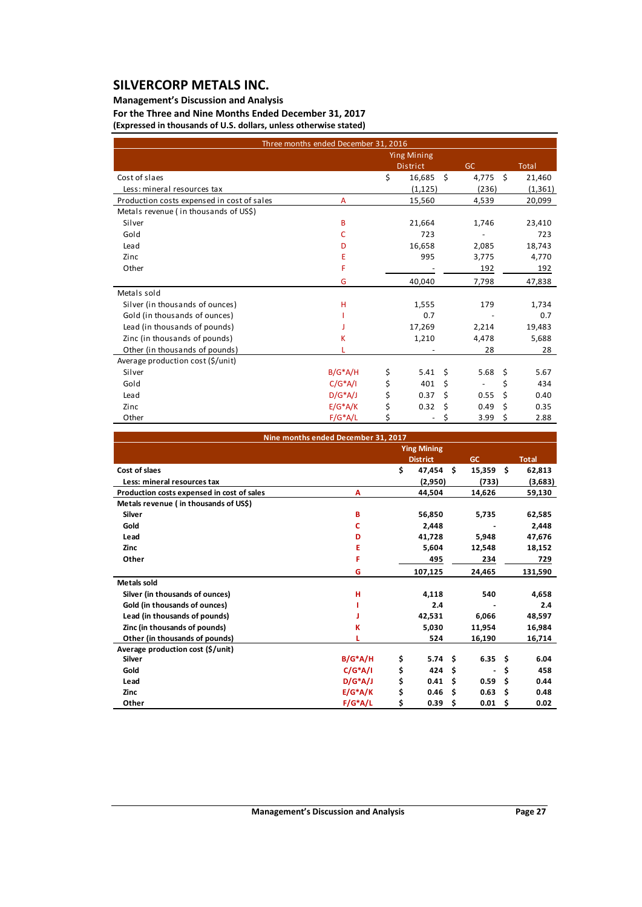## **Management's Discussion and Analysis**

**For the Three and Nine Months Ended December 31, 2017 (Expressed in thousands of U.S. dollars, unless otherwise stated)**

|                                            | Three months ended December 31, 2016 |                    |      |                          |    |          |
|--------------------------------------------|--------------------------------------|--------------------|------|--------------------------|----|----------|
|                                            |                                      | <b>Ying Mining</b> |      |                          |    |          |
|                                            |                                      | <b>District</b>    |      | <b>GC</b>                |    | Total    |
| Cost of slaes                              |                                      | \$<br>16,685       | - \$ | 4,775                    | \$ | 21,460   |
| Less: mineral resources tax                |                                      | (1, 125)           |      | (236)                    |    | (1, 361) |
| Production costs expensed in cost of sales | A                                    | 15,560             |      | 4,539                    |    | 20,099   |
| Metals revenue (in thousands of US\$)      |                                      |                    |      |                          |    |          |
| Silver                                     | B                                    | 21,664             |      | 1,746                    |    | 23,410   |
| Gold                                       | c                                    | 723                |      |                          |    | 723      |
| Lead                                       | D                                    | 16,658             |      | 2,085                    |    | 18,743   |
| Zinc                                       | Е                                    | 995                |      | 3,775                    |    | 4,770    |
| Other                                      | F                                    |                    |      | 192                      |    | 192      |
|                                            | G                                    | 40,040             |      | 7,798                    |    | 47,838   |
| Metals sold                                |                                      |                    |      |                          |    |          |
| Silver (in thousands of ounces)            | H                                    | 1,555              |      | 179                      |    | 1,734    |
| Gold (in thousands of ounces)              |                                      | 0.7                |      |                          |    | 0.7      |
| Lead (in thousands of pounds)              |                                      | 17,269             |      | 2,214                    |    | 19,483   |
| Zinc (in thousands of pounds)              | к                                    | 1,210              |      | 4,478                    |    | 5,688    |
| Other (in thousands of pounds)             |                                      |                    |      | 28                       |    | 28       |
| Average production cost (\$/unit)          |                                      |                    |      |                          |    |          |
| Silver                                     | $B/G^*A/H$                           | \$<br>5.41         | \$   | 5.68                     | \$ | 5.67     |
| Gold                                       | $C/G^*A/I$                           | \$<br>401          | \$   | $\overline{\phantom{a}}$ | \$ | 434      |
| Lead                                       | $D/G^*A/J$                           | 0.37               | Ś    | 0.55                     | Ś. | 0.40     |
| Zinc                                       | $E/G^*A/K$                           | \$<br>0.32         | \$   | 0.49                     | \$ | 0.35     |
| Other                                      | $F/G^*A/L$                           | \$                 | \$   | 3.99                     | \$ | 2.88     |

|                                            | Nine months ended December 31, 2017 |    |                    |    |                   |    |              |
|--------------------------------------------|-------------------------------------|----|--------------------|----|-------------------|----|--------------|
|                                            |                                     |    | <b>Ying Mining</b> |    |                   |    |              |
|                                            |                                     |    | <b>District</b>    |    | <b>GC</b>         |    | <b>Total</b> |
| Cost of slaes                              |                                     | \$ | 47.454             | Ŝ. | 15,359            | Ŝ. | 62,813       |
| Less: mineral resources tax                |                                     |    | (2,950)            |    | (733)             |    | (3,683)      |
| Production costs expensed in cost of sales | А                                   |    | 44,504             |    | 14,626            |    | 59,130       |
| Metals revenue (in thousands of US\$)      |                                     |    |                    |    |                   |    |              |
| <b>Silver</b>                              | B                                   |    | 56,850             |    | 5,735             |    | 62,585       |
| Gold                                       | c                                   |    | 2,448              |    |                   |    | 2,448        |
| Lead                                       | D                                   |    | 41,728             |    | 5,948             |    | 47,676       |
| <b>Zinc</b>                                | Ε                                   |    | 5,604              |    | 12,548            |    | 18,152       |
| Other                                      | F                                   |    | 495                |    | 234               |    | 729          |
|                                            | G                                   |    | 107,125            |    | 24,465            |    | 131,590      |
| <b>Metals sold</b>                         |                                     |    |                    |    |                   |    |              |
| Silver (in thousands of ounces)            | н                                   |    | 4,118              |    | 540               |    | 4,658        |
| Gold (in thousands of ounces)              |                                     |    | 2.4                |    |                   |    | 2.4          |
| Lead (in thousands of pounds)              |                                     |    | 42,531             |    | 6,066             |    | 48,597       |
| Zinc (in thousands of pounds)              | κ                                   |    | 5,030              |    | 11,954            |    | 16,984       |
| Other (in thousands of pounds)             |                                     |    | 524                |    | 16,190            |    | 16,714       |
| Average production cost (\$/unit)          |                                     |    |                    |    |                   |    |              |
| <b>Silver</b>                              | $B/G^*A/H$                          | \$ | 5.74               | Ŝ. | $6.35\frac{2}{3}$ |    | 6.04         |
| Gold                                       | $C/G^*A/I$                          | \$ | 424                | \$ |                   | \$ | 458          |
| Lead                                       | $D/G^*A/J$                          | \$ | 0.41               | Ŝ  | 0.59              | Ŝ. | 0.44         |
| <b>Zinc</b>                                | $E/G^*A/K$                          | \$ | 0.46               | \$ | 0.63              | \$ | 0.48         |
| Other                                      | $F/G^*A/L$                          | Ś  | 0.39               | Ŝ  | 0.01              | \$ | 0.02         |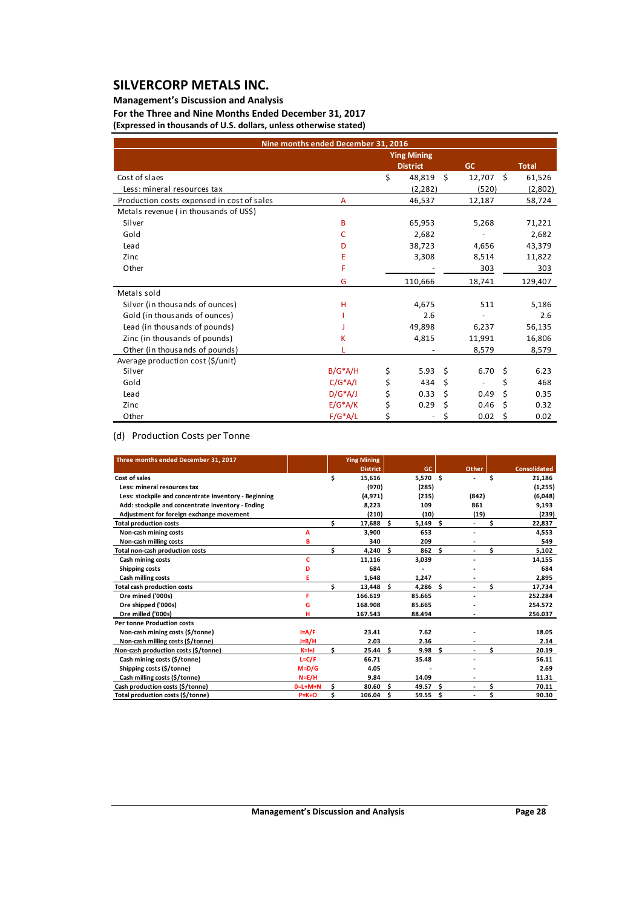### **Management's Discussion and Analysis**

**For the Three and Nine Months Ended December 31, 2017 (Expressed in thousands of U.S. dollars, unless otherwise stated)**

|                                            | Nine months ended December 31, 2016 |                    |      |             |      |              |
|--------------------------------------------|-------------------------------------|--------------------|------|-------------|------|--------------|
|                                            |                                     | <b>Ying Mining</b> |      |             |      |              |
|                                            |                                     | <b>District</b>    |      | <b>GC</b>   |      | <b>Total</b> |
| Cost of slaes                              |                                     | \$<br>48,819       | - \$ | $12,707$ \$ |      | 61,526       |
| Less: mineral resources tax                |                                     | (2, 282)           |      | (520)       |      | (2,802)      |
| Production costs expensed in cost of sales | A                                   | 46,537             |      | 12,187      |      | 58,724       |
| Metals revenue (in thousands of US\$)      |                                     |                    |      |             |      |              |
| Silver                                     | B                                   | 65,953             |      | 5,268       |      | 71,221       |
| Gold                                       | C                                   | 2,682              |      |             |      | 2,682        |
| Lead                                       | D                                   | 38,723             |      | 4,656       |      | 43,379       |
| Zinc                                       | Ε                                   | 3,308              |      | 8,514       |      | 11,822       |
| Other                                      | F                                   |                    |      | 303         |      | 303          |
|                                            | G                                   | 110,666            |      | 18,741      |      | 129,407      |
| Metals sold                                |                                     |                    |      |             |      |              |
| Silver (in thousands of ounces)            | H                                   | 4,675              |      | 511         |      | 5,186        |
| Gold (in thousands of ounces)              |                                     | 2.6                |      |             |      | 2.6          |
| Lead (in thousands of pounds)              |                                     | 49,898             |      | 6,237       |      | 56,135       |
| Zinc (in thousands of pounds)              | к                                   | 4,815              |      | 11,991      |      | 16,806       |
| Other (in thousands of pounds)             |                                     |                    |      | 8,579       |      | 8,579        |
| Average production cost (\$/unit)          |                                     |                    |      |             |      |              |
| Silver                                     | $B/G^*A/H$                          | \$<br>5.93         | Ŝ.   | 6.70        | \$   | 6.23         |
| Gold                                       | $C/G^*A/I$                          | \$<br>434          | \$   |             | \$   | 468          |
| Lead                                       | $D/G^*A/J$                          | 0.33               | \$   | 0.49        | \$   | 0.35         |
| Zinc                                       | $E/G^*A/K$                          | \$<br>0.29         | \$   | 0.46        | \$   | 0.32         |
| Other                                      | $F/G^*A/L$                          |                    | \$   | 0.02        | - \$ | 0.02         |

## (d) Production Costs per Tonne

| Three months ended December 31, 2017                  |                 |    | <b>Ying Mining</b> |      |          |    |       |    |                     |
|-------------------------------------------------------|-----------------|----|--------------------|------|----------|----|-------|----|---------------------|
|                                                       |                 |    | <b>District</b>    |      | GC       |    | Other |    | <b>Consolidated</b> |
| Cost of sales                                         |                 | \$ | 15,616             |      | 5,570 \$ |    |       | \$ | 21,186              |
| Less: mineral resources tax                           |                 |    | (970)              |      | (285)    |    |       |    | (1,255)             |
| Less: stockpile and concentrate inventory - Beginning |                 |    | (4, 971)           |      | (235)    |    | (842) |    | (6,048)             |
| Add: stockpile and concentrate inventory - Ending     |                 |    | 8.223              |      | 109      |    | 861   |    | 9,193               |
| Adjustment for foreign exchange movement              |                 |    | (210)              |      | (10)     |    | (19)  |    | (239)               |
| <b>Total production costs</b>                         |                 | Ś  | 17,688 \$          |      | 5,149    | Ŝ. | ÷.    | Ś. | 22,837              |
| Non-cash mining costs                                 | A               |    | 3.900              |      | 653      |    | ٠     |    | 4.553               |
| Non-cash milling costs                                | B               |    | 340                |      | 209      |    |       |    | 549                 |
| Total non-cash production costs                       |                 | Ś  | 4,240              | −\$  | 862      | \$ |       | Ś  | 5,102               |
| Cash mining costs                                     | c               |    | 11,116             |      | 3,039    |    |       |    | 14,155              |
| Shipping costs                                        | D               |    | 684                |      |          |    |       |    | 684                 |
| Cash milling costs                                    |                 |    | 1,648              |      | 1,247    |    |       |    | 2,895               |
| <b>Total cash production costs</b>                    |                 | Ś  | $13,448$ \$        |      | 4.286    | \$ |       | Ś. | 17,734              |
| Ore mined ('000s)                                     | F               |    | 166.619            |      | 85.665   |    |       |    | 252.284             |
| Ore shipped ('000s)                                   | G               |    | 168.908            |      | 85.665   |    |       |    | 254.572             |
| Ore milled ('000s)                                    | н               |    | 167.543            |      | 88.494   |    |       |    | 256.037             |
| <b>Per tonne Production costs</b>                     |                 |    |                    |      |          |    |       |    |                     |
| Non-cash mining costs (\$/tonne)                      | $I = A/F$       |    | 23.41              |      | 7.62     |    |       |    | 18.05               |
| Non-cash milling costs (\$/tonne)                     | $J=B/H$         |    | 2.03               |      | 2.36     |    |       |    | 2.14                |
| Non-cash production costs (\$/tonne)                  | $K=H+J$         | Ś. | 25.44              | - \$ | 9.98     | \$ |       | Ś  | 20.19               |
| Cash mining costs (\$/tonne)                          | $L = C/F$       |    | 66.71              |      | 35.48    |    |       |    | 56.11               |
| Shipping costs (\$/tonne)                             | $M = D/G$       |    | 4.05               |      |          |    |       |    | 2.69                |
| Cash milling costs (\$/tonne)                         | $N = E/H$       |    | 9.84               |      | 14.09    |    |       |    | 11.31               |
| Cash production costs (\$/tonne)                      | $0 = L + M + N$ | Ś  | 80.60              | - Ś  | 49.57    | Ś. | ٠     | \$ | 70.11               |
| Total production costs (\$/tonne)                     | $P=K+O$         | Ś  | 106.04             | - \$ | 59.55    | Ŝ  | ٠     |    | 90.30               |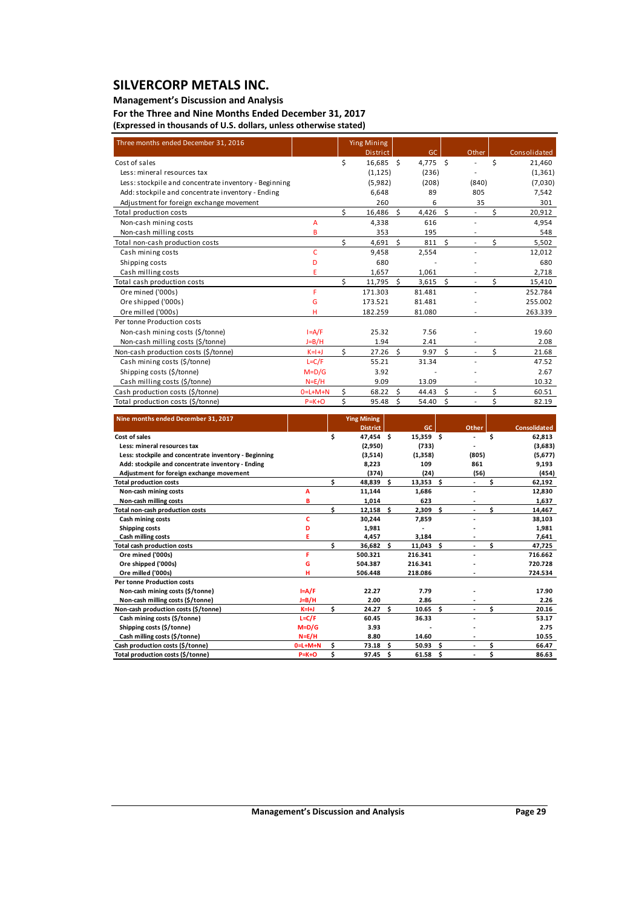### **Management's Discussion and Analysis**

**For the Three and Nine Months Ended December 31, 2017 (Expressed in thousands of U.S. dollars, unless otherwise stated)**

| Three months ended December 31, 2016                  |                 |    | <b>Ying Mining</b> |    |          |              |                          |    |              |
|-------------------------------------------------------|-----------------|----|--------------------|----|----------|--------------|--------------------------|----|--------------|
|                                                       |                 |    | <b>District</b>    |    | GC       |              | Other                    |    | Consolidated |
| Cost of sales                                         |                 | \$ | 16,685 \$          |    | 4,775 \$ |              |                          | Ś  | 21,460       |
| Less: mineral resources tax                           |                 |    | (1, 125)           |    | (236)    |              |                          |    | (1, 361)     |
| Less: stockpile and concentrate inventory - Beginning |                 |    | (5,982)            |    | (208)    |              | (840)                    |    | (7,030)      |
| Add: stockpile and concentrate inventory - Ending     |                 |    | 6,648              |    | 89       |              | 805                      |    | 7,542        |
| Adjustment for foreign exchange movement              |                 |    | 260                |    | 6        |              | 35                       |    | 301          |
| Total production costs                                |                 | ς  | 16,486             | Ŝ. | 4,426    | Ŝ.           | $\overline{\phantom{0}}$ | Ś  | 20,912       |
| Non-cash mining costs                                 | A               |    | 4,338              |    | 616      |              | $\overline{a}$           |    | 4,954        |
| Non-cash milling costs                                | B               |    | 353                |    | 195      |              |                          |    | 548          |
| Total non-cash production costs                       |                 | ς  | 4,691              | Ŝ. | 811      | $\mathsf{S}$ |                          | Ś  | 5,502        |
| Cash mining costs                                     | c               |    | 9,458              |    | 2,554    |              |                          |    | 12,012       |
| Shipping costs                                        | D               |    | 680                |    |          |              |                          |    | 680          |
| Cash milling costs                                    | E               |    | 1,657              |    | 1,061    |              |                          |    | 2,718        |
| Total cash production costs                           |                 | Ś  | 11,795             | Ŝ. | 3,615    | Ŝ.           | $\overline{a}$           | Ś. | 15,410       |
| Ore mined ('000s)                                     | F               |    | 171.303            |    | 81.481   |              |                          |    | 252.784      |
| Ore shipped ('000s)                                   | G               |    | 173.521            |    | 81.481   |              |                          |    | 255.002      |
| Ore milled ('000s)                                    | н               |    | 182.259            |    | 81.080   |              |                          |    | 263.339      |
| Per tonne Production costs                            |                 |    |                    |    |          |              |                          |    |              |
| Non-cash mining costs (\$/tonne)                      | $I = A/F$       |    | 25.32              |    | 7.56     |              |                          |    | 19.60        |
| Non-cash milling costs (\$/tonne)                     | $J=B/H$         |    | 1.94               |    | 2.41     |              |                          |    | 2.08         |
| Non-cash production costs (\$/tonne)                  | $K=1+J$         | ς. | 27.26              | Ś. | 9.97     | $\zeta$      |                          | Ś  | 21.68        |
| Cash mining costs (\$/tonne)                          | $L=C/F$         |    | 55.21              |    | 31.34    |              |                          |    | 47.52        |
| Shipping costs (\$/tonne)                             | $M=D/G$         |    | 3.92               |    |          |              |                          |    | 2.67         |
| Cash milling costs (\$/tonne)                         | $N=E/H$         |    | 9.09               |    | 13.09    |              | ٠                        |    | 10.32        |
| Cash production costs (\$/tonne)                      | $0 = L + M + N$ | Ś. | 68.22              | Ŝ. | 44.43    | Ŝ.           | $\overline{a}$           | \$ | 60.51        |
| Total production costs (\$/tonne)                     | $P = K + O$     | \$ | 95.48              | Ś  | 54.40    | \$           | $\overline{a}$           | \$ | 82.19        |

| Nine months ended December 31, 2017                   |                 |     | <b>Ying Mining</b> |    |             |     |       |     |                     |
|-------------------------------------------------------|-----------------|-----|--------------------|----|-------------|-----|-------|-----|---------------------|
|                                                       |                 |     | <b>District</b>    |    | GC          |     | Other |     | <b>Consolidated</b> |
| Cost of sales                                         |                 | \$  | 47,454 \$          |    | $15,359$ \$ |     |       | \$  | 62,813              |
| Less: mineral resources tax                           |                 |     | (2,950)            |    | (733)       |     |       |     | (3,683)             |
| Less: stockpile and concentrate inventory - Beginning |                 |     | (3,514)            |    | (1,358)     |     | (805) |     | (5,677)             |
| Add: stockpile and concentrate inventory - Ending     |                 |     | 8,223              |    | 109         |     | 861   |     | 9,193               |
| Adjustment for foreign exchange movement              |                 |     | (374)              |    | (24)        |     | (56)  |     | (454)               |
| <b>Total production costs</b>                         |                 | \$. | 48,839 \$          |    | 13,353      | Ŝ.  |       | Ś   | 62,192              |
| Non-cash mining costs                                 | A               |     | 11,144             |    | 1,686       |     |       |     | 12,830              |
| Non-cash milling costs                                | B               |     | 1.014              |    | 623         |     |       |     | 1,637               |
| Total non-cash production costs                       |                 | Ś   | $12,158$ \$        |    | 2,309       | Ś.  |       | \$. | 14,467              |
| Cash mining costs                                     | c               |     | 30.244             |    | 7,859       |     |       |     | 38,103              |
| <b>Shipping costs</b>                                 | D               |     | 1,981              |    |             |     |       |     | 1,981               |
| Cash milling costs                                    |                 |     | 4,457              |    | 3,184       |     |       |     | 7,641               |
| <b>Total cash production costs</b>                    |                 | Ś   | 36,682             | Ŝ. | 11,043      | Ś.  |       | \$  | 47,725              |
| Ore mined ('000s)                                     | F               |     | 500.321            |    | 216.341     |     |       |     | 716.662             |
| Ore shipped ('000s)                                   | G               |     | 504.387            |    | 216.341     |     |       |     | 720.728             |
| Ore milled ('000s)                                    |                 |     | 506.448            |    | 218.086     |     |       |     | 724.534             |
| <b>Per tonne Production costs</b>                     |                 |     |                    |    |             |     |       |     |                     |
| Non-cash mining costs (\$/tonne)                      | I=A/F           |     | 22.27              |    | 7.79        |     |       |     | 17.90               |
| Non-cash milling costs (\$/tonne)                     | $J=B/H$         |     | 2.00               |    | 2.86        |     |       |     | 2.26                |
| Non-cash production costs (\$/tonne)                  | $K=H+J$         | \$  | 24.27              | Ŝ. | 10.65       | \$. |       | Ś   | 20.16               |
| Cash mining costs (\$/tonne)                          | $L = C/F$       |     | 60.45              |    | 36.33       |     |       |     | 53.17               |
| Shipping costs (\$/tonne)                             | $M=D/G$         |     | 3.93               |    |             |     |       |     | 2.75                |
| Cash milling costs (\$/tonne)                         | $N = E/H$       |     | 8.80               |    | 14.60       |     |       |     | 10.55               |
| Cash production costs (\$/tonne)                      | $0 = L + M + N$ | Ś   | 73.18              | Ŝ. | 50.93       | Ŝ.  |       | \$  | 66.47               |
| Total production costs (\$/tonne)                     | $P=K+O$         | Ś   | 97.45              | Ś. | 61.58       | - Ś |       | \$  | 86.63               |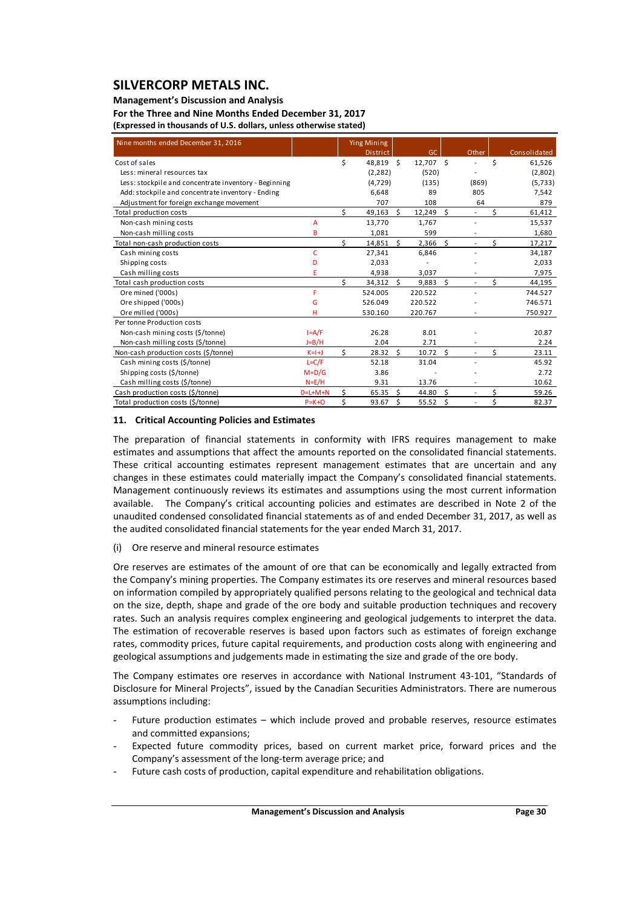### **Management's Discussion and Analysis**

**For the Three and Nine Months Ended December 31, 2017**

| Nine months ended December 31, 2016                   |             |    | <b>Ying Mining</b> |    |           |    |                |    |              |
|-------------------------------------------------------|-------------|----|--------------------|----|-----------|----|----------------|----|--------------|
|                                                       |             |    | <b>District</b>    |    | GC.       |    | Other          |    | Consolidated |
| Cost of sales                                         |             | \$ | 48,819 \$          |    | 12,707 \$ |    |                | \$ | 61,526       |
| Less: mineral resources tax                           |             |    | (2, 282)           |    | (520)     |    |                |    | (2,802)      |
| Less: stockpile and concentrate inventory - Beginning |             |    | (4, 729)           |    | (135)     |    | (869)          |    | (5, 733)     |
| Add: stockpile and concentrate inventory - Ending     |             |    | 6,648              |    | 89        |    | 805            |    | 7,542        |
| Adjustment for foreign exchange movement              |             |    | 707                |    | 108       |    | 64             |    | 879          |
| Total production costs                                |             | \$ | 49,163             | Ŝ. | 12,249    | Ŝ. |                | Ś  | 61,412       |
| Non-cash mining costs                                 | A           |    | 13,770             |    | 1,767     |    |                |    | 15,537       |
| Non-cash milling costs                                | B           |    | 1,081              |    | 599       |    |                |    | 1,680        |
| Total non-cash production costs                       |             | \$ | 14,851             | Ŝ. | 2,366     | Ś. | $\overline{a}$ | \$ | 17,217       |
| Cash mining costs                                     | c           |    | 27,341             |    | 6,846     |    |                |    | 34,187       |
| Shipping costs                                        | D           |    | 2,033              |    |           |    |                |    | 2,033        |
| Cash milling costs                                    | E           |    | 4,938              |    | 3,037     |    |                |    | 7,975        |
| Total cash production costs                           |             | Ś  | 34,312             | Ŝ. | 9,883     | Ś. |                | Ś  | 44,195       |
| Ore mined ('000s)                                     | F.          |    | 524.005            |    | 220.522   |    |                |    | 744.527      |
| Ore shipped ('000s)                                   | G           |    | 526.049            |    | 220.522   |    |                |    | 746.571      |
| Ore milled ('000s)                                    | Ĥ           |    | 530.160            |    | 220.767   |    |                |    | 750.927      |
| Per tonne Production costs                            |             |    |                    |    |           |    |                |    |              |
| Non-cash mining costs (\$/tonne)                      | $I = A/F$   |    | 26.28              |    | 8.01      |    |                |    | 20.87        |
| Non-cash milling costs (\$/tonne)                     | $J=B/H$     |    | 2.04               |    | 2.71      |    |                |    | 2.24         |
| Non-cash production costs (\$/tonne)                  | $K=1+J$     | Ś. | 28.32              | Ś. | 10.72     | Ś  |                | Ś  | 23.11        |
| Cash mining costs (\$/tonne)                          | $L=C/F$     |    | 52.18              |    | 31.04     |    |                |    | 45.92        |
| Shipping costs (\$/tonne)                             | $M=D/G$     |    | 3.86               |    |           |    |                |    | 2.72         |
| Cash milling costs (\$/tonne)                         | $N=E/H$     |    | 9.31               |    | 13.76     |    |                |    | 10.62        |
| Cash production costs (\$/tonne)                      | $0=L+M+N$   | Ś. | 65.35              | Ś. | 44.80     | Ś. |                | \$ | 59.26        |
| Total production costs (\$/tonne)                     | $P = K + O$ | \$ | 93.67              | Ŝ. | 55.52     | S. |                | Ś  | 82.37        |

### **11. Critical Accounting Policies and Estimates**

The preparation of financial statements in conformity with IFRS requires management to make estimates and assumptions that affect the amounts reported on the consolidated financial statements. These critical accounting estimates represent management estimates that are uncertain and any changes in these estimates could materially impact the Company's consolidated financial statements. Management continuously reviews its estimates and assumptions using the most current information available. The Company's critical accounting policies and estimates are described in Note 2 of the unaudited condensed consolidated financial statements as of and ended December 31, 2017, as well as the audited consolidated financial statements for the year ended March 31, 2017.

### (i) Ore reserve and mineral resource estimates

Ore reserves are estimates of the amount of ore that can be economically and legally extracted from the Company's mining properties. The Company estimates its ore reserves and mineral resources based on information compiled by appropriately qualified persons relating to the geological and technical data on the size, depth, shape and grade of the ore body and suitable production techniques and recovery rates. Such an analysis requires complex engineering and geological judgements to interpret the data. The estimation of recoverable reserves is based upon factors such as estimates of foreign exchange rates, commodity prices, future capital requirements, and production costs along with engineering and geological assumptions and judgements made in estimating the size and grade of the ore body.

The Company estimates ore reserves in accordance with National Instrument 43‐101, "Standards of Disclosure for Mineral Projects", issued by the Canadian Securities Administrators. There are numerous assumptions including:

- Future production estimates which include proved and probable reserves, resource estimates and committed expansions;
- Expected future commodity prices, based on current market price, forward prices and the Company's assessment of the long‐term average price; and
- Future cash costs of production, capital expenditure and rehabilitation obligations.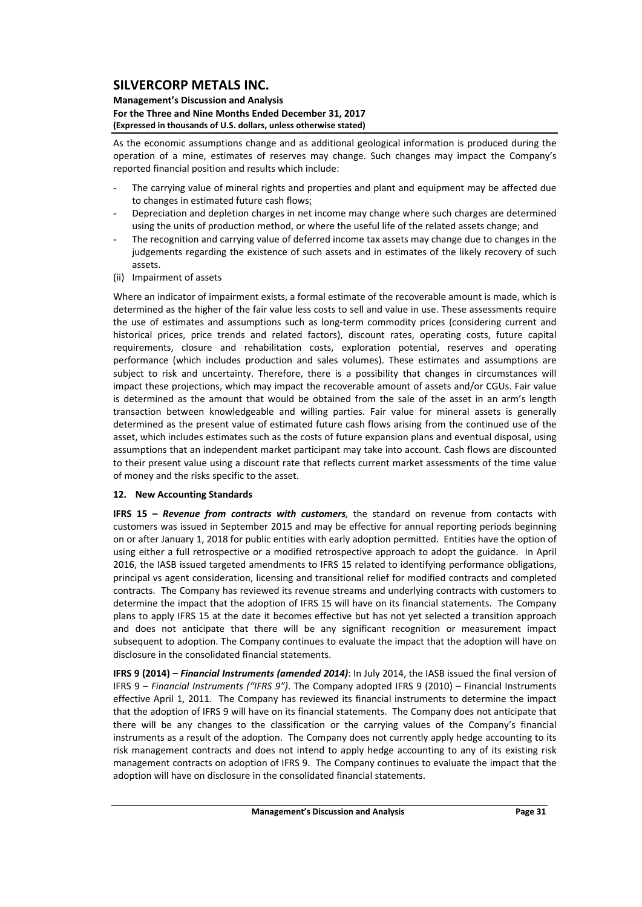### **Management's Discussion and Analysis For the Three and Nine Months Ended December 31, 2017 (Expressed in thousands of U.S. dollars, unless otherwise stated)**

As the economic assumptions change and as additional geological information is produced during the operation of a mine, estimates of reserves may change. Such changes may impact the Company's reported financial position and results which include:

- The carrying value of mineral rights and properties and plant and equipment may be affected due to changes in estimated future cash flows;
- Depreciation and depletion charges in net income may change where such charges are determined using the units of production method, or where the useful life of the related assets change; and
- The recognition and carrying value of deferred income tax assets may change due to changes in the judgements regarding the existence of such assets and in estimates of the likely recovery of such assets.
- (ii) Impairment of assets

Where an indicator of impairment exists, a formal estimate of the recoverable amount is made, which is determined as the higher of the fair value less costs to sell and value in use. These assessments require the use of estimates and assumptions such as long-term commodity prices (considering current and historical prices, price trends and related factors), discount rates, operating costs, future capital requirements, closure and rehabilitation costs, exploration potential, reserves and operating performance (which includes production and sales volumes). These estimates and assumptions are subject to risk and uncertainty. Therefore, there is a possibility that changes in circumstances will impact these projections, which may impact the recoverable amount of assets and/or CGUs. Fair value is determined as the amount that would be obtained from the sale of the asset in an arm's length transaction between knowledgeable and willing parties. Fair value for mineral assets is generally determined as the present value of estimated future cash flows arising from the continued use of the asset, which includes estimates such as the costs of future expansion plans and eventual disposal, using assumptions that an independent market participant may take into account. Cash flows are discounted to their present value using a discount rate that reflects current market assessments of the time value of money and the risks specific to the asset.

### **12. New Accounting Standards**

**IFRS 15 –** *Revenue from contracts with customers,* the standard on revenue from contacts with customers was issued in September 2015 and may be effective for annual reporting periods beginning on or after January 1, 2018 for public entities with early adoption permitted. Entities have the option of using either a full retrospective or a modified retrospective approach to adopt the guidance. In April 2016, the IASB issued targeted amendments to IFRS 15 related to identifying performance obligations, principal vs agent consideration, licensing and transitional relief for modified contracts and completed contracts. The Company has reviewed its revenue streams and underlying contracts with customers to determine the impact that the adoption of IFRS 15 will have on its financial statements. The Company plans to apply IFRS 15 at the date it becomes effective but has not yet selected a transition approach and does not anticipate that there will be any significant recognition or measurement impact subsequent to adoption. The Company continues to evaluate the impact that the adoption will have on disclosure in the consolidated financial statements.

**IFRS 9 (2014) –** *Financial Instruments (amended 2014)*: In July 2014, the IASB issued the final version of IFRS 9 – *Financial Instruments ("IFRS 9")*. The Company adopted IFRS 9 (2010) – Financial Instruments effective April 1, 2011. The Company has reviewed its financial instruments to determine the impact that the adoption of IFRS 9 will have on its financial statements. The Company does not anticipate that there will be any changes to the classification or the carrying values of the Company's financial instruments as a result of the adoption. The Company does not currently apply hedge accounting to its risk management contracts and does not intend to apply hedge accounting to any of its existing risk management contracts on adoption of IFRS 9. The Company continues to evaluate the impact that the adoption will have on disclosure in the consolidated financial statements.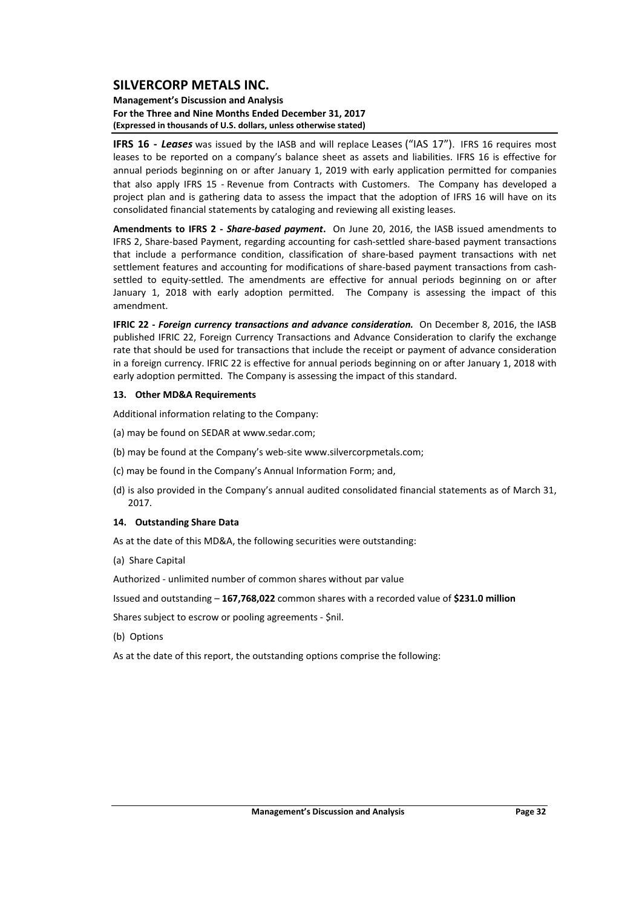#### **Management's Discussion and Analysis For the Three and Nine Months Ended December 31, 2017 (Expressed in thousands of U.S. dollars, unless otherwise stated)**

**IFRS 16** - Leases was issued by the IASB and will replace Leases ("IAS 17"). IFRS 16 requires most leases to be reported on a company's balance sheet as assets and liabilities. IFRS 16 is effective for annual periods beginning on or after January 1, 2019 with early application permitted for companies that also apply IFRS 15 ‐ Revenue from Contracts with Customers. The Company has developed a project plan and is gathering data to assess the impact that the adoption of IFRS 16 will have on its consolidated financial statements by cataloging and reviewing all existing leases.

**Amendments to IFRS 2 ‐**  *Share‐based payment***.** On June 20, 2016, the IASB issued amendments to IFRS 2, Share‐based Payment, regarding accounting for cash‐settled share‐based payment transactions that include a performance condition, classification of share‐based payment transactions with net settlement features and accounting for modifications of share-based payment transactions from cashsettled to equity-settled. The amendments are effective for annual periods beginning on or after January 1, 2018 with early adoption permitted. The Company is assessing the impact of this amendment.

**IFRIC 22 ‐** *Foreign currency transactions and advance consideration.* On December 8, 2016, the IASB published IFRIC 22, Foreign Currency Transactions and Advance Consideration to clarify the exchange rate that should be used for transactions that include the receipt or payment of advance consideration in a foreign currency. IFRIC 22 is effective for annual periods beginning on or after January 1, 2018 with early adoption permitted. The Company is assessing the impact of this standard.

#### **13. Other MD&A Requirements**

Additional information relating to the Company:

- (a) may be found on SEDAR at www.sedar.com;
- (b) may be found at the Company's web‐site www.silvercorpmetals.com;
- (c) may be found in the Company's Annual Information Form; and,
- (d) is also provided in the Company's annual audited consolidated financial statements as of March 31, 2017.

### **14. Outstanding Share Data**

As at the date of this MD&A, the following securities were outstanding:

(a) Share Capital

Authorized ‐ unlimited number of common shares without par value

Issued and outstanding – **167,768,022** common shares with a recorded value of **\$231.0 million**

Shares subject to escrow or pooling agreements ‐ \$nil.

(b) Options

As at the date of this report, the outstanding options comprise the following: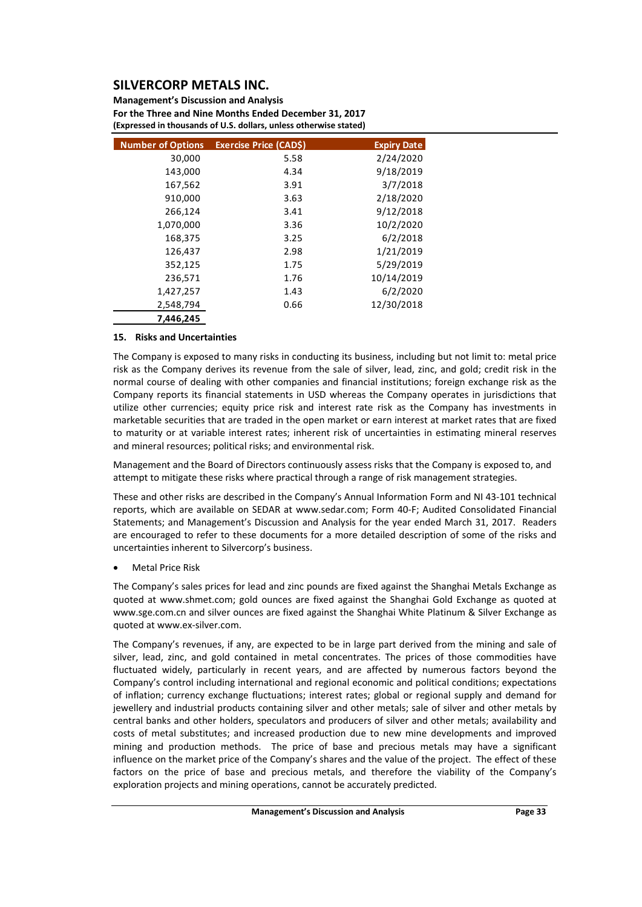**Management's Discussion and Analysis For the Three and Nine Months Ended December 31, 2017 (Expressed in thousands of U.S. dollars, unless otherwise stated)**

| <b>Number of Options</b> | <b>Exercise Price (CADS)</b> | <b>Expiry Date</b> |
|--------------------------|------------------------------|--------------------|
| 30,000                   | 5.58                         | 2/24/2020          |
| 143,000                  | 4.34                         | 9/18/2019          |
| 167,562                  | 3.91                         | 3/7/2018           |
| 910,000                  | 3.63                         | 2/18/2020          |
| 266,124                  | 3.41                         | 9/12/2018          |
| 1,070,000                | 3.36                         | 10/2/2020          |
| 168,375                  | 3.25                         | 6/2/2018           |
| 126,437                  | 2.98                         | 1/21/2019          |
| 352,125                  | 1.75                         | 5/29/2019          |
| 236,571                  | 1.76                         | 10/14/2019         |
| 1,427,257                | 1.43                         | 6/2/2020           |
| 2,548,794                | 0.66                         | 12/30/2018         |
| 7,446,245                |                              |                    |

### **15. Risks and Uncertainties**

The Company is exposed to many risks in conducting its business, including but not limit to: metal price risk as the Company derives its revenue from the sale of silver, lead, zinc, and gold; credit risk in the normal course of dealing with other companies and financial institutions; foreign exchange risk as the Company reports its financial statements in USD whereas the Company operates in jurisdictions that utilize other currencies; equity price risk and interest rate risk as the Company has investments in marketable securities that are traded in the open market or earn interest at market rates that are fixed to maturity or at variable interest rates; inherent risk of uncertainties in estimating mineral reserves and mineral resources; political risks; and environmental risk.

Management and the Board of Directors continuously assess risks that the Company is exposed to, and attempt to mitigate these risks where practical through a range of risk management strategies.

These and other risks are described in the Company's Annual Information Form and NI 43‐101 technical reports, which are available on SEDAR at www.sedar.com; Form 40‐F; Audited Consolidated Financial Statements; and Management's Discussion and Analysis for the year ended March 31, 2017. Readers are encouraged to refer to these documents for a more detailed description of some of the risks and uncertainties inherent to Silvercorp's business.

Metal Price Risk

The Company's sales prices for lead and zinc pounds are fixed against the Shanghai Metals Exchange as quoted at www.shmet.com; gold ounces are fixed against the Shanghai Gold Exchange as quoted at www.sge.com.cn and silver ounces are fixed against the Shanghai White Platinum & Silver Exchange as quoted at www.ex‐silver.com.

The Company's revenues, if any, are expected to be in large part derived from the mining and sale of silver, lead, zinc, and gold contained in metal concentrates. The prices of those commodities have fluctuated widely, particularly in recent years, and are affected by numerous factors beyond the Company's control including international and regional economic and political conditions; expectations of inflation; currency exchange fluctuations; interest rates; global or regional supply and demand for jewellery and industrial products containing silver and other metals; sale of silver and other metals by central banks and other holders, speculators and producers of silver and other metals; availability and costs of metal substitutes; and increased production due to new mine developments and improved mining and production methods. The price of base and precious metals may have a significant influence on the market price of the Company's shares and the value of the project. The effect of these factors on the price of base and precious metals, and therefore the viability of the Company's exploration projects and mining operations, cannot be accurately predicted.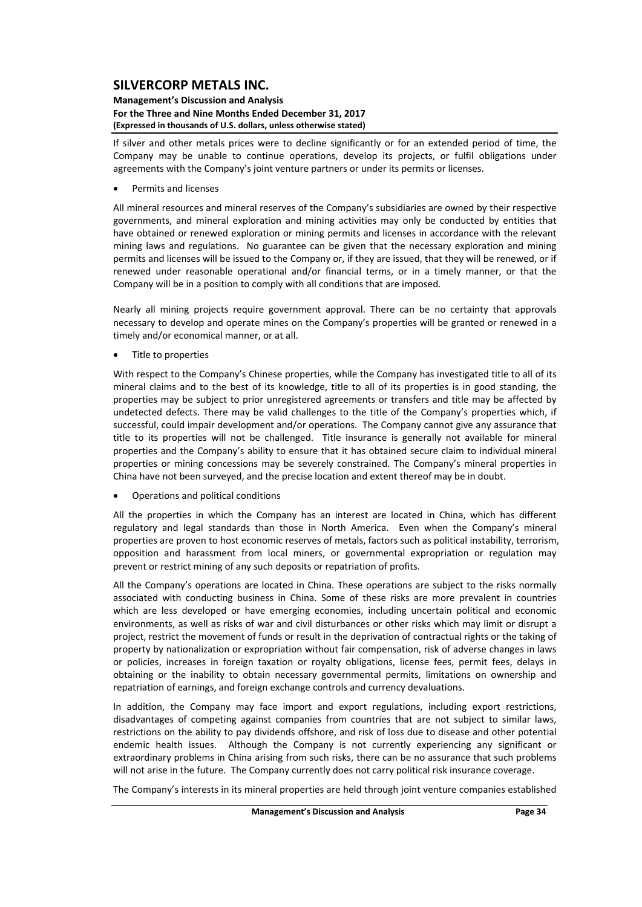#### **Management's Discussion and Analysis For the Three and Nine Months Ended December 31, 2017 (Expressed in thousands of U.S. dollars, unless otherwise stated)**

If silver and other metals prices were to decline significantly or for an extended period of time, the Company may be unable to continue operations, develop its projects, or fulfil obligations under agreements with the Company's joint venture partners or under its permits or licenses.

Permits and licenses

All mineral resources and mineral reserves of the Company's subsidiaries are owned by their respective governments, and mineral exploration and mining activities may only be conducted by entities that have obtained or renewed exploration or mining permits and licenses in accordance with the relevant mining laws and regulations. No guarantee can be given that the necessary exploration and mining permits and licenses will be issued to the Company or, if they are issued, that they will be renewed, or if renewed under reasonable operational and/or financial terms, or in a timely manner, or that the Company will be in a position to comply with all conditions that are imposed.

Nearly all mining projects require government approval. There can be no certainty that approvals necessary to develop and operate mines on the Company's properties will be granted or renewed in a timely and/or economical manner, or at all.

• Title to properties

With respect to the Company's Chinese properties, while the Company has investigated title to all of its mineral claims and to the best of its knowledge, title to all of its properties is in good standing, the properties may be subject to prior unregistered agreements or transfers and title may be affected by undetected defects. There may be valid challenges to the title of the Company's properties which, if successful, could impair development and/or operations. The Company cannot give any assurance that title to its properties will not be challenged. Title insurance is generally not available for mineral properties and the Company's ability to ensure that it has obtained secure claim to individual mineral properties or mining concessions may be severely constrained. The Company's mineral properties in China have not been surveyed, and the precise location and extent thereof may be in doubt.

Operations and political conditions

All the properties in which the Company has an interest are located in China, which has different regulatory and legal standards than those in North America. Even when the Company's mineral properties are proven to host economic reserves of metals, factors such as political instability, terrorism, opposition and harassment from local miners, or governmental expropriation or regulation may prevent or restrict mining of any such deposits or repatriation of profits.

All the Company's operations are located in China. These operations are subject to the risks normally associated with conducting business in China. Some of these risks are more prevalent in countries which are less developed or have emerging economies, including uncertain political and economic environments, as well as risks of war and civil disturbances or other risks which may limit or disrupt a project, restrict the movement of funds or result in the deprivation of contractual rights or the taking of property by nationalization or expropriation without fair compensation, risk of adverse changes in laws or policies, increases in foreign taxation or royalty obligations, license fees, permit fees, delays in obtaining or the inability to obtain necessary governmental permits, limitations on ownership and repatriation of earnings, and foreign exchange controls and currency devaluations.

In addition, the Company may face import and export regulations, including export restrictions, disadvantages of competing against companies from countries that are not subject to similar laws, restrictions on the ability to pay dividends offshore, and risk of loss due to disease and other potential endemic health issues. Although the Company is not currently experiencing any significant or extraordinary problems in China arising from such risks, there can be no assurance that such problems will not arise in the future. The Company currently does not carry political risk insurance coverage.

The Company's interests in its mineral properties are held through joint venture companies established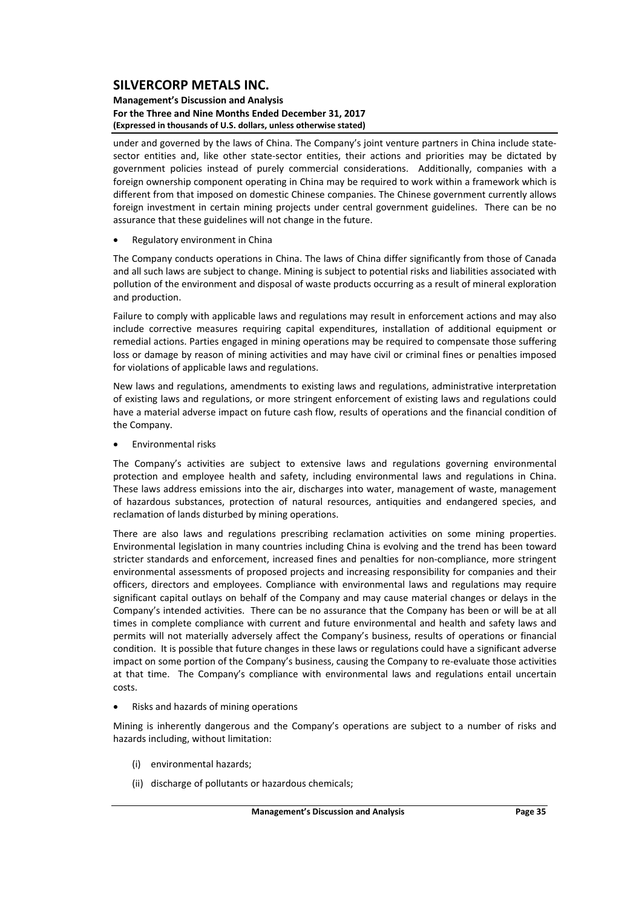#### **Management's Discussion and Analysis For the Three and Nine Months Ended December 31, 2017 (Expressed in thousands of U.S. dollars, unless otherwise stated)**

under and governed by the laws of China. The Company's joint venture partners in China include statesector entities and, like other state-sector entities, their actions and priorities may be dictated by government policies instead of purely commercial considerations. Additionally, companies with a foreign ownership component operating in China may be required to work within a framework which is different from that imposed on domestic Chinese companies. The Chinese government currently allows foreign investment in certain mining projects under central government guidelines. There can be no assurance that these guidelines will not change in the future.

Regulatory environment in China

The Company conducts operations in China. The laws of China differ significantly from those of Canada and all such laws are subject to change. Mining is subject to potential risks and liabilities associated with pollution of the environment and disposal of waste products occurring as a result of mineral exploration and production.

Failure to comply with applicable laws and regulations may result in enforcement actions and may also include corrective measures requiring capital expenditures, installation of additional equipment or remedial actions. Parties engaged in mining operations may be required to compensate those suffering loss or damage by reason of mining activities and may have civil or criminal fines or penalties imposed for violations of applicable laws and regulations.

New laws and regulations, amendments to existing laws and regulations, administrative interpretation of existing laws and regulations, or more stringent enforcement of existing laws and regulations could have a material adverse impact on future cash flow, results of operations and the financial condition of the Company.

**•** Environmental risks

The Company's activities are subject to extensive laws and regulations governing environmental protection and employee health and safety, including environmental laws and regulations in China. These laws address emissions into the air, discharges into water, management of waste, management of hazardous substances, protection of natural resources, antiquities and endangered species, and reclamation of lands disturbed by mining operations.

There are also laws and regulations prescribing reclamation activities on some mining properties. Environmental legislation in many countries including China is evolving and the trend has been toward stricter standards and enforcement, increased fines and penalties for non-compliance, more stringent environmental assessments of proposed projects and increasing responsibility for companies and their officers, directors and employees. Compliance with environmental laws and regulations may require significant capital outlays on behalf of the Company and may cause material changes or delays in the Company's intended activities. There can be no assurance that the Company has been or will be at all times in complete compliance with current and future environmental and health and safety laws and permits will not materially adversely affect the Company's business, results of operations or financial condition. It is possible that future changes in these laws or regulations could have a significant adverse impact on some portion of the Company's business, causing the Company to re‐evaluate those activities at that time. The Company's compliance with environmental laws and regulations entail uncertain costs.

Risks and hazards of mining operations

Mining is inherently dangerous and the Company's operations are subject to a number of risks and hazards including, without limitation:

- (i) environmental hazards;
- (ii) discharge of pollutants or hazardous chemicals;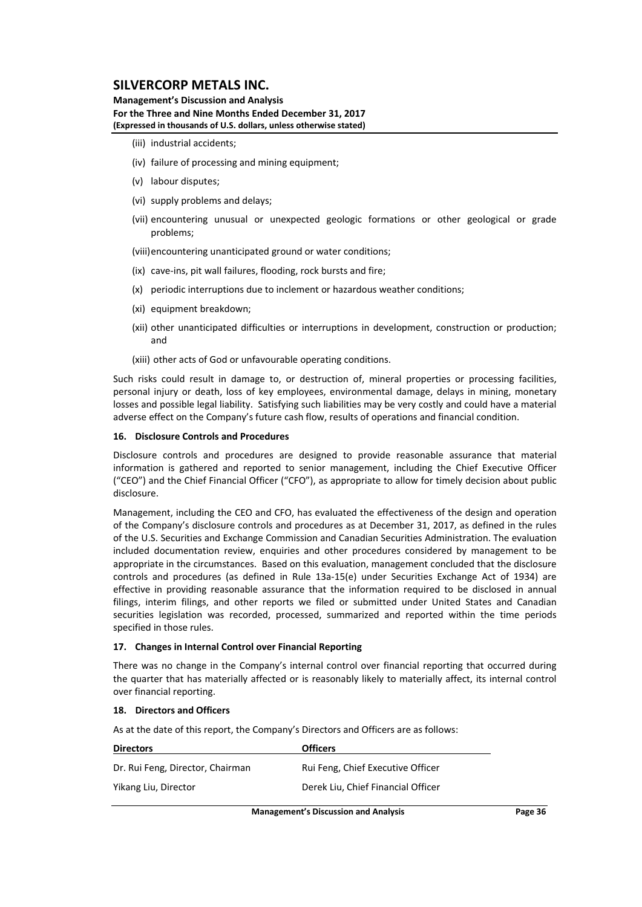**Management's Discussion and Analysis For the Three and Nine Months Ended December 31, 2017 (Expressed in thousands of U.S. dollars, unless otherwise stated)**

- (iii) industrial accidents;
- (iv) failure of processing and mining equipment:
- (v) labour disputes;
- (vi) supply problems and delays;
- (vii) encountering unusual or unexpected geologic formations or other geological or grade problems;

(viii)encountering unanticipated ground or water conditions;

- (ix) cave‐ins, pit wall failures, flooding, rock bursts and fire;
- (x) periodic interruptions due to inclement or hazardous weather conditions;
- (xi) equipment breakdown;
- (xii) other unanticipated difficulties or interruptions in development, construction or production; and

(xiii) other acts of God or unfavourable operating conditions.

Such risks could result in damage to, or destruction of, mineral properties or processing facilities, personal injury or death, loss of key employees, environmental damage, delays in mining, monetary losses and possible legal liability. Satisfying such liabilities may be very costly and could have a material adverse effect on the Company's future cash flow, results of operations and financial condition.

#### **16. Disclosure Controls and Procedures**

Disclosure controls and procedures are designed to provide reasonable assurance that material information is gathered and reported to senior management, including the Chief Executive Officer ("CEO") and the Chief Financial Officer ("CFO"), as appropriate to allow for timely decision about public disclosure.

Management, including the CEO and CFO, has evaluated the effectiveness of the design and operation of the Company's disclosure controls and procedures as at December 31, 2017, as defined in the rules of the U.S. Securities and Exchange Commission and Canadian Securities Administration. The evaluation included documentation review, enquiries and other procedures considered by management to be appropriate in the circumstances. Based on this evaluation, management concluded that the disclosure controls and procedures (as defined in Rule 13a‐15(e) under Securities Exchange Act of 1934) are effective in providing reasonable assurance that the information required to be disclosed in annual filings, interim filings, and other reports we filed or submitted under United States and Canadian securities legislation was recorded, processed, summarized and reported within the time periods specified in those rules.

#### **17. Changes in Internal Control over Financial Reporting**

There was no change in the Company's internal control over financial reporting that occurred during the quarter that has materially affected or is reasonably likely to materially affect, its internal control over financial reporting.

#### **18. Directors and Officers**

As at the date of this report, the Company's Directors and Officers are as follows:

| <b>Directors</b>                 | <b>Officers</b>                    |  |
|----------------------------------|------------------------------------|--|
| Dr. Rui Feng, Director, Chairman | Rui Feng, Chief Executive Officer  |  |
| Yikang Liu, Director             | Derek Liu, Chief Financial Officer |  |
|                                  |                                    |  |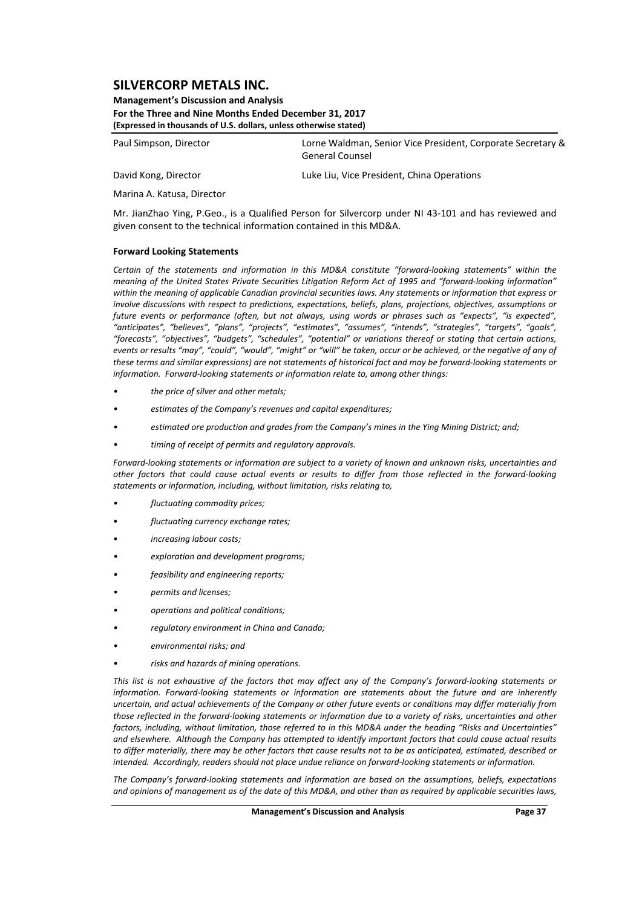**Management's Discussion and Analysis For the Three and Nine Months Ended December 31, 2017 (Expressed in thousands of U.S. dollars, unless otherwise stated)**

Paul Simpson, Director Lorne Waldman, Senior Vice President, Corporate Secretary & General Counsel

David Kong, Director Luke Liu, Vice President, China Operations

Marina A. Katusa, Director

Mr. JianZhao Ying, P.Geo., is a Qualified Person for Silvercorp under NI 43‐101 and has reviewed and given consent to the technical information contained in this MD&A.

### **Forward Looking Statements**

*Certain of the statements and information in this MD&A constitute "forward‐looking statements" within the* meaning of the United States Private Securities Litigation Reform Act of 1995 and "forward-looking information" within the meaning of applicable Canadian provincial securities laws. Any statements or information that express or *involve discussions with respect to predictions, expectations, beliefs, plans, projections, objectives, assumptions or* future events or performance (often, but not always, using words or phrases such as "expects", "is expected", *"anticipates", "believes", "plans", "projects", "estimates", "assumes", "intends", "strategies", "targets", "goals", "forecasts", "objectives", "budgets", "schedules", "potential" or variations thereof or stating that certain actions,* events or results "may", "could", "would", "might" or "will" be taken, occur or be achieved, or the negative of any of these terms and similar expressions) are not statements of historical fact and may be forward-looking statements or *information. Forward‐looking statements or information relate to, among other things:*

- *• the price of silver and other metals;*
- *• estimates of the Company's revenues and capital expenditures;*
- *• estimated ore production and grades from the Company's mines in the Ying Mining District; and;*
- *• timing of receipt of permits and regulatory approvals.*

Forward-looking statements or information are subject to a variety of known and unknown risks, uncertainties and other factors that could cause actual events or results to differ from those reflected in the forward-looking *statements or information, including, without limitation, risks relating to,* 

- *• fluctuating commodity prices;*
- *fluctuating currency exchange rates;*
- *increasing labour costs;*
- *• exploration and development programs;*
- *• feasibility and engineering reports;*
- *• permits and licenses;*
- *• operations and political conditions;*
- *• regulatory environment in China and Canada;*
- *• environmental risks; and*
- *• risks and hazards of mining operations.*

This list is not exhaustive of the factors that may affect any of the Company's forward-looking statements or *information. Forward‐looking statements or information are statements about the future and are inherently* uncertain, and actual achievements of the Company or other future events or conditions may differ materially from those reflected in the forward-looking statements or information due to a variety of risks, uncertainties and other factors, including, without limitation, those referred to in this MD&A under the heading "Risks and Uncertainties" and elsewhere. Although the Company has attempted to identify important factors that could cause actual results to differ materially, there may be other factors that cause results not to be as anticipated, estimated, described or intended. Accordinaly, readers should not place undue reliance on forward-looking statements or information.

*The Company's forward‐looking statements and information are based on the assumptions, beliefs, expectations* and opinions of management as of the date of this MD&A, and other than as required by applicable securities laws,